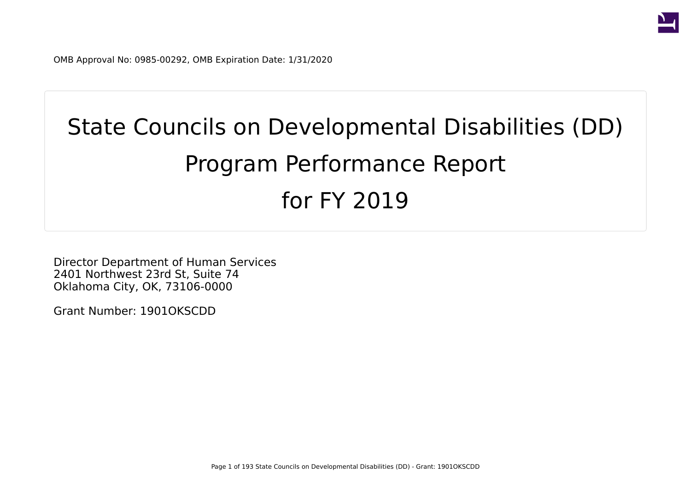

OMB Approval No: 0985-00292, OMB Expiration Date: 1/31/2020

# State Councils on Developmental Disabilities (DD) Program Performance Report for FY 2019

Director Department of Human Services 2401 Northwest 23rd St, Suite 74 Oklahoma City, OK, 73106-0000

Grant Number: 1901OKSCDD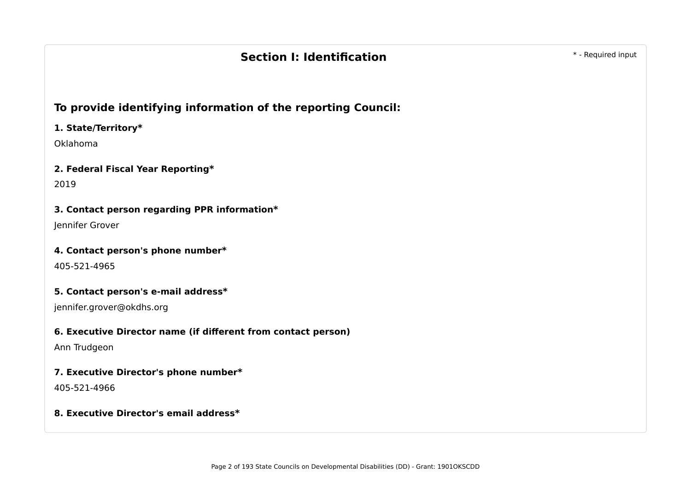# **Section I: Identification Section** \* - Required input

## **To provide identifying information of the reporting Council:**

#### **1. State/Territory\***

Oklahoma

#### **2. Federal Fiscal Year Reporting\***

2019

#### **3. Contact person regarding PPR information\***

Jennifer Grover

#### **4. Contact person's phone number\***

405-521-4965

#### **5. Contact person's e-mail address\***

jennifer.grover@okdhs.org

#### **6. Executive Director name (if different from contact person)**

Ann Trudgeon

#### **7. Executive Director's phone number\***

405-521-4966

#### **8. Executive Director's email address\***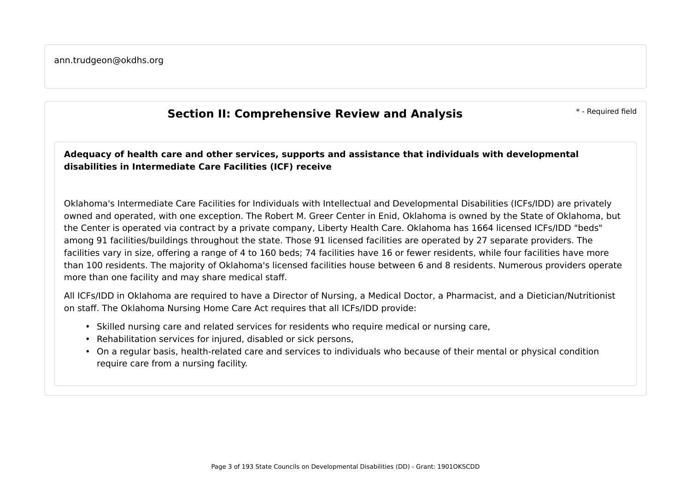# **Section II: Comprehensive Review and Analysis Theorem 2018 1998 1999 11: Comprehensive Review and Analysis**

**Adequacy of health care and other services, supports and assistance that individuals with developmental disabilities in Intermediate Care Facilities (ICF) receive**

Oklahoma's Intermediate Care Facilities for Individuals with Intellectual and Developmental Disabilities (ICFs/IDD) are privately owned and operated, with one exception. The Robert M. Greer Center in Enid, Oklahoma is owned by the State of Oklahoma, but the Center is operated via contract by a private company, Liberty Health Care. Oklahoma has 1664 licensed ICFs/IDD "beds" among 91 facilities/buildings throughout the state. Those 91 licensed facilities are operated by 27 separate providers. The facilities vary in size, offering a range of 4 to 160 beds; 74 facilities have 16 or fewer residents, while four facilities have more than 100 residents. The majority of Oklahoma's licensed facilities house between 6 and 8 residents. Numerous providers operate more than one facility and may share medical staff.

All ICFs/IDD in Oklahoma are required to have a Director of Nursing, a Medical Doctor, a Pharmacist, and a Dietician/Nutritionist on staff. The Oklahoma Nursing Home Care Act requires that all ICFs/IDD provide:

- Skilled nursing care and related services for residents who require medical or nursing care,
- Rehabilitation services for injured, disabled or sick persons,
- On a regular basis, health-related care and services to individuals who because of their mental or physical condition require care from a nursing facility.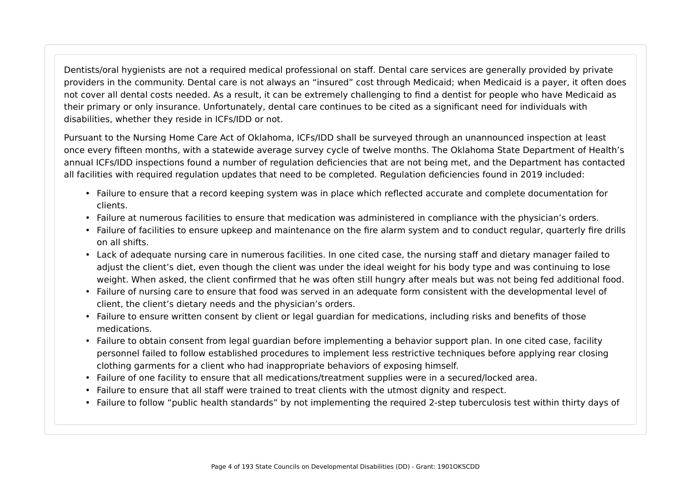Dentists/oral hygienists are not a required medical professional on staff. Dental care services are generally provided by private providers in the community. Dental care is not always an "insured" cost through Medicaid; when Medicaid is a payer, it often does not cover all dental costs needed. As a result, it can be extremely challenging to find a dentist for people who have Medicaid as their primary or only insurance. Unfortunately, dental care continues to be cited as a significant need for individuals with disabilities, whether they reside in ICFs/IDD or not.

Pursuant to the Nursing Home Care Act of Oklahoma, ICFs/IDD shall be surveyed through an unannounced inspection at least once every fifteen months, with a statewide average survey cycle of twelve months. The Oklahoma State Department of Health's annual ICFs/IDD inspections found a number of regulation deficiencies that are not being met, and the Department has contacted all facilities with required regulation updates that need to be completed. Regulation deficiencies found in 2019 included:

- Failure to ensure that a record keeping system was in place which reflected accurate and complete documentation for clients.
- Failure at numerous facilities to ensure that medication was administered in compliance with the physician's orders.
- Failure of facilities to ensure upkeep and maintenance on the fire alarm system and to conduct regular, quarterly fire drills on all shifts.
- Lack of adequate nursing care in numerous facilities. In one cited case, the nursing staff and dietary manager failed to adjust the client's diet, even though the client was under the ideal weight for his body type and was continuing to lose weight. When asked, the client confirmed that he was often still hungry after meals but was not being fed additional food.
- Failure of nursing care to ensure that food was served in an adequate form consistent with the developmental level of client, the client's dietary needs and the physician's orders.
- Failure to ensure written consent by client or legal guardian for medications, including risks and benefits of those medications.
- Failure to obtain consent from legal guardian before implementing a behavior support plan. In one cited case, facility personnel failed to follow established procedures to implement less restrictive techniques before applying rear closing clothing garments for a client who had inappropriate behaviors of exposing himself.
- Failure of one facility to ensure that all medications/treatment supplies were in a secured/locked area.
- Failure to ensure that all staff were trained to treat clients with the utmost dignity and respect.
- Failure to follow "public health standards" by not implementing the required 2-step tuberculosis test within thirty days of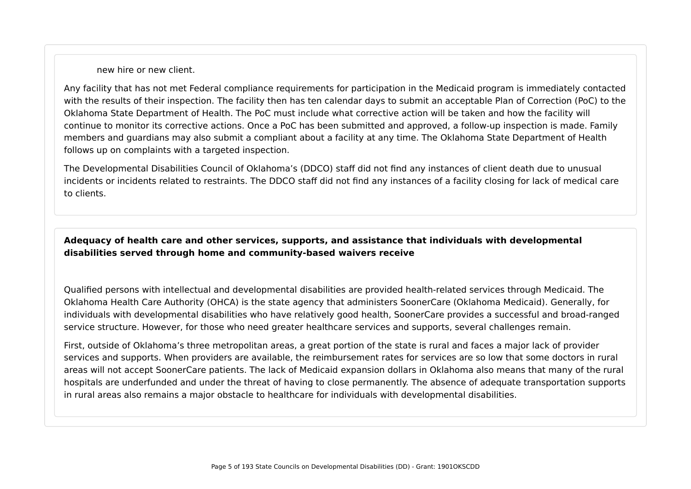new hire or new client.

Any facility that has not met Federal compliance requirements for participation in the Medicaid program is immediately contacted with the results of their inspection. The facility then has ten calendar days to submit an acceptable Plan of Correction (PoC) to the Oklahoma State Department of Health. The PoC must include what corrective action will be taken and how the facility will continue to monitor its corrective actions. Once a PoC has been submitted and approved, a follow-up inspection is made. Family members and guardians may also submit a compliant about a facility at any time. The Oklahoma State Department of Health follows up on complaints with a targeted inspection.

The Developmental Disabilities Council of Oklahoma's (DDCO) staff did not find any instances of client death due to unusual incidents or incidents related to restraints. The DDCO staff did not find any instances of a facility closing for lack of medical care to clients.

#### **Adequacy of health care and other services, supports, and assistance that individuals with developmental disabilities served through home and community-based waivers receive**

Qualified persons with intellectual and developmental disabilities are provided health-related services through Medicaid. The Oklahoma Health Care Authority (OHCA) is the state agency that administers SoonerCare (Oklahoma Medicaid). Generally, for individuals with developmental disabilities who have relatively good health, SoonerCare provides a successful and broad-ranged service structure. However, for those who need greater healthcare services and supports, several challenges remain.

First, outside of Oklahoma's three metropolitan areas, a great portion of the state is rural and faces a major lack of provider services and supports. When providers are available, the reimbursement rates for services are so low that some doctors in rural areas will not accept SoonerCare patients. The lack of Medicaid expansion dollars in Oklahoma also means that many of the rural hospitals are underfunded and under the threat of having to close permanently. The absence of adequate transportation supports in rural areas also remains a major obstacle to healthcare for individuals with developmental disabilities.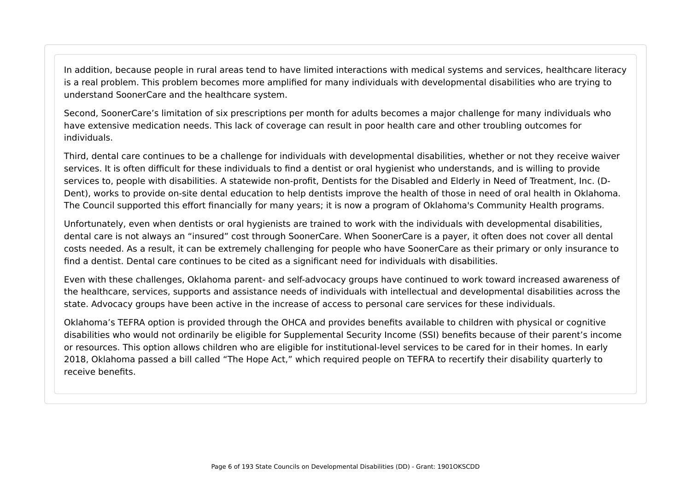In addition, because people in rural areas tend to have limited interactions with medical systems and services, healthcare literacy is a real problem. This problem becomes more amplified for many individuals with developmental disabilities who are trying to understand SoonerCare and the healthcare system.

Second, SoonerCare's limitation of six prescriptions per month for adults becomes a major challenge for many individuals who have extensive medication needs. This lack of coverage can result in poor health care and other troubling outcomes for individuals.

Third, dental care continues to be a challenge for individuals with developmental disabilities, whether or not they receive waiver services. It is often difficult for these individuals to find a dentist or oral hygienist who understands, and is willing to provide services to, people with disabilities. A statewide non-profit, Dentists for the Disabled and Elderly in Need of Treatment, Inc. (D-Dent), works to provide on-site dental education to help dentists improve the health of those in need of oral health in Oklahoma. The Council supported this effort financially for many years; it is now a program of Oklahoma's Community Health programs.

Unfortunately, even when dentists or oral hygienists are trained to work with the individuals with developmental disabilities, dental care is not always an "insured" cost through SoonerCare. When SoonerCare is a payer, it often does not cover all dental costs needed. As a result, it can be extremely challenging for people who have SoonerCare as their primary or only insurance to find a dentist. Dental care continues to be cited as a significant need for individuals with disabilities.

Even with these challenges, Oklahoma parent- and self-advocacy groups have continued to work toward increased awareness of the healthcare, services, supports and assistance needs of individuals with intellectual and developmental disabilities across the state. Advocacy groups have been active in the increase of access to personal care services for these individuals.

Oklahoma's TEFRA option is provided through the OHCA and provides benefits available to children with physical or cognitive disabilities who would not ordinarily be eligible for Supplemental Security Income (SSI) benefits because of their parent's income or resources. This option allows children who are eligible for institutional-level services to be cared for in their homes. In early 2018, Oklahoma passed a bill called "The Hope Act," which required people on TEFRA to recertify their disability quarterly to receive benefits.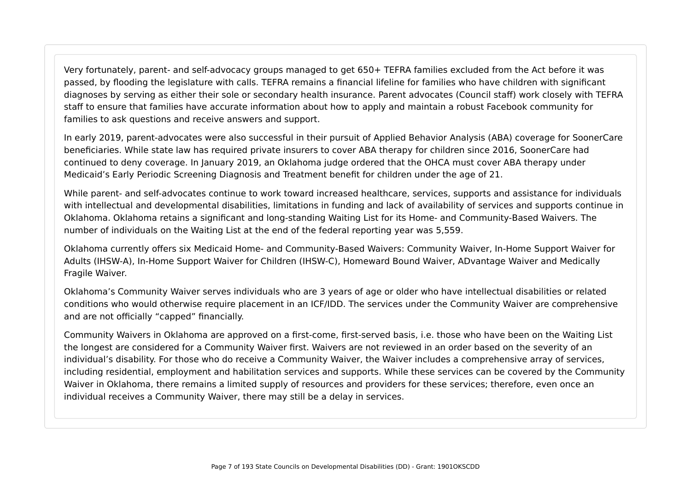Very fortunately, parent- and self-advocacy groups managed to get 650+ TEFRA families excluded from the Act before it was passed, by flooding the legislature with calls. TEFRA remains a financial lifeline for families who have children with significant diagnoses by serving as either their sole or secondary health insurance. Parent advocates (Council staff) work closely with TEFRA staff to ensure that families have accurate information about how to apply and maintain a robust Facebook community for families to ask questions and receive answers and support.

In early 2019, parent-advocates were also successful in their pursuit of Applied Behavior Analysis (ABA) coverage for SoonerCare beneficiaries. While state law has required private insurers to cover ABA therapy for children since 2016, SoonerCare had continued to deny coverage. In January 2019, an Oklahoma judge ordered that the OHCA must cover ABA therapy under Medicaid's Early Periodic Screening Diagnosis and Treatment benefit for children under the age of 21.

While parent- and self-advocates continue to work toward increased healthcare, services, supports and assistance for individuals with intellectual and developmental disabilities, limitations in funding and lack of availability of services and supports continue in Oklahoma. Oklahoma retains a significant and long-standing Waiting List for its Home- and Community-Based Waivers. The number of individuals on the Waiting List at the end of the federal reporting year was 5,559.

Oklahoma currently offers six Medicaid Home- and Community-Based Waivers: Community Waiver, In-Home Support Waiver for Adults (IHSW-A), In-Home Support Waiver for Children (IHSW-C), Homeward Bound Waiver, ADvantage Waiver and Medically Fragile Waiver.

Oklahoma's Community Waiver serves individuals who are 3 years of age or older who have intellectual disabilities or related conditions who would otherwise require placement in an ICF/IDD. The services under the Community Waiver are comprehensive and are not officially "capped" financially.

Community Waivers in Oklahoma are approved on a first-come, first-served basis, i.e. those who have been on the Waiting List the longest are considered for a Community Waiver first. Waivers are not reviewed in an order based on the severity of an individual's disability. For those who do receive a Community Waiver, the Waiver includes a comprehensive array of services, including residential, employment and habilitation services and supports. While these services can be covered by the Community Waiver in Oklahoma, there remains a limited supply of resources and providers for these services; therefore, even once an individual receives a Community Waiver, there may still be a delay in services.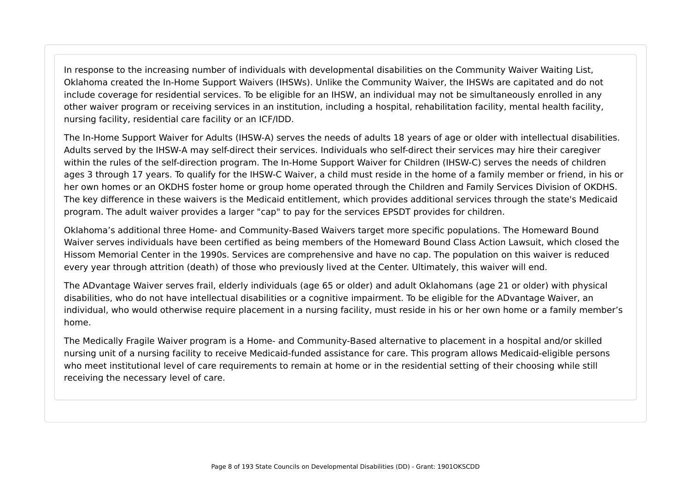In response to the increasing number of individuals with developmental disabilities on the Community Waiver Waiting List, Oklahoma created the In-Home Support Waivers (IHSWs). Unlike the Community Waiver, the IHSWs are capitated and do not include coverage for residential services. To be eligible for an IHSW, an individual may not be simultaneously enrolled in any other waiver program or receiving services in an institution, including a hospital, rehabilitation facility, mental health facility, nursing facility, residential care facility or an ICF/IDD.

The In-Home Support Waiver for Adults (IHSW-A) serves the needs of adults 18 years of age or older with intellectual disabilities. Adults served by the IHSW-A may self-direct their services. Individuals who self-direct their services may hire their caregiver within the rules of the self-direction program. The In-Home Support Waiver for Children (IHSW-C) serves the needs of children ages 3 through 17 years. To qualify for the IHSW-C Waiver, a child must reside in the home of a family member or friend, in his or her own homes or an OKDHS foster home or group home operated through the Children and Family Services Division of OKDHS. The key difference in these waivers is the Medicaid entitlement, which provides additional services through the state's Medicaid program. The adult waiver provides a larger "cap" to pay for the services EPSDT provides for children.

Oklahoma's additional three Home- and Community-Based Waivers target more specific populations. The Homeward Bound Waiver serves individuals have been certified as being members of the Homeward Bound Class Action Lawsuit, which closed the Hissom Memorial Center in the 1990s. Services are comprehensive and have no cap. The population on this waiver is reduced every year through attrition (death) of those who previously lived at the Center. Ultimately, this waiver will end.

The ADvantage Waiver serves frail, elderly individuals (age 65 or older) and adult Oklahomans (age 21 or older) with physical disabilities, who do not have intellectual disabilities or a cognitive impairment. To be eligible for the ADvantage Waiver, an individual, who would otherwise require placement in a nursing facility, must reside in his or her own home or a family member's home.

The Medically Fragile Waiver program is a Home- and Community-Based alternative to placement in a hospital and/or skilled nursing unit of a nursing facility to receive Medicaid-funded assistance for care. This program allows Medicaid-eligible persons who meet institutional level of care requirements to remain at home or in the residential setting of their choosing while still receiving the necessary level of care.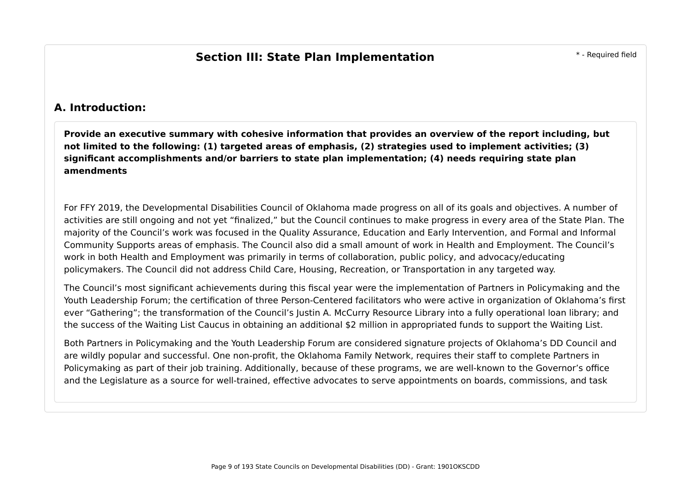## **A. Introduction:**

**Provide an executive summary with cohesive information that provides an overview of the report including, but not limited to the following: (1) targeted areas of emphasis, (2) strategies used to implement activities; (3) significant accomplishments and/or barriers to state plan implementation; (4) needs requiring state plan amendments**

For FFY 2019, the Developmental Disabilities Council of Oklahoma made progress on all of its goals and objectives. A number of activities are still ongoing and not yet "finalized," but the Council continues to make progress in every area of the State Plan. The majority of the Council's work was focused in the Quality Assurance, Education and Early Intervention, and Formal and Informal Community Supports areas of emphasis. The Council also did a small amount of work in Health and Employment. The Council's work in both Health and Employment was primarily in terms of collaboration, public policy, and advocacy/educating policymakers. The Council did not address Child Care, Housing, Recreation, or Transportation in any targeted way.

The Council's most significant achievements during this fiscal year were the implementation of Partners in Policymaking and the Youth Leadership Forum; the certification of three Person-Centered facilitators who were active in organization of Oklahoma's first ever "Gathering"; the transformation of the Council's Justin A. McCurry Resource Library into a fully operational loan library; and the success of the Waiting List Caucus in obtaining an additional \$2 million in appropriated funds to support the Waiting List.

Both Partners in Policymaking and the Youth Leadership Forum are considered signature projects of Oklahoma's DD Council and are wildly popular and successful. One non-profit, the Oklahoma Family Network, requires their staff to complete Partners in Policymaking as part of their job training. Additionally, because of these programs, we are well-known to the Governor's office and the Legislature as a source for well-trained, effective advocates to serve appointments on boards, commissions, and task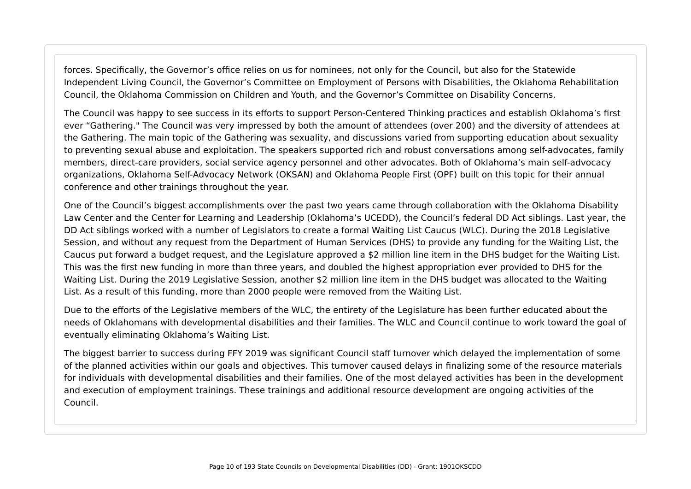forces. Specifically, the Governor's office relies on us for nominees, not only for the Council, but also for the Statewide Independent Living Council, the Governor's Committee on Employment of Persons with Disabilities, the Oklahoma Rehabilitation Council, the Oklahoma Commission on Children and Youth, and the Governor's Committee on Disability Concerns.

The Council was happy to see success in its efforts to support Person-Centered Thinking practices and establish Oklahoma's first ever "Gathering." The Council was very impressed by both the amount of attendees (over 200) and the diversity of attendees at the Gathering. The main topic of the Gathering was sexuality, and discussions varied from supporting education about sexuality to preventing sexual abuse and exploitation. The speakers supported rich and robust conversations among self-advocates, family members, direct-care providers, social service agency personnel and other advocates. Both of Oklahoma's main self-advocacy organizations, Oklahoma Self-Advocacy Network (OKSAN) and Oklahoma People First (OPF) built on this topic for their annual conference and other trainings throughout the year.

One of the Council's biggest accomplishments over the past two years came through collaboration with the Oklahoma Disability Law Center and the Center for Learning and Leadership (Oklahoma's UCEDD), the Council's federal DD Act siblings. Last year, the DD Act siblings worked with a number of Legislators to create a formal Waiting List Caucus (WLC). During the 2018 Legislative Session, and without any request from the Department of Human Services (DHS) to provide any funding for the Waiting List, the Caucus put forward a budget request, and the Legislature approved a \$2 million line item in the DHS budget for the Waiting List. This was the first new funding in more than three years, and doubled the highest appropriation ever provided to DHS for the Waiting List. During the 2019 Legislative Session, another \$2 million line item in the DHS budget was allocated to the Waiting List. As a result of this funding, more than 2000 people were removed from the Waiting List.

Due to the efforts of the Legislative members of the WLC, the entirety of the Legislature has been further educated about the needs of Oklahomans with developmental disabilities and their families. The WLC and Council continue to work toward the goal of eventually eliminating Oklahoma's Waiting List.

The biggest barrier to success during FFY 2019 was significant Council staff turnover which delayed the implementation of some of the planned activities within our goals and objectives. This turnover caused delays in finalizing some of the resource materials for individuals with developmental disabilities and their families. One of the most delayed activities has been in the development and execution of employment trainings. These trainings and additional resource development are ongoing activities of the Council.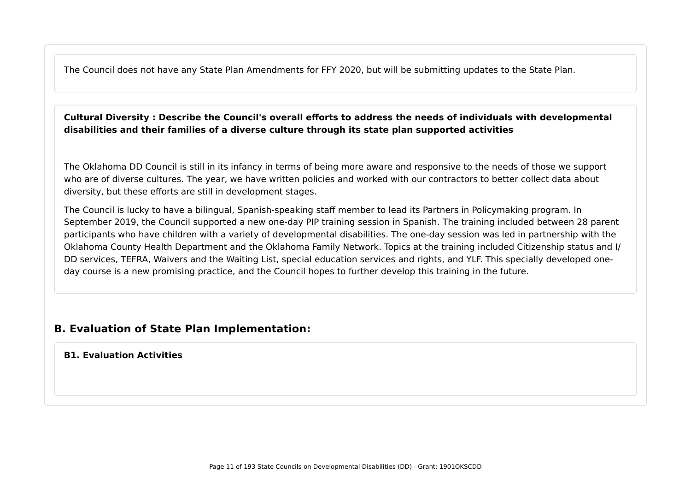The Council does not have any State Plan Amendments for FFY 2020, but will be submitting updates to the State Plan.

#### **Cultural Diversity : Describe the Council's overall efforts to address the needs of individuals with developmental disabilities and their families of a diverse culture through its state plan supported activities**

The Oklahoma DD Council is still in its infancy in terms of being more aware and responsive to the needs of those we support who are of diverse cultures. The year, we have written policies and worked with our contractors to better collect data about diversity, but these efforts are still in development stages.

The Council is lucky to have a bilingual, Spanish-speaking staff member to lead its Partners in Policymaking program. In September 2019, the Council supported a new one-day PIP training session in Spanish. The training included between 28 parent participants who have children with a variety of developmental disabilities. The one-day session was led in partnership with the Oklahoma County Health Department and the Oklahoma Family Network. Topics at the training included Citizenship status and I/ DD services, TEFRA, Waivers and the Waiting List, special education services and rights, and YLF. This specially developed oneday course is a new promising practice, and the Council hopes to further develop this training in the future.

## **B. Evaluation of State Plan Implementation:**

#### **B1. Evaluation Activities**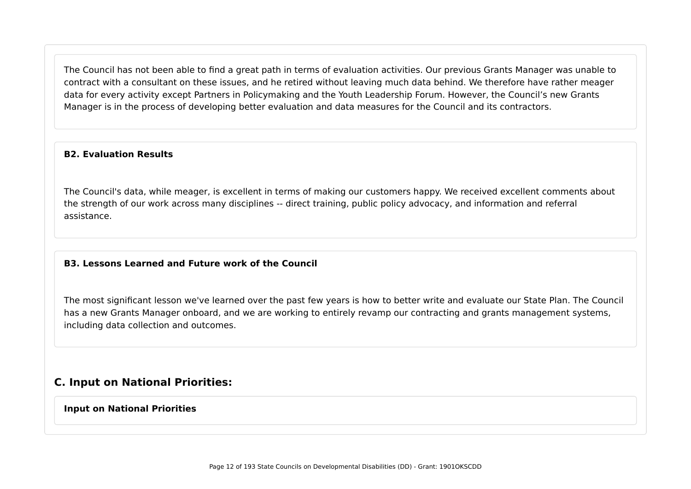The Council has not been able to find a great path in terms of evaluation activities. Our previous Grants Manager was unable to contract with a consultant on these issues, and he retired without leaving much data behind. We therefore have rather meager data for every activity except Partners in Policymaking and the Youth Leadership Forum. However, the Council's new Grants Manager is in the process of developing better evaluation and data measures for the Council and its contractors.

#### **B2. Evaluation Results**

The Council's data, while meager, is excellent in terms of making our customers happy. We received excellent comments about the strength of our work across many disciplines -- direct training, public policy advocacy, and information and referral assistance.

#### **B3. Lessons Learned and Future work of the Council**

The most significant lesson we've learned over the past few years is how to better write and evaluate our State Plan. The Council has a new Grants Manager onboard, and we are working to entirely revamp our contracting and grants management systems, including data collection and outcomes.

#### **C. Input on National Priorities:**

#### **Input on National Priorities**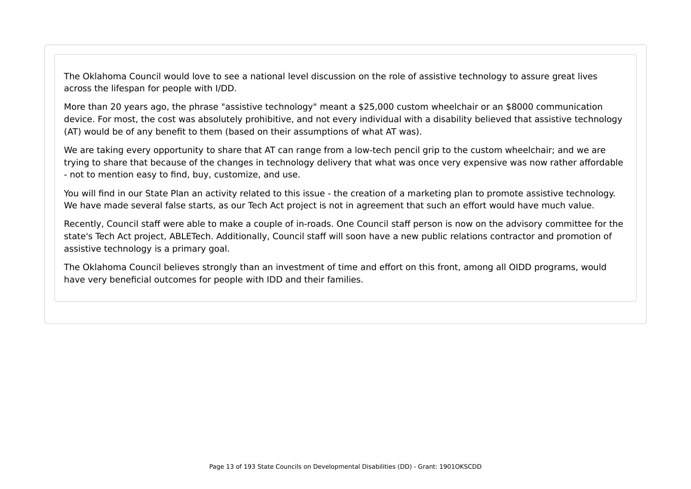The Oklahoma Council would love to see a national level discussion on the role of assistive technology to assure great lives across the lifespan for people with I/DD.

More than 20 years ago, the phrase "assistive technology" meant a \$25,000 custom wheelchair or an \$8000 communication device. For most, the cost was absolutely prohibitive, and not every individual with a disability believed that assistive technology (AT) would be of any benefit to them (based on their assumptions of what AT was).

We are taking every opportunity to share that AT can range from a low-tech pencil grip to the custom wheelchair; and we are trying to share that because of the changes in technology delivery that what was once very expensive was now rather affordable - not to mention easy to find, buy, customize, and use.

You will find in our State Plan an activity related to this issue - the creation of a marketing plan to promote assistive technology. We have made several false starts, as our Tech Act project is not in agreement that such an effort would have much value.

Recently, Council staff were able to make a couple of in-roads. One Council staff person is now on the advisory committee for the state's Tech Act project, ABLETech. Additionally, Council staff will soon have a new public relations contractor and promotion of assistive technology is a primary goal.

The Oklahoma Council believes strongly than an investment of time and effort on this front, among all OIDD programs, would have very beneficial outcomes for people with IDD and their families.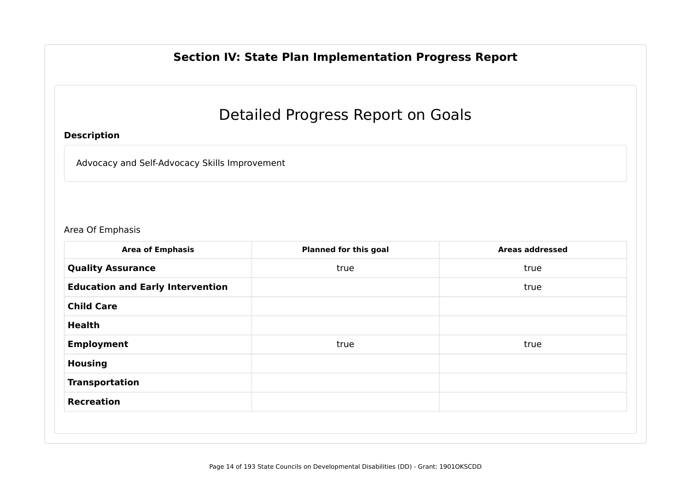# **Section IV: State Plan Implementation Progress Report**

# Detailed Progress Report on Goals

#### **Description**

Advocacy and Self-Advocacy Skills Improvement

#### Area Of Emphasis

| <b>Area of Emphasis</b>                 | <b>Planned for this goal</b> | <b>Areas addressed</b> |
|-----------------------------------------|------------------------------|------------------------|
| <b>Quality Assurance</b>                | true                         | true                   |
| <b>Education and Early Intervention</b> |                              | true                   |
| <b>Child Care</b>                       |                              |                        |
| <b>Health</b>                           |                              |                        |
| <b>Employment</b>                       | true                         | true                   |
| <b>Housing</b>                          |                              |                        |
| <b>Transportation</b>                   |                              |                        |
| <b>Recreation</b>                       |                              |                        |
|                                         |                              |                        |
|                                         |                              |                        |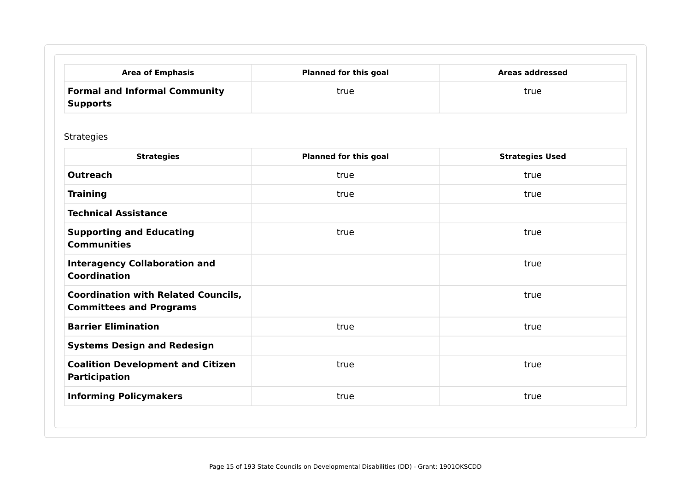| <b>Area of Emphasis</b>                                 | <b>Planned for this goal</b> | Areas addressed |
|---------------------------------------------------------|------------------------------|-----------------|
| <b>Formal and Informal Community</b><br><b>Supports</b> | true                         | true            |

Strategies

| <b>Strategies</b>                                                            | <b>Planned for this goal</b> | <b>Strategies Used</b> |
|------------------------------------------------------------------------------|------------------------------|------------------------|
| <b>Outreach</b>                                                              | true                         | true                   |
| <b>Training</b>                                                              | true                         | true                   |
| <b>Technical Assistance</b>                                                  |                              |                        |
| <b>Supporting and Educating</b><br><b>Communities</b>                        | true                         | true                   |
| <b>Interagency Collaboration and</b><br><b>Coordination</b>                  |                              | true                   |
| <b>Coordination with Related Councils,</b><br><b>Committees and Programs</b> |                              | true                   |
| <b>Barrier Elimination</b>                                                   | true                         | true                   |
| <b>Systems Design and Redesign</b>                                           |                              |                        |
| <b>Coalition Development and Citizen</b><br><b>Participation</b>             | true                         | true                   |
| <b>Informing Policymakers</b>                                                | true                         | true                   |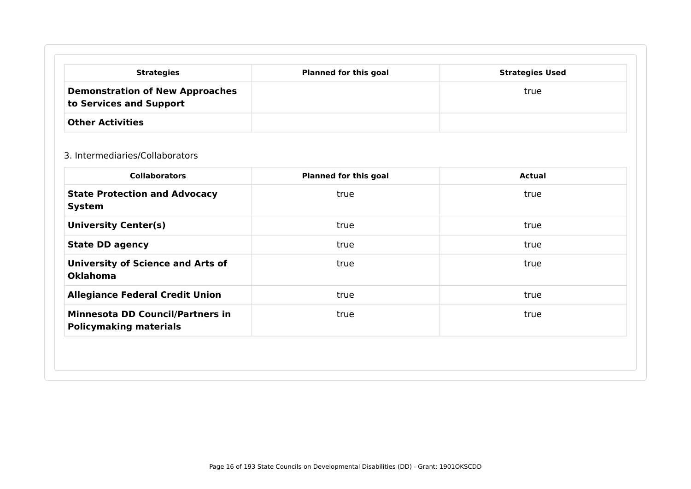| <b>Strategies</b>                                                 | <b>Planned for this goal</b> | <b>Strategies Used</b> |
|-------------------------------------------------------------------|------------------------------|------------------------|
| <b>Demonstration of New Approaches</b><br>to Services and Support |                              | true                   |
| <b>Other Activities</b>                                           |                              |                        |

#### 3. Intermediaries/Collaborators

|                                                                          | <b>Planned for this goal</b> | Actual |
|--------------------------------------------------------------------------|------------------------------|--------|
| <b>State Protection and Advocacy</b><br><b>System</b>                    | true                         | true   |
| <b>University Center(s)</b>                                              | true                         | true   |
| <b>State DD agency</b>                                                   | true                         | true   |
| <b>University of Science and Arts of</b><br><b>Oklahoma</b>              | true                         | true   |
| <b>Allegiance Federal Credit Union</b>                                   | true                         | true   |
| <b>Minnesota DD Council/Partners in</b><br><b>Policymaking materials</b> | true                         | true   |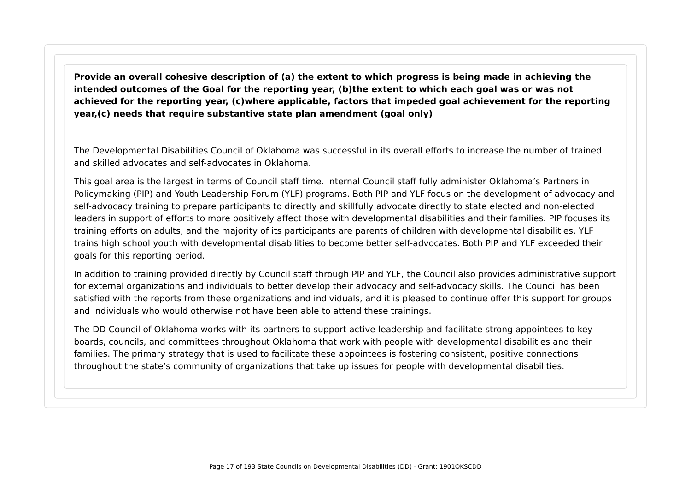**Provide an overall cohesive description of (a) the extent to which progress is being made in achieving the intended outcomes of the Goal for the reporting year, (b)the extent to which each goal was or was not achieved for the reporting year, (c)where applicable, factors that impeded goal achievement for the reporting year,(c) needs that require substantive state plan amendment (goal only)**

The Developmental Disabilities Council of Oklahoma was successful in its overall efforts to increase the number of trained and skilled advocates and self-advocates in Oklahoma.

This goal area is the largest in terms of Council staff time. Internal Council staff fully administer Oklahoma's Partners in Policymaking (PIP) and Youth Leadership Forum (YLF) programs. Both PIP and YLF focus on the development of advocacy and self-advocacy training to prepare participants to directly and skillfully advocate directly to state elected and non-elected leaders in support of efforts to more positively affect those with developmental disabilities and their families. PIP focuses its training efforts on adults, and the majority of its participants are parents of children with developmental disabilities. YLF trains high school youth with developmental disabilities to become better self-advocates. Both PIP and YLF exceeded their goals for this reporting period.

In addition to training provided directly by Council staff through PIP and YLF, the Council also provides administrative support for external organizations and individuals to better develop their advocacy and self-advocacy skills. The Council has been satisfied with the reports from these organizations and individuals, and it is pleased to continue offer this support for groups and individuals who would otherwise not have been able to attend these trainings.

The DD Council of Oklahoma works with its partners to support active leadership and facilitate strong appointees to key boards, councils, and committees throughout Oklahoma that work with people with developmental disabilities and their families. The primary strategy that is used to facilitate these appointees is fostering consistent, positive connections throughout the state's community of organizations that take up issues for people with developmental disabilities.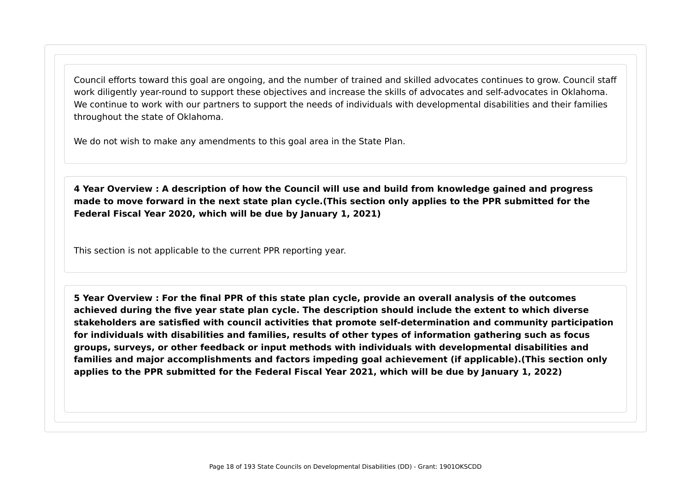Council efforts toward this goal are ongoing, and the number of trained and skilled advocates continues to grow. Council staff work diligently year-round to support these objectives and increase the skills of advocates and self-advocates in Oklahoma. We continue to work with our partners to support the needs of individuals with developmental disabilities and their families throughout the state of Oklahoma.

We do not wish to make any amendments to this goal area in the State Plan.

**4 Year Overview : A description of how the Council will use and build from knowledge gained and progress made to move forward in the next state plan cycle.(This section only applies to the PPR submitted for the Federal Fiscal Year 2020, which will be due by January 1, 2021)**

This section is not applicable to the current PPR reporting year.

**5 Year Overview : For the final PPR of this state plan cycle, provide an overall analysis of the outcomes achieved during the five year state plan cycle. The description should include the extent to which diverse stakeholders are satisfied with council activities that promote self-determination and community participation for individuals with disabilities and families, results of other types of information gathering such as focus groups, surveys, or other feedback or input methods with individuals with developmental disabilities and families and major accomplishments and factors impeding goal achievement (if applicable).(This section only applies to the PPR submitted for the Federal Fiscal Year 2021, which will be due by January 1, 2022)**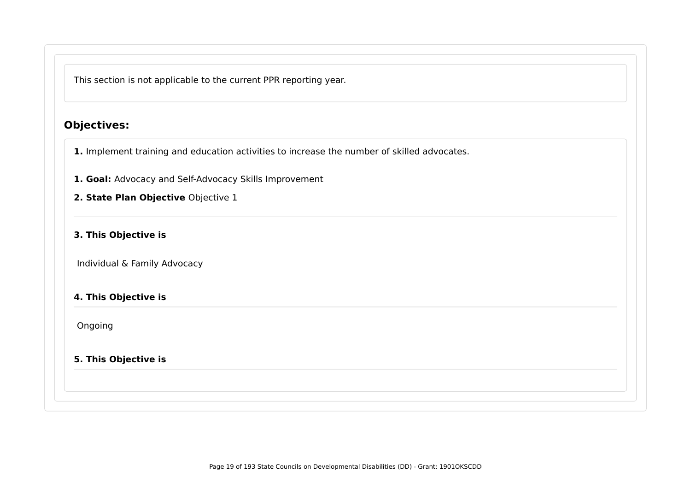This section is not applicable to the current PPR reporting year.

# **Objectives:**

**1.** Implement training and education activities to increase the number of skilled advocates.

- **1. Goal:** Advocacy and Self-Advocacy Skills Improvement
- **2. State Plan Objective** Objective 1

#### **3. This Objective is**

Individual & Family Advocacy

#### **4. This Objective is**

Ongoing

#### **5. This Objective is**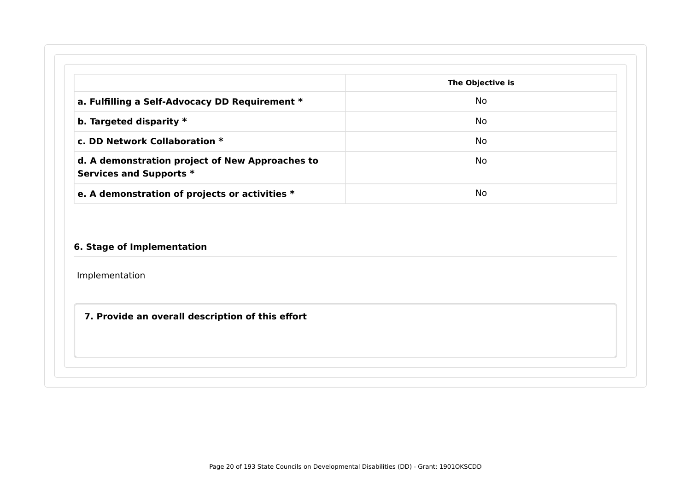|                                                                            | The Objective is |
|----------------------------------------------------------------------------|------------------|
| a. Fulfilling a Self-Advocacy DD Requirement *                             | No.              |
| b. Targeted disparity $*$                                                  | No.              |
| c. DD Network Collaboration *                                              | No.              |
| d. A demonstration project of New Approaches to<br>Services and Supports * | No.              |

#### **6. Stage of Implementation**

Implementation

**7. Provide an overall description of this effort**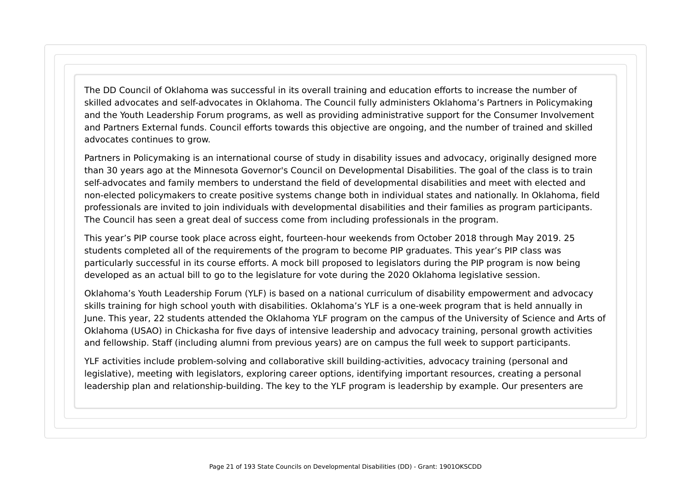The DD Council of Oklahoma was successful in its overall training and education efforts to increase the number of skilled advocates and self-advocates in Oklahoma. The Council fully administers Oklahoma's Partners in Policymaking and the Youth Leadership Forum programs, as well as providing administrative support for the Consumer Involvement and Partners External funds. Council efforts towards this objective are ongoing, and the number of trained and skilled advocates continues to grow.

Partners in Policymaking is an international course of study in disability issues and advocacy, originally designed more than 30 years ago at the Minnesota Governor's Council on Developmental Disabilities. The goal of the class is to train self-advocates and family members to understand the field of developmental disabilities and meet with elected and non-elected policymakers to create positive systems change both in individual states and nationally. In Oklahoma, field professionals are invited to join individuals with developmental disabilities and their families as program participants. The Council has seen a great deal of success come from including professionals in the program.

This year's PIP course took place across eight, fourteen-hour weekends from October 2018 through May 2019. 25 students completed all of the requirements of the program to become PIP graduates. This year's PIP class was particularly successful in its course efforts. A mock bill proposed to legislators during the PIP program is now being developed as an actual bill to go to the legislature for vote during the 2020 Oklahoma legislative session.

Oklahoma's Youth Leadership Forum (YLF) is based on a national curriculum of disability empowerment and advocacy skills training for high school youth with disabilities. Oklahoma's YLF is a one-week program that is held annually in June. This year, 22 students attended the Oklahoma YLF program on the campus of the University of Science and Arts of Oklahoma (USAO) in Chickasha for five days of intensive leadership and advocacy training, personal growth activities and fellowship. Staff (including alumni from previous years) are on campus the full week to support participants.

YLF activities include problem-solving and collaborative skill building-activities, advocacy training (personal and legislative), meeting with legislators, exploring career options, identifying important resources, creating a personal leadership plan and relationship-building. The key to the YLF program is leadership by example. Our presenters are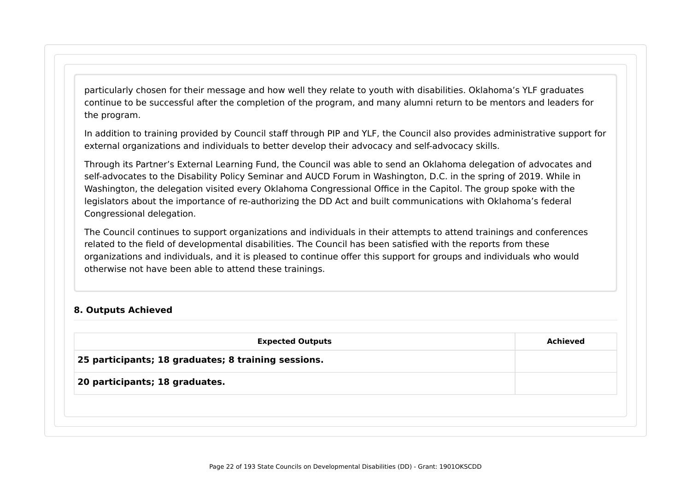particularly chosen for their message and how well they relate to youth with disabilities. Oklahoma's YLF graduates continue to be successful after the completion of the program, and many alumni return to be mentors and leaders for the program.

In addition to training provided by Council staff through PIP and YLF, the Council also provides administrative support for external organizations and individuals to better develop their advocacy and self-advocacy skills.

Through its Partner's External Learning Fund, the Council was able to send an Oklahoma delegation of advocates and self-advocates to the Disability Policy Seminar and AUCD Forum in Washington, D.C. in the spring of 2019. While in Washington, the delegation visited every Oklahoma Congressional Office in the Capitol. The group spoke with the legislators about the importance of re-authorizing the DD Act and built communications with Oklahoma's federal Congressional delegation.

The Council continues to support organizations and individuals in their attempts to attend trainings and conferences related to the field of developmental disabilities. The Council has been satisfied with the reports from these organizations and individuals, and it is pleased to continue offer this support for groups and individuals who would otherwise not have been able to attend these trainings.

#### **8. Outputs Achieved**

| <b>Expected Outputs</b>                             | <b>Achieved</b> |
|-----------------------------------------------------|-----------------|
| 25 participants; 18 graduates; 8 training sessions. |                 |
| 20 participants; 18 graduates.                      |                 |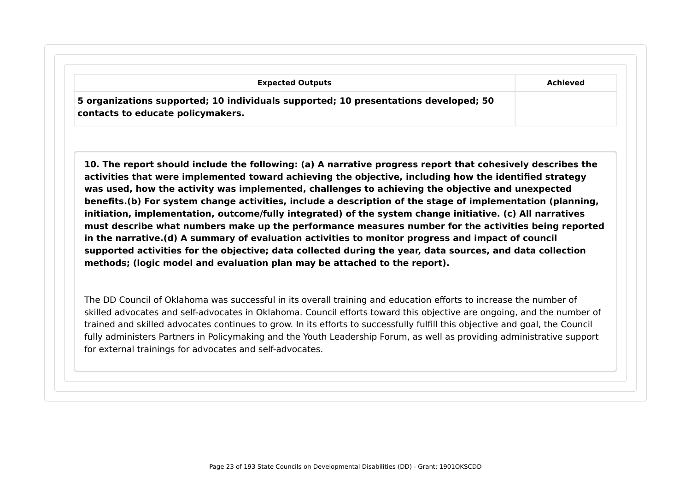| <b>Expected Outputs</b> |                                                                                                                          |          |
|-------------------------|--------------------------------------------------------------------------------------------------------------------------|----------|
|                         |                                                                                                                          | Achieved |
|                         | 5 organizations supported; 10 individuals supported; 10 presentations developed; 50<br>contacts to educate policymakers. |          |

**10. The report should include the following: (a) A narrative progress report that cohesively describes the activities that were implemented toward achieving the objective, including how the identified strategy was used, how the activity was implemented, challenges to achieving the objective and unexpected benefits.(b) For system change activities, include a description of the stage of implementation (planning, initiation, implementation, outcome/fully integrated) of the system change initiative. (c) All narratives must describe what numbers make up the performance measures number for the activities being reported in the narrative.(d) A summary of evaluation activities to monitor progress and impact of council supported activities for the objective; data collected during the year, data sources, and data collection methods; (logic model and evaluation plan may be attached to the report).**

The DD Council of Oklahoma was successful in its overall training and education efforts to increase the number of skilled advocates and self-advocates in Oklahoma. Council efforts toward this objective are ongoing, and the number of trained and skilled advocates continues to grow. In its efforts to successfully fulfill this objective and goal, the Council fully administers Partners in Policymaking and the Youth Leadership Forum, as well as providing administrative support for external trainings for advocates and self-advocates.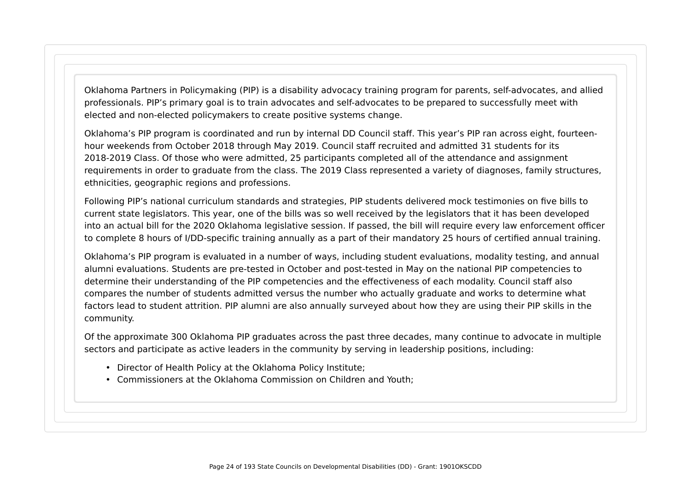Oklahoma Partners in Policymaking (PIP) is a disability advocacy training program for parents, self-advocates, and allied professionals. PIP's primary goal is to train advocates and self-advocates to be prepared to successfully meet with elected and non-elected policymakers to create positive systems change.

Oklahoma's PIP program is coordinated and run by internal DD Council staff. This year's PIP ran across eight, fourteenhour weekends from October 2018 through May 2019. Council staff recruited and admitted 31 students for its 2018-2019 Class. Of those who were admitted, 25 participants completed all of the attendance and assignment requirements in order to graduate from the class. The 2019 Class represented a variety of diagnoses, family structures, ethnicities, geographic regions and professions.

Following PIP's national curriculum standards and strategies, PIP students delivered mock testimonies on five bills to current state legislators. This year, one of the bills was so well received by the legislators that it has been developed into an actual bill for the 2020 Oklahoma legislative session. If passed, the bill will require every law enforcement officer to complete 8 hours of I/DD-specific training annually as a part of their mandatory 25 hours of certified annual training.

Oklahoma's PIP program is evaluated in a number of ways, including student evaluations, modality testing, and annual alumni evaluations. Students are pre-tested in October and post-tested in May on the national PIP competencies to determine their understanding of the PIP competencies and the effectiveness of each modality. Council staff also compares the number of students admitted versus the number who actually graduate and works to determine what factors lead to student attrition. PIP alumni are also annually surveyed about how they are using their PIP skills in the community.

Of the approximate 300 Oklahoma PIP graduates across the past three decades, many continue to advocate in multiple sectors and participate as active leaders in the community by serving in leadership positions, including:

- Director of Health Policy at the Oklahoma Policy Institute;
- Commissioners at the Oklahoma Commission on Children and Youth;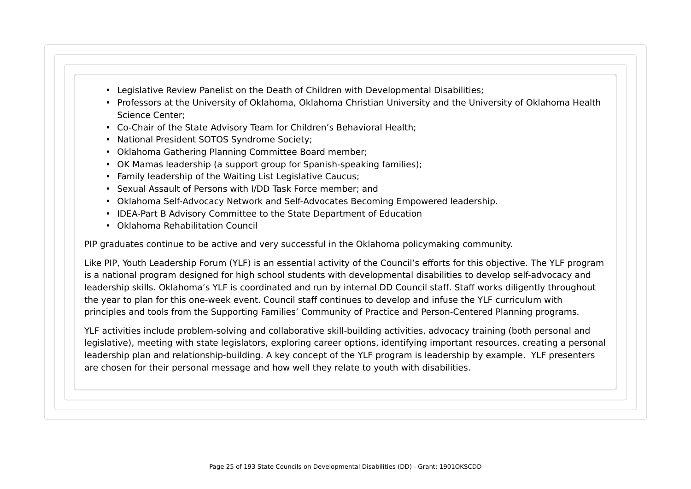- Legislative Review Panelist on the Death of Children with Developmental Disabilities;
- Professors at the University of Oklahoma, Oklahoma Christian University and the University of Oklahoma Health Science Center;
- Co-Chair of the State Advisory Team for Children's Behavioral Health;
- National President SOTOS Syndrome Society;
- Oklahoma Gathering Planning Committee Board member;
- OK Mamas leadership (a support group for Spanish-speaking families);
- Family leadership of the Waiting List Legislative Caucus;
- Sexual Assault of Persons with I/DD Task Force member; and
- Oklahoma Self-Advocacy Network and Self-Advocates Becoming Empowered leadership.
- IDEA-Part B Advisory Committee to the State Department of Education
- Oklahoma Rehabilitation Council

PIP graduates continue to be active and very successful in the Oklahoma policymaking community.

Like PIP, Youth Leadership Forum (YLF) is an essential activity of the Council's efforts for this objective. The YLF program is a national program designed for high school students with developmental disabilities to develop self-advocacy and leadership skills. Oklahoma's YLF is coordinated and run by internal DD Council staff. Staff works diligently throughout the year to plan for this one-week event. Council staff continues to develop and infuse the YLF curriculum with principles and tools from the Supporting Families' Community of Practice and Person-Centered Planning programs.

YLF activities include problem-solving and collaborative skill-building activities, advocacy training (both personal and legislative), meeting with state legislators, exploring career options, identifying important resources, creating a personal leadership plan and relationship-building. A key concept of the YLF program is leadership by example. YLF presenters are chosen for their personal message and how well they relate to youth with disabilities.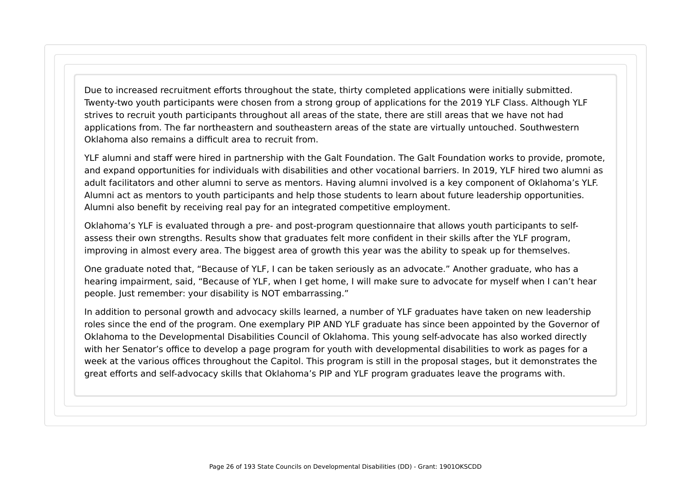Due to increased recruitment efforts throughout the state, thirty completed applications were initially submitted. Twenty-two youth participants were chosen from a strong group of applications for the 2019 YLF Class. Although YLF strives to recruit youth participants throughout all areas of the state, there are still areas that we have not had applications from. The far northeastern and southeastern areas of the state are virtually untouched. Southwestern Oklahoma also remains a difficult area to recruit from.

YLF alumni and staff were hired in partnership with the Galt Foundation. The Galt Foundation works to provide, promote, and expand opportunities for individuals with disabilities and other vocational barriers. In 2019, YLF hired two alumni as adult facilitators and other alumni to serve as mentors. Having alumni involved is a key component of Oklahoma's YLF. Alumni act as mentors to youth participants and help those students to learn about future leadership opportunities. Alumni also benefit by receiving real pay for an integrated competitive employment.

Oklahoma's YLF is evaluated through a pre- and post-program questionnaire that allows youth participants to selfassess their own strengths. Results show that graduates felt more confident in their skills after the YLF program, improving in almost every area. The biggest area of growth this year was the ability to speak up for themselves.

One graduate noted that, "Because of YLF, I can be taken seriously as an advocate." Another graduate, who has a hearing impairment, said, "Because of YLF, when I get home, I will make sure to advocate for myself when I can't hear people. Just remember: your disability is NOT embarrassing."

In addition to personal growth and advocacy skills learned, a number of YLF graduates have taken on new leadership roles since the end of the program. One exemplary PIP AND YLF graduate has since been appointed by the Governor of Oklahoma to the Developmental Disabilities Council of Oklahoma. This young self-advocate has also worked directly with her Senator's office to develop a page program for youth with developmental disabilities to work as pages for a week at the various offices throughout the Capitol. This program is still in the proposal stages, but it demonstrates the great efforts and self-advocacy skills that Oklahoma's PIP and YLF program graduates leave the programs with.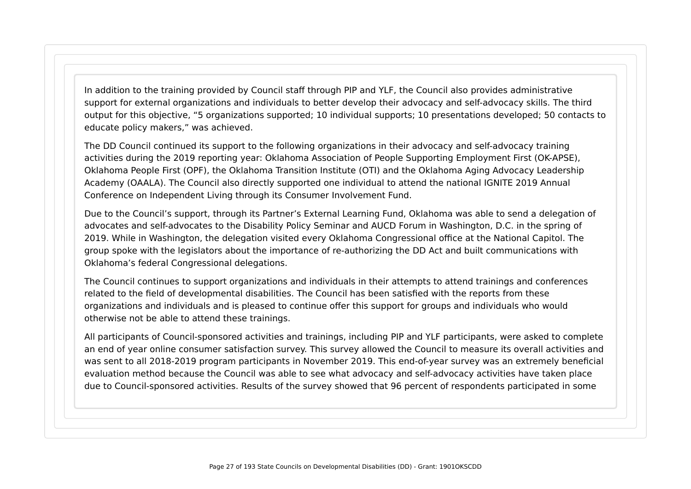In addition to the training provided by Council staff through PIP and YLF, the Council also provides administrative support for external organizations and individuals to better develop their advocacy and self-advocacy skills. The third output for this objective, "5 organizations supported; 10 individual supports; 10 presentations developed; 50 contacts to educate policy makers," was achieved.

The DD Council continued its support to the following organizations in their advocacy and self-advocacy training activities during the 2019 reporting year: Oklahoma Association of People Supporting Employment First (OK-APSE), Oklahoma People First (OPF), the Oklahoma Transition Institute (OTI) and the Oklahoma Aging Advocacy Leadership Academy (OAALA). The Council also directly supported one individual to attend the national IGNITE 2019 Annual Conference on Independent Living through its Consumer Involvement Fund.

Due to the Council's support, through its Partner's External Learning Fund, Oklahoma was able to send a delegation of advocates and self-advocates to the Disability Policy Seminar and AUCD Forum in Washington, D.C. in the spring of 2019. While in Washington, the delegation visited every Oklahoma Congressional office at the National Capitol. The group spoke with the legislators about the importance of re-authorizing the DD Act and built communications with Oklahoma's federal Congressional delegations.

The Council continues to support organizations and individuals in their attempts to attend trainings and conferences related to the field of developmental disabilities. The Council has been satisfied with the reports from these organizations and individuals and is pleased to continue offer this support for groups and individuals who would otherwise not be able to attend these trainings.

All participants of Council-sponsored activities and trainings, including PIP and YLF participants, were asked to complete an end of year online consumer satisfaction survey. This survey allowed the Council to measure its overall activities and was sent to all 2018-2019 program participants in November 2019. This end-of-year survey was an extremely beneficial evaluation method because the Council was able to see what advocacy and self-advocacy activities have taken place due to Council-sponsored activities. Results of the survey showed that 96 percent of respondents participated in some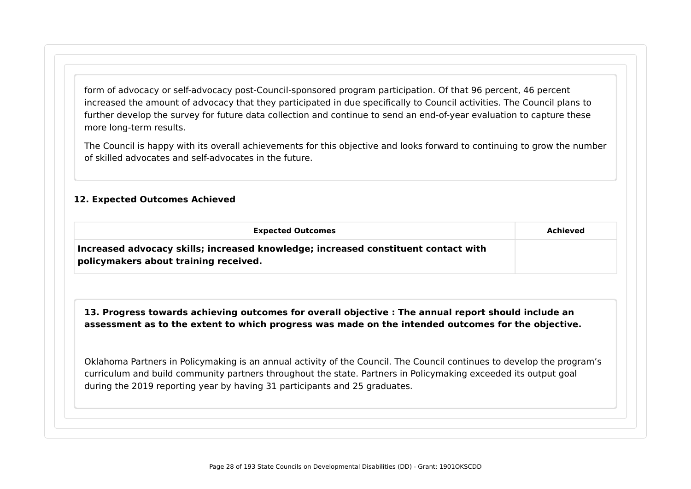form of advocacy or self-advocacy post-Council-sponsored program participation. Of that 96 percent, 46 percent increased the amount of advocacy that they participated in due specifically to Council activities. The Council plans to further develop the survey for future data collection and continue to send an end-of-year evaluation to capture these more long-term results.

The Council is happy with its overall achievements for this objective and looks forward to continuing to grow the number of skilled advocates and self-advocates in the future.

#### **12. Expected Outcomes Achieved**

| <b>Expected Outcomes</b>                                                                                                    | Achieved |
|-----------------------------------------------------------------------------------------------------------------------------|----------|
| Increased advocacy skills; increased knowledge; increased constituent contact with<br>policymakers about training received. |          |

#### **13. Progress towards achieving outcomes for overall objective : The annual report should include an assessment as to the extent to which progress was made on the intended outcomes for the objective.**

Oklahoma Partners in Policymaking is an annual activity of the Council. The Council continues to develop the program's curriculum and build community partners throughout the state. Partners in Policymaking exceeded its output goal during the 2019 reporting year by having 31 participants and 25 graduates.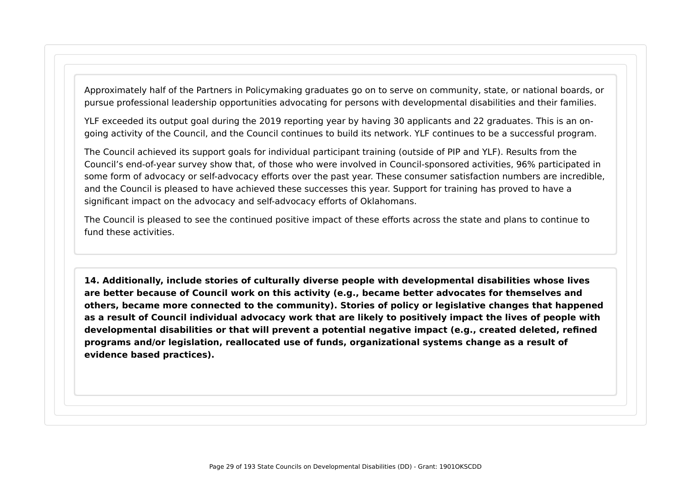Approximately half of the Partners in Policymaking graduates go on to serve on community, state, or national boards, or pursue professional leadership opportunities advocating for persons with developmental disabilities and their families.

YLF exceeded its output goal during the 2019 reporting year by having 30 applicants and 22 graduates. This is an ongoing activity of the Council, and the Council continues to build its network. YLF continues to be a successful program.

The Council achieved its support goals for individual participant training (outside of PIP and YLF). Results from the Council's end-of-year survey show that, of those who were involved in Council-sponsored activities, 96% participated in some form of advocacy or self-advocacy efforts over the past year. These consumer satisfaction numbers are incredible, and the Council is pleased to have achieved these successes this year. Support for training has proved to have a significant impact on the advocacy and self-advocacy efforts of Oklahomans.

The Council is pleased to see the continued positive impact of these efforts across the state and plans to continue to fund these activities.

**14. Additionally, include stories of culturally diverse people with developmental disabilities whose lives are better because of Council work on this activity (e.g., became better advocates for themselves and others, became more connected to the community). Stories of policy or legislative changes that happened as a result of Council individual advocacy work that are likely to positively impact the lives of people with developmental disabilities or that will prevent a potential negative impact (e.g., created deleted, refined programs and/or legislation, reallocated use of funds, organizational systems change as a result of evidence based practices).**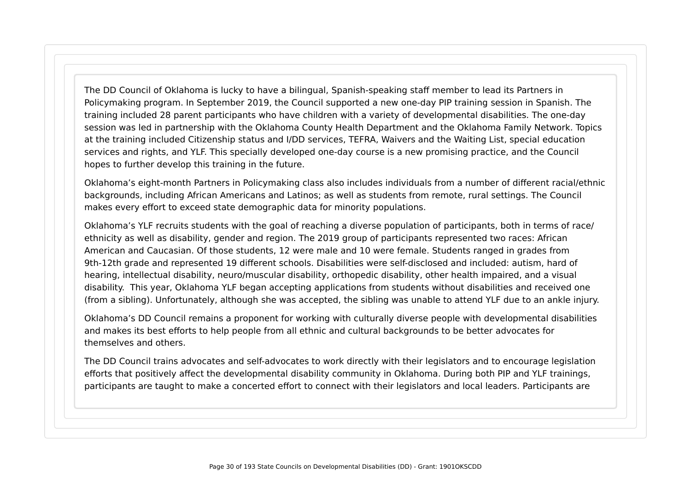The DD Council of Oklahoma is lucky to have a bilingual, Spanish-speaking staff member to lead its Partners in Policymaking program. In September 2019, the Council supported a new one-day PIP training session in Spanish. The training included 28 parent participants who have children with a variety of developmental disabilities. The one-day session was led in partnership with the Oklahoma County Health Department and the Oklahoma Family Network. Topics at the training included Citizenship status and I/DD services, TEFRA, Waivers and the Waiting List, special education services and rights, and YLF. This specially developed one-day course is a new promising practice, and the Council hopes to further develop this training in the future.

Oklahoma's eight-month Partners in Policymaking class also includes individuals from a number of different racial/ethnic backgrounds, including African Americans and Latinos; as well as students from remote, rural settings. The Council makes every effort to exceed state demographic data for minority populations.

Oklahoma's YLF recruits students with the goal of reaching a diverse population of participants, both in terms of race/ ethnicity as well as disability, gender and region. The 2019 group of participants represented two races: African American and Caucasian. Of those students, 12 were male and 10 were female. Students ranged in grades from 9th-12th grade and represented 19 different schools. Disabilities were self-disclosed and included: autism, hard of hearing, intellectual disability, neuro/muscular disability, orthopedic disability, other health impaired, and a visual disability. This year, Oklahoma YLF began accepting applications from students without disabilities and received one (from a sibling). Unfortunately, although she was accepted, the sibling was unable to attend YLF due to an ankle injury.

Oklahoma's DD Council remains a proponent for working with culturally diverse people with developmental disabilities and makes its best efforts to help people from all ethnic and cultural backgrounds to be better advocates for themselves and others.

The DD Council trains advocates and self-advocates to work directly with their legislators and to encourage legislation efforts that positively affect the developmental disability community in Oklahoma. During both PIP and YLF trainings, participants are taught to make a concerted effort to connect with their legislators and local leaders. Participants are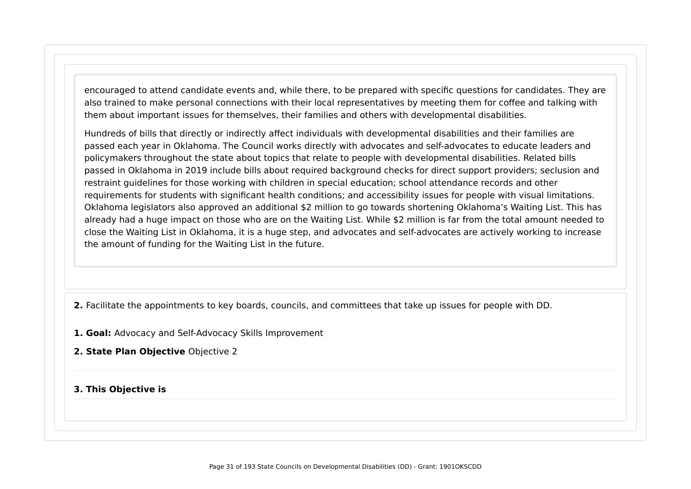encouraged to attend candidate events and, while there, to be prepared with specific questions for candidates. They are also trained to make personal connections with their local representatives by meeting them for coffee and talking with them about important issues for themselves, their families and others with developmental disabilities.

Hundreds of bills that directly or indirectly affect individuals with developmental disabilities and their families are passed each year in Oklahoma. The Council works directly with advocates and self-advocates to educate leaders and policymakers throughout the state about topics that relate to people with developmental disabilities. Related bills passed in Oklahoma in 2019 include bills about required background checks for direct support providers; seclusion and restraint guidelines for those working with children in special education; school attendance records and other requirements for students with significant health conditions; and accessibility issues for people with visual limitations. Oklahoma legislators also approved an additional \$2 million to go towards shortening Oklahoma's Waiting List. This has already had a huge impact on those who are on the Waiting List. While \$2 million is far from the total amount needed to close the Waiting List in Oklahoma, it is a huge step, and advocates and self-advocates are actively working to increase the amount of funding for the Waiting List in the future.

**2.** Facilitate the appointments to key boards, councils, and committees that take up issues for people with DD.

- **1. Goal:** Advocacy and Self-Advocacy Skills Improvement
- **2. State Plan Objective** Objective 2

#### **3. This Objective is**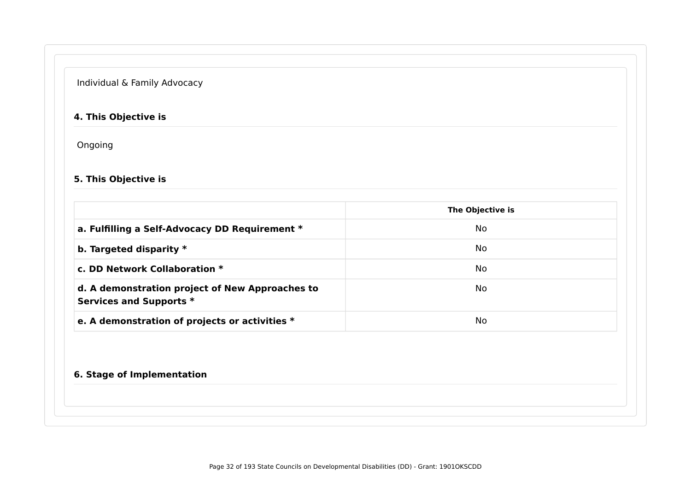#### Individual & Family Advocacy

#### **4. This Objective is**

Ongoing

#### **5. This Objective is**

|                                                                            | The Objective is |
|----------------------------------------------------------------------------|------------------|
| a. Fulfilling a Self-Advocacy DD Requirement *                             | No.              |
| b. Targeted disparity $*$                                                  | No               |
| c. DD Network Collaboration $*$                                            | No.              |
| d. A demonstration project of New Approaches to<br>Services and Supports * | No.              |
| e. A demonstration of projects or activities *                             | No.              |

#### **6. Stage of Implementation**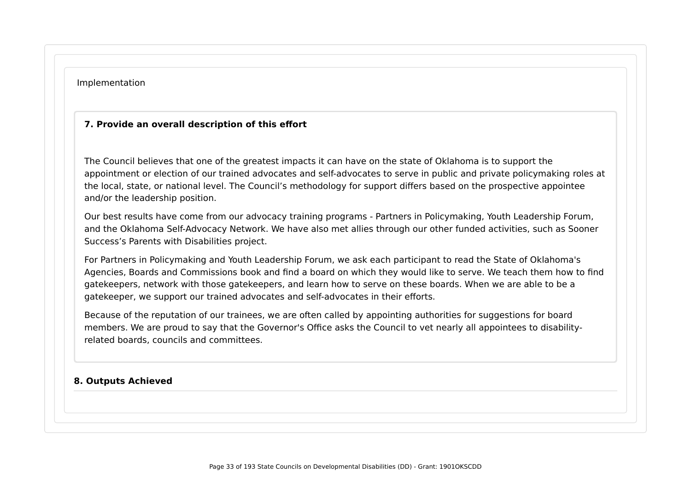#### Implementation

#### **7. Provide an overall description of this effort**

The Council believes that one of the greatest impacts it can have on the state of Oklahoma is to support the appointment or election of our trained advocates and self-advocates to serve in public and private policymaking roles at the local, state, or national level. The Council's methodology for support differs based on the prospective appointee and/or the leadership position.

Our best results have come from our advocacy training programs - Partners in Policymaking, Youth Leadership Forum, and the Oklahoma Self-Advocacy Network. We have also met allies through our other funded activities, such as Sooner Success's Parents with Disabilities project.

For Partners in Policymaking and Youth Leadership Forum, we ask each participant to read the State of Oklahoma's Agencies, Boards and Commissions book and find a board on which they would like to serve. We teach them how to find gatekeepers, network with those gatekeepers, and learn how to serve on these boards. When we are able to be a gatekeeper, we support our trained advocates and self-advocates in their efforts.

Because of the reputation of our trainees, we are often called by appointing authorities for suggestions for board members. We are proud to say that the Governor's Office asks the Council to vet nearly all appointees to disabilityrelated boards, councils and committees.

#### **8. Outputs Achieved**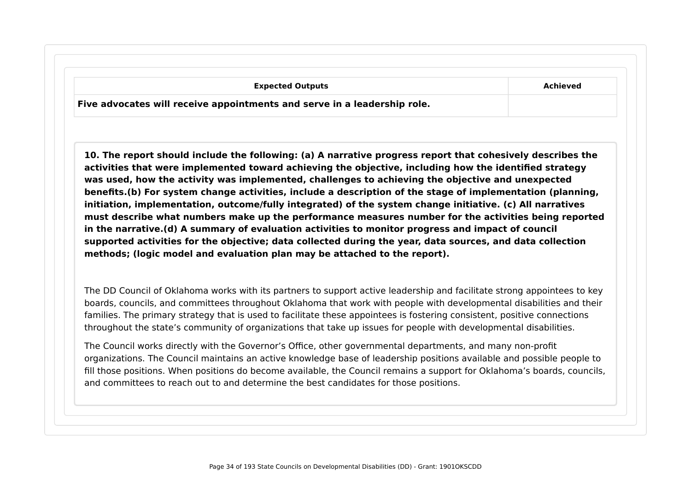| <b>Expected Outputs</b>                                                  | Achieved |
|--------------------------------------------------------------------------|----------|
| Five advocates will receive appointments and serve in a leadership role. |          |

**10. The report should include the following: (a) A narrative progress report that cohesively describes the activities that were implemented toward achieving the objective, including how the identified strategy was used, how the activity was implemented, challenges to achieving the objective and unexpected benefits.(b) For system change activities, include a description of the stage of implementation (planning, initiation, implementation, outcome/fully integrated) of the system change initiative. (c) All narratives must describe what numbers make up the performance measures number for the activities being reported in the narrative.(d) A summary of evaluation activities to monitor progress and impact of council supported activities for the objective; data collected during the year, data sources, and data collection methods; (logic model and evaluation plan may be attached to the report).**

The DD Council of Oklahoma works with its partners to support active leadership and facilitate strong appointees to key boards, councils, and committees throughout Oklahoma that work with people with developmental disabilities and their families. The primary strategy that is used to facilitate these appointees is fostering consistent, positive connections throughout the state's community of organizations that take up issues for people with developmental disabilities.

The Council works directly with the Governor's Office, other governmental departments, and many non-profit organizations. The Council maintains an active knowledge base of leadership positions available and possible people to fill those positions. When positions do become available, the Council remains a support for Oklahoma's boards, councils, and committees to reach out to and determine the best candidates for those positions.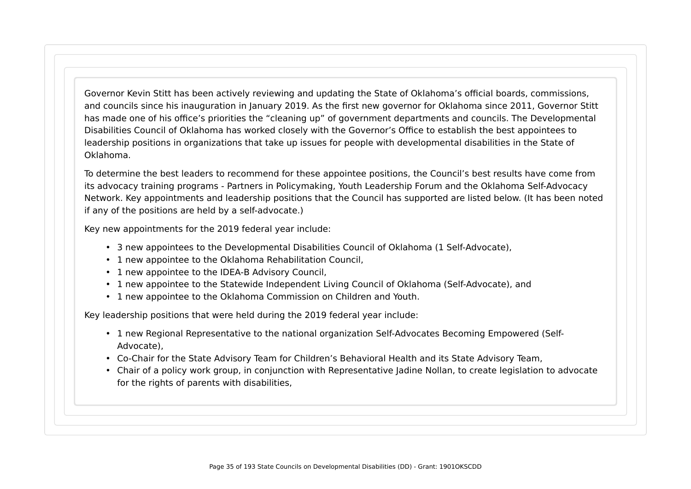Governor Kevin Stitt has been actively reviewing and updating the State of Oklahoma's official boards, commissions, and councils since his inauguration in January 2019. As the first new governor for Oklahoma since 2011, Governor Stitt has made one of his office's priorities the "cleaning up" of government departments and councils. The Developmental Disabilities Council of Oklahoma has worked closely with the Governor's Office to establish the best appointees to leadership positions in organizations that take up issues for people with developmental disabilities in the State of Oklahoma.

To determine the best leaders to recommend for these appointee positions, the Council's best results have come from its advocacy training programs - Partners in Policymaking, Youth Leadership Forum and the Oklahoma Self-Advocacy Network. Key appointments and leadership positions that the Council has supported are listed below. (It has been noted if any of the positions are held by a self-advocate.)

Key new appointments for the 2019 federal year include:

- 3 new appointees to the Developmental Disabilities Council of Oklahoma (1 Self-Advocate),
- 1 new appointee to the Oklahoma Rehabilitation Council,
- 1 new appointee to the IDEA-B Advisory Council,
- 1 new appointee to the Statewide Independent Living Council of Oklahoma (Self-Advocate), and
- 1 new appointee to the Oklahoma Commission on Children and Youth.

Key leadership positions that were held during the 2019 federal year include:

- 1 new Regional Representative to the national organization Self-Advocates Becoming Empowered (Self-Advocate),
- Co-Chair for the State Advisory Team for Children's Behavioral Health and its State Advisory Team,
- Chair of a policy work group, in conjunction with Representative Jadine Nollan, to create legislation to advocate for the rights of parents with disabilities,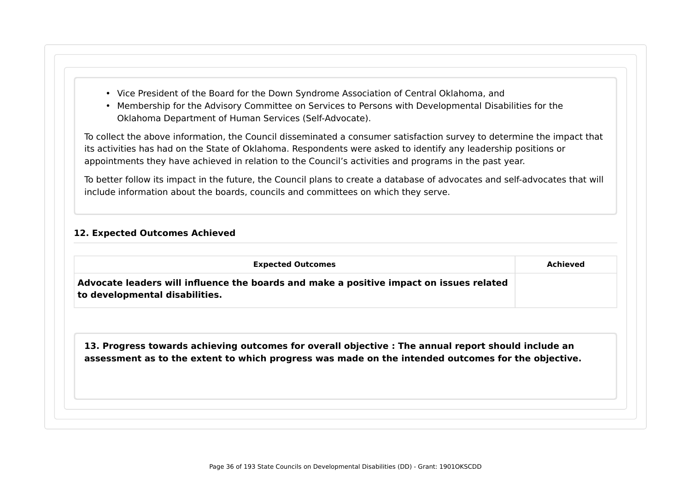- Vice President of the Board for the Down Syndrome Association of Central Oklahoma, and
- Membership for the Advisory Committee on Services to Persons with Developmental Disabilities for the Oklahoma Department of Human Services (Self-Advocate).

To collect the above information, the Council disseminated a consumer satisfaction survey to determine the impact that its activities has had on the State of Oklahoma. Respondents were asked to identify any leadership positions or appointments they have achieved in relation to the Council's activities and programs in the past year.

To better follow its impact in the future, the Council plans to create a database of advocates and self-advocates that will include information about the boards, councils and committees on which they serve.

#### **12. Expected Outcomes Achieved**

| Advocate leaders will influence the boards and make a positive impact on issues related             |
|-----------------------------------------------------------------------------------------------------|
| 13. Progress towards achieving outcomes for overall objective : The annual report should include an |
| assessment as to the extent to which progress was made on the intended outcomes for the objective.  |
|                                                                                                     |
|                                                                                                     |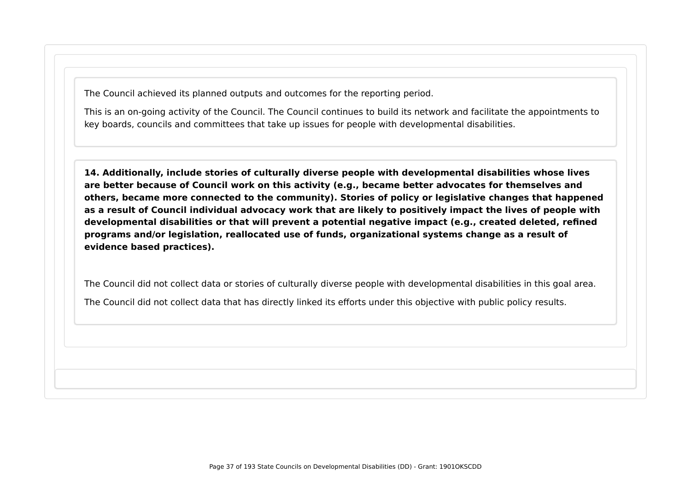The Council achieved its planned outputs and outcomes for the reporting period.

This is an on-going activity of the Council. The Council continues to build its network and facilitate the appointments to key boards, councils and committees that take up issues for people with developmental disabilities.

**14. Additionally, include stories of culturally diverse people with developmental disabilities whose lives are better because of Council work on this activity (e.g., became better advocates for themselves and others, became more connected to the community). Stories of policy or legislative changes that happened as a result of Council individual advocacy work that are likely to positively impact the lives of people with developmental disabilities or that will prevent a potential negative impact (e.g., created deleted, refined programs and/or legislation, reallocated use of funds, organizational systems change as a result of evidence based practices).**

The Council did not collect data or stories of culturally diverse people with developmental disabilities in this goal area. The Council did not collect data that has directly linked its efforts under this objective with public policy results.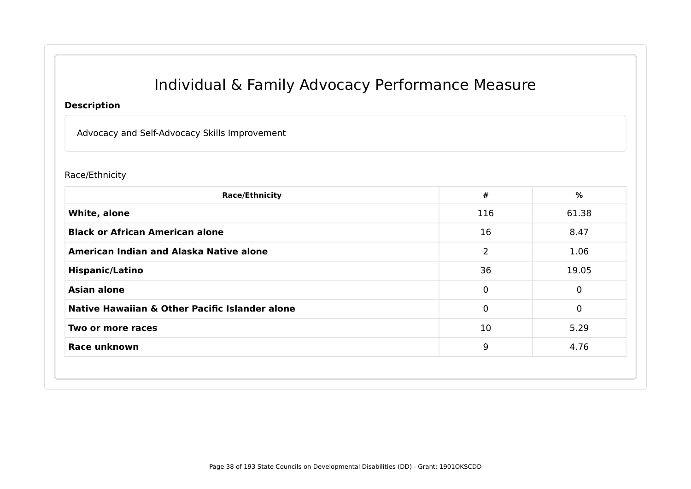# Individual & Family Advocacy Performance Measure

#### **Description**

Advocacy and Self-Advocacy Skills Improvement

#### Race/Ethnicity

| <b>Race/Ethnicity</b>                          | #              | %           |
|------------------------------------------------|----------------|-------------|
| White, alone                                   | 116            | 61.38       |
| <b>Black or African American alone</b>         | 16             | 8.47        |
| American Indian and Alaska Native alone        | $\overline{2}$ | 1.06        |
| <b>Hispanic/Latino</b>                         | 36             | 19.05       |
| <b>Asian alone</b>                             | $\mathbf 0$    | $\Omega$    |
| Native Hawaiian & Other Pacific Islander alone | $\mathbf 0$    | $\mathbf 0$ |
| Two or more races                              | 10             | 5.29        |
| Race unknown                                   | 9              | 4.76        |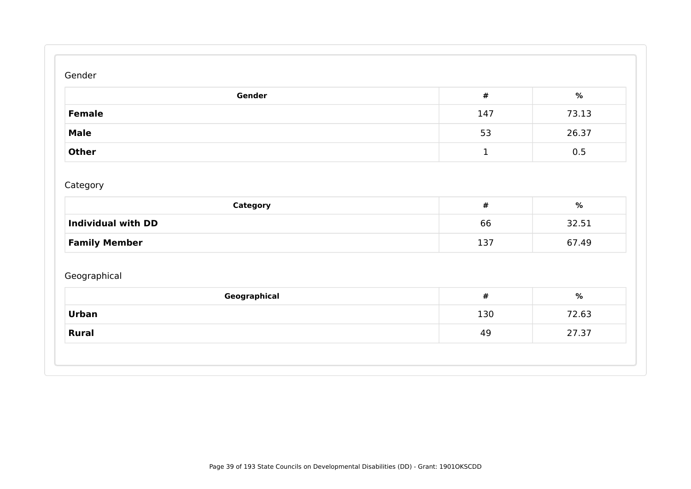#### Gender

| Gender       | #   | %     |
|--------------|-----|-------|
| Female       | 147 | 73.13 |
| <b>Male</b>  | 53  | 26.37 |
| <b>Other</b> |     | 0.5   |

## Category

| Category                  | #   | %     |
|---------------------------|-----|-------|
| <b>Individual with DD</b> | 66  | 32.51 |
| <b>Family Member</b>      | 137 | 67.49 |

## Geographical

| 130 | 72.63 |
|-----|-------|
|     |       |
| 49  | 27.37 |
|     |       |
|     |       |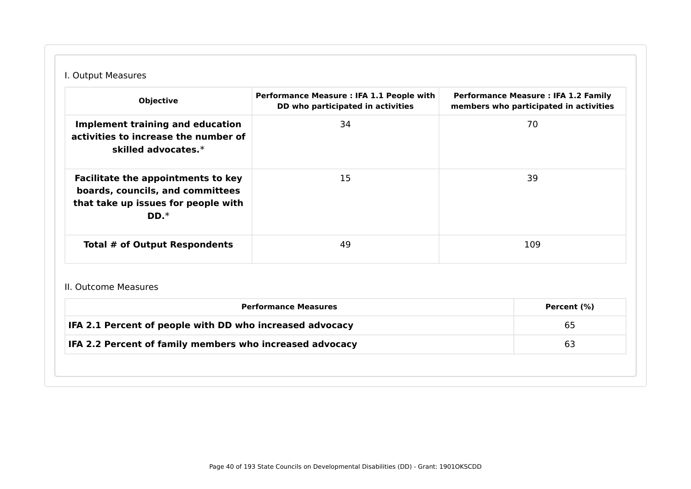## I. Output Measures

| <b>Objective</b>                                                                                                               | Performance Measure : IFA 1.1 People with<br>DD who participated in activities | <b>Performance Measure: IFA 1.2 Family</b><br>members who participated in activities |
|--------------------------------------------------------------------------------------------------------------------------------|--------------------------------------------------------------------------------|--------------------------------------------------------------------------------------|
| Implement training and education<br>activities to increase the number of<br>skilled advocates. $*$                             | 34                                                                             | 70                                                                                   |
| <b>Facilitate the appointments to key</b><br>boards, councils, and committees<br>that take up issues for people with<br>$DD.*$ | 15                                                                             | 39                                                                                   |
| Total # of Output Respondents                                                                                                  | 49                                                                             | 109                                                                                  |

#### II. Outcome Measures

| IFA 2.1 Percent of people with DD who increased advocacy | 65 |
|----------------------------------------------------------|----|
| IFA 2.2 Percent of family members who increased advocacy | 63 |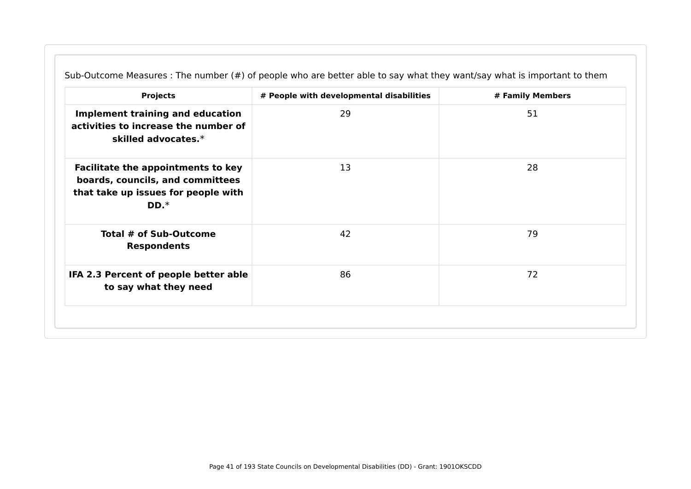| <b>Projects</b>                                                                                                                | # People with developmental disabilities | # Family Members |
|--------------------------------------------------------------------------------------------------------------------------------|------------------------------------------|------------------|
| <b>Implement training and education</b><br>activities to increase the number of<br>skilled advocates.*                         | 29                                       | 51               |
| <b>Facilitate the appointments to key</b><br>boards, councils, and committees<br>that take up issues for people with<br>$DD.*$ | 13                                       | 28               |
| Total # of Sub-Outcome<br><b>Respondents</b>                                                                                   | 42                                       | 79               |
| IFA 2.3 Percent of people better able<br>to say what they need                                                                 | 86                                       | 72               |

Sub-Outcome Measures : The number (#) of people who are better able to say what they want/say what is important to them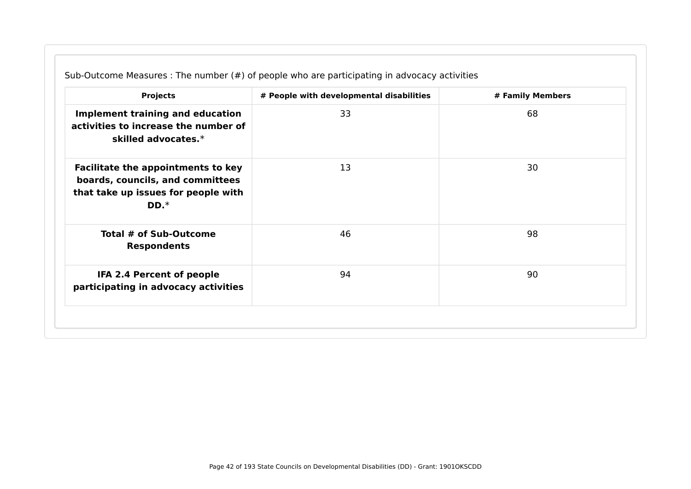| <b>Projects</b>                                                                                                                | # People with developmental disabilities | # Family Members |
|--------------------------------------------------------------------------------------------------------------------------------|------------------------------------------|------------------|
| <b>Implement training and education</b><br>activities to increase the number of<br>skilled advocates.*                         | 33                                       | 68               |
| <b>Facilitate the appointments to key</b><br>boards, councils, and committees<br>that take up issues for people with<br>$DD.*$ | 13                                       | 30               |
| Total # of Sub-Outcome<br><b>Respondents</b>                                                                                   | 46                                       | 98               |
| IFA 2.4 Percent of people<br>participating in advocacy activities                                                              | 94                                       | 90               |

Sub-Outcome Measures : The number (#) of people who are participating in advocacy activities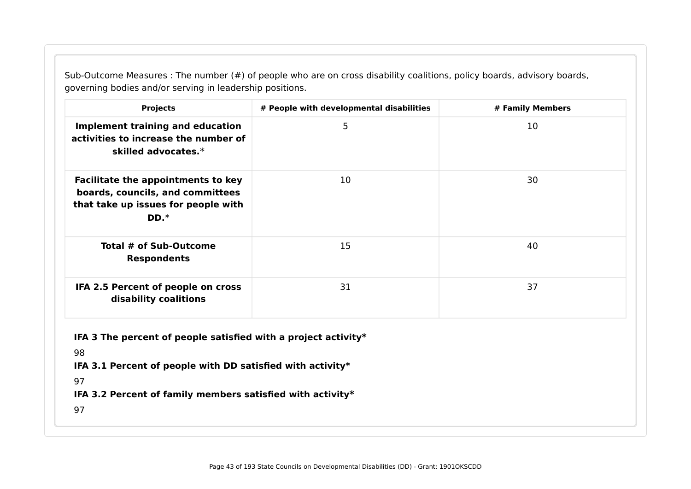Sub-Outcome Measures : The number (#) of people who are on cross disability coalitions, policy boards, advisory boards, governing bodies and/or serving in leadership positions.

| <b>Projects</b>                                                                                                                                                                                              | # Family Members |    |  |  |  |
|--------------------------------------------------------------------------------------------------------------------------------------------------------------------------------------------------------------|------------------|----|--|--|--|
| <b>Implement training and education</b><br>activities to increase the number of<br>skilled advocates.*                                                                                                       | 5                | 10 |  |  |  |
| <b>Facilitate the appointments to key</b><br>boards, councils, and committees<br>that take up issues for people with<br>$DD.*$                                                                               | 10               | 30 |  |  |  |
| Total # of Sub-Outcome<br>15<br>40<br><b>Respondents</b>                                                                                                                                                     |                  |    |  |  |  |
| IFA 2.5 Percent of people on cross<br>31<br>37<br>disability coalitions                                                                                                                                      |                  |    |  |  |  |
| IFA 3 The percent of people satisfied with a project activity*<br>98<br>IFA 3.1 Percent of people with DD satisfied with activity*<br>97<br>IFA 3.2 Percent of family members satisfied with activity*<br>97 |                  |    |  |  |  |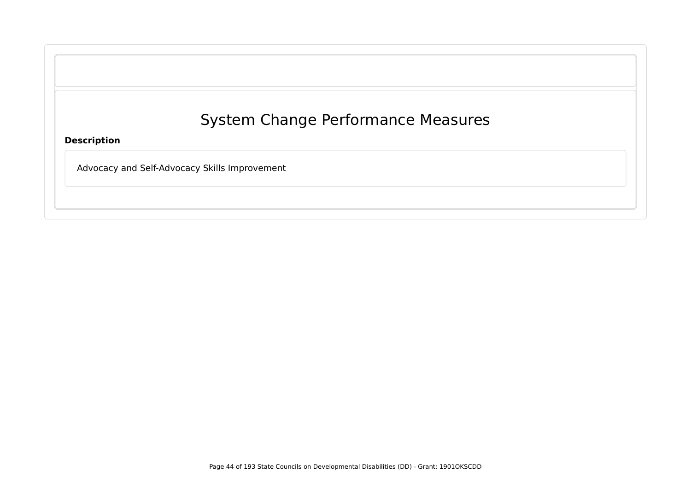|  |  | <b>System Change Performance Measures</b> |
|--|--|-------------------------------------------|
|--|--|-------------------------------------------|

**Description**

Advocacy and Self-Advocacy Skills Improvement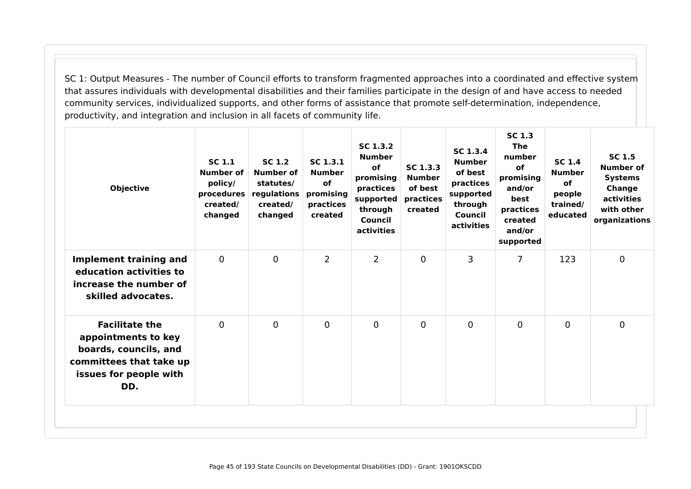SC 1: Output Measures - The number of Council efforts to transform fragmented approaches into a coordinated and effective system that assures individuals with developmental disabilities and their families participate in the design of and have access to needed community services, individualized supports, and other forms of assistance that promote self-determination, independence, productivity, and integration and inclusion in all facets of community life.

| <b>Objective</b>                                                                                                                  | <b>SC 1.1</b><br>Number of<br>policy/<br>procedures<br>created/<br>changed | <b>SC 1.2</b><br>Number of<br>statutes/<br>regulations<br>created/<br>changed | SC 1.3.1<br><b>Number</b><br><b>of</b><br>promising<br>practices<br>created | SC 1.3.2<br><b>Number</b><br>of<br>promising<br>practices<br>supported<br>through<br>Council<br>activities | SC 1.3.3<br><b>Number</b><br>of best<br>practices<br>created | SC 1.3.4<br><b>Number</b><br>of best<br>practices<br>supported<br>through<br>Council<br>activities | <b>SC 1.3</b><br><b>The</b><br>number<br><b>of</b><br>promising<br>and/or<br>best<br>practices<br>created<br>and/or<br>supported | <b>SC 1.4</b><br><b>Number</b><br><b>of</b><br>people<br>trained/<br>educated | <b>SC 1.5</b><br><b>Number of</b><br><b>Systems</b><br>Change<br>activities<br>with other<br>organizations |
|-----------------------------------------------------------------------------------------------------------------------------------|----------------------------------------------------------------------------|-------------------------------------------------------------------------------|-----------------------------------------------------------------------------|------------------------------------------------------------------------------------------------------------|--------------------------------------------------------------|----------------------------------------------------------------------------------------------------|----------------------------------------------------------------------------------------------------------------------------------|-------------------------------------------------------------------------------|------------------------------------------------------------------------------------------------------------|
| <b>Implement training and</b><br>education activities to<br>increase the number of<br>skilled advocates.                          | $\mathbf 0$                                                                | $\mathbf 0$                                                                   | $\overline{2}$                                                              | $\overline{2}$                                                                                             | $\mathbf 0$                                                  | 3                                                                                                  | $\overline{7}$                                                                                                                   | 123                                                                           | $\mathbf 0$                                                                                                |
| <b>Facilitate the</b><br>appointments to key<br>boards, councils, and<br>committees that take up<br>issues for people with<br>DD. | $\mathbf 0$                                                                | $\mathbf 0$                                                                   | $\mathbf 0$                                                                 | $\mathbf 0$                                                                                                | 0                                                            | $\mathbf 0$                                                                                        | 0                                                                                                                                | 0                                                                             | $\mathbf 0$                                                                                                |
|                                                                                                                                   |                                                                            |                                                                               |                                                                             |                                                                                                            |                                                              |                                                                                                    |                                                                                                                                  |                                                                               |                                                                                                            |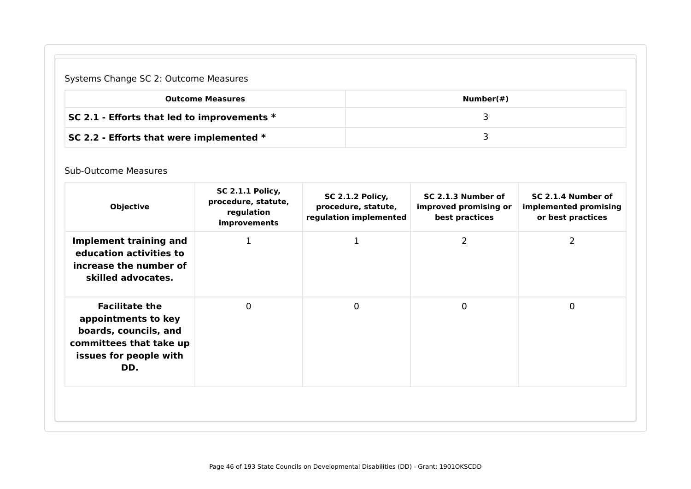## Systems Change SC 2: Outcome Measures

| <b>Outcome Measures</b>                       | Number $(\#)$ |
|-----------------------------------------------|---------------|
| SC 2.1 - Efforts that led to improvements $*$ |               |
| SC 2.2 - Efforts that were implemented $*$    |               |

#### Sub-Outcome Measures

| <b>Objective</b>                                                                                                                  | procedure, statute,<br>regulation<br>improvements | <b>SC 2.1.2 Policy,</b><br>procedure, statute,<br>regulation implemented | SC 2.1.3 Number of<br>improved promising or<br>best practices | SC 2.1.4 Number of<br>implemented promising<br>or best practices |
|-----------------------------------------------------------------------------------------------------------------------------------|---------------------------------------------------|--------------------------------------------------------------------------|---------------------------------------------------------------|------------------------------------------------------------------|
| Implement training and<br>education activities to<br>increase the number of<br>skilled advocates.                                 | 1                                                 | 1                                                                        | $\overline{2}$                                                | 2                                                                |
| <b>Facilitate the</b><br>appointments to key<br>boards, councils, and<br>committees that take up<br>issues for people with<br>DD. | 0                                                 | $\mathbf 0$                                                              | $\mathbf 0$                                                   | $\mathbf 0$                                                      |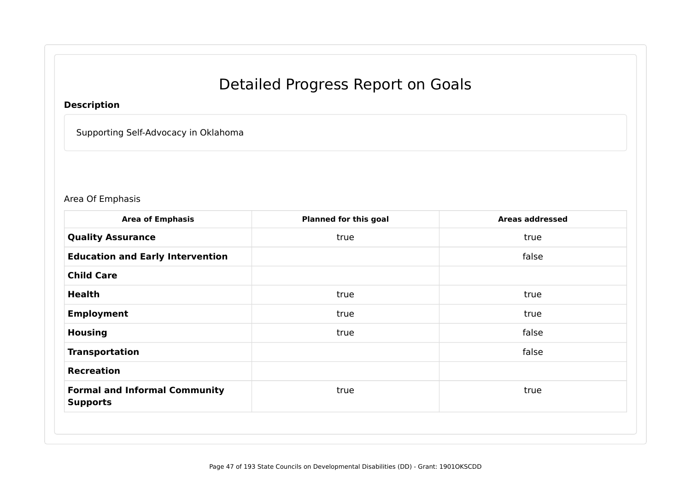# Detailed Progress Report on Goals

## **Description**

Supporting Self-Advocacy in Oklahoma

#### Area Of Emphasis

| <b>Area of Emphasis</b>                                 | <b>Planned for this goal</b> | <b>Areas addressed</b> |
|---------------------------------------------------------|------------------------------|------------------------|
| <b>Quality Assurance</b>                                | true                         | true                   |
| <b>Education and Early Intervention</b>                 |                              | false                  |
| <b>Child Care</b>                                       |                              |                        |
| <b>Health</b>                                           | true                         | true                   |
| <b>Employment</b>                                       | true                         | true                   |
| <b>Housing</b>                                          | true                         | false                  |
| <b>Transportation</b>                                   |                              | false                  |
| <b>Recreation</b>                                       |                              |                        |
| <b>Formal and Informal Community</b><br><b>Supports</b> | true                         | true                   |
|                                                         |                              |                        |
|                                                         |                              |                        |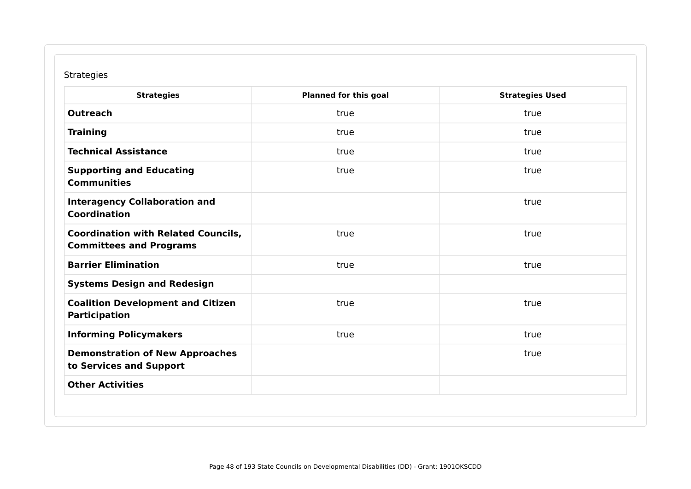### Strategies

| <b>Strategies</b>                                                            | <b>Planned for this goal</b> | <b>Strategies Used</b> |
|------------------------------------------------------------------------------|------------------------------|------------------------|
| <b>Outreach</b>                                                              | true                         | true                   |
| <b>Training</b>                                                              | true                         | true                   |
| <b>Technical Assistance</b>                                                  | true                         | true                   |
| <b>Supporting and Educating</b><br><b>Communities</b>                        | true                         | true                   |
| <b>Interagency Collaboration and</b><br><b>Coordination</b>                  |                              | true                   |
| <b>Coordination with Related Councils,</b><br><b>Committees and Programs</b> | true                         | true                   |
| <b>Barrier Elimination</b>                                                   | true                         | true                   |
| <b>Systems Design and Redesign</b>                                           |                              |                        |
| <b>Coalition Development and Citizen</b><br><b>Participation</b>             | true                         | true                   |
| <b>Informing Policymakers</b>                                                | true                         | true                   |
| <b>Demonstration of New Approaches</b><br>to Services and Support            |                              | true                   |
| <b>Other Activities</b>                                                      |                              |                        |
|                                                                              |                              |                        |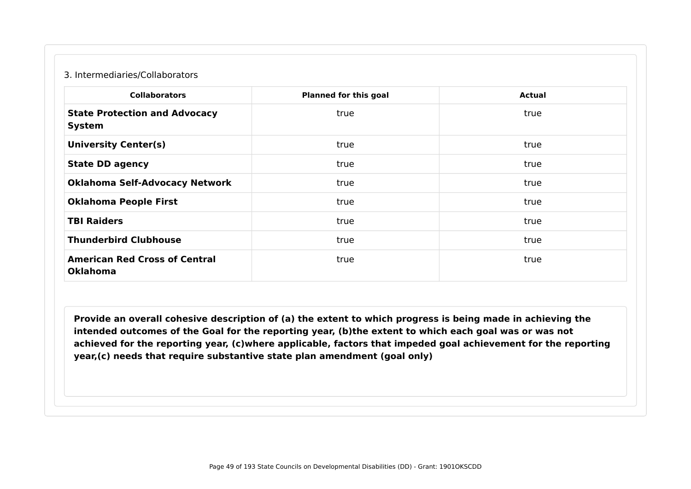#### 3. Intermediaries/Collaborators

| <b>Collaborators</b>                                    | <b>Planned for this goal</b> | <b>Actual</b> |
|---------------------------------------------------------|------------------------------|---------------|
| <b>State Protection and Advocacy</b><br><b>System</b>   | true                         | true          |
| <b>University Center(s)</b>                             | true                         | true          |
| <b>State DD agency</b>                                  | true                         | true          |
| <b>Oklahoma Self-Advocacy Network</b>                   | true                         | true          |
| <b>Oklahoma People First</b>                            | true                         | true          |
| <b>TBI Raiders</b>                                      | true                         | true          |
| <b>Thunderbird Clubhouse</b>                            | true                         | true          |
| <b>American Red Cross of Central</b><br><b>Oklahoma</b> | true                         | true          |

**Provide an overall cohesive description of (a) the extent to which progress is being made in achieving the intended outcomes of the Goal for the reporting year, (b)the extent to which each goal was or was not achieved for the reporting year, (c)where applicable, factors that impeded goal achievement for the reporting year,(c) needs that require substantive state plan amendment (goal only)**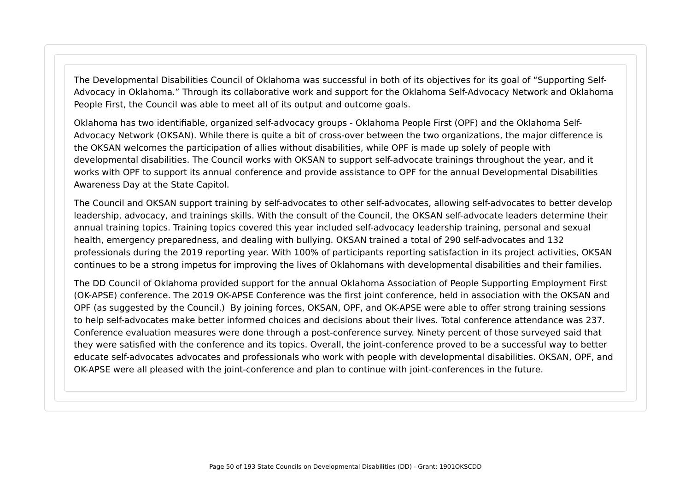The Developmental Disabilities Council of Oklahoma was successful in both of its objectives for its goal of "Supporting Self-Advocacy in Oklahoma." Through its collaborative work and support for the Oklahoma Self-Advocacy Network and Oklahoma People First, the Council was able to meet all of its output and outcome goals.

Oklahoma has two identifiable, organized self-advocacy groups - Oklahoma People First (OPF) and the Oklahoma Self-Advocacy Network (OKSAN). While there is quite a bit of cross-over between the two organizations, the major difference is the OKSAN welcomes the participation of allies without disabilities, while OPF is made up solely of people with developmental disabilities. The Council works with OKSAN to support self-advocate trainings throughout the year, and it works with OPF to support its annual conference and provide assistance to OPF for the annual Developmental Disabilities Awareness Day at the State Capitol.

The Council and OKSAN support training by self-advocates to other self-advocates, allowing self-advocates to better develop leadership, advocacy, and trainings skills. With the consult of the Council, the OKSAN self-advocate leaders determine their annual training topics. Training topics covered this year included self-advocacy leadership training, personal and sexual health, emergency preparedness, and dealing with bullying. OKSAN trained a total of 290 self-advocates and 132 professionals during the 2019 reporting year. With 100% of participants reporting satisfaction in its project activities, OKSAN continues to be a strong impetus for improving the lives of Oklahomans with developmental disabilities and their families.

The DD Council of Oklahoma provided support for the annual Oklahoma Association of People Supporting Employment First (OK-APSE) conference. The 2019 OK-APSE Conference was the first joint conference, held in association with the OKSAN and OPF (as suggested by the Council.) By joining forces, OKSAN, OPF, and OK-APSE were able to offer strong training sessions to help self-advocates make better informed choices and decisions about their lives. Total conference attendance was 237. Conference evaluation measures were done through a post-conference survey. Ninety percent of those surveyed said that they were satisfied with the conference and its topics. Overall, the joint-conference proved to be a successful way to better educate self-advocates advocates and professionals who work with people with developmental disabilities. OKSAN, OPF, and OK-APSE were all pleased with the joint-conference and plan to continue with joint-conferences in the future.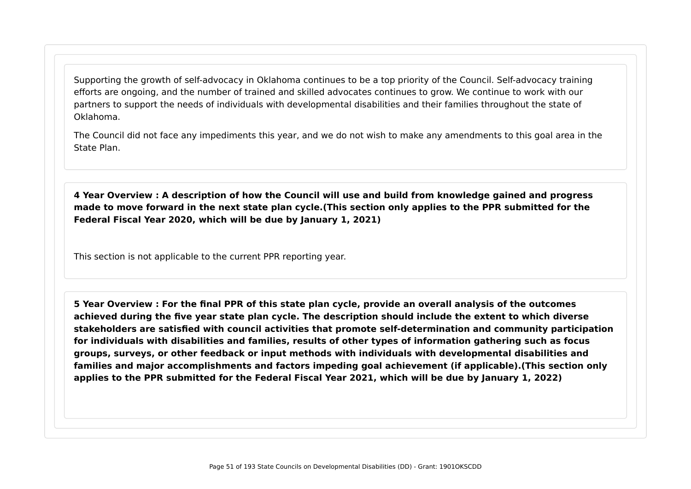Supporting the growth of self-advocacy in Oklahoma continues to be a top priority of the Council. Self-advocacy training efforts are ongoing, and the number of trained and skilled advocates continues to grow. We continue to work with our partners to support the needs of individuals with developmental disabilities and their families throughout the state of Oklahoma.

The Council did not face any impediments this year, and we do not wish to make any amendments to this goal area in the State Plan.

**4 Year Overview : A description of how the Council will use and build from knowledge gained and progress made to move forward in the next state plan cycle.(This section only applies to the PPR submitted for the Federal Fiscal Year 2020, which will be due by January 1, 2021)**

This section is not applicable to the current PPR reporting year.

**5 Year Overview : For the final PPR of this state plan cycle, provide an overall analysis of the outcomes achieved during the five year state plan cycle. The description should include the extent to which diverse stakeholders are satisfied with council activities that promote self-determination and community participation for individuals with disabilities and families, results of other types of information gathering such as focus groups, surveys, or other feedback or input methods with individuals with developmental disabilities and families and major accomplishments and factors impeding goal achievement (if applicable).(This section only applies to the PPR submitted for the Federal Fiscal Year 2021, which will be due by January 1, 2022)**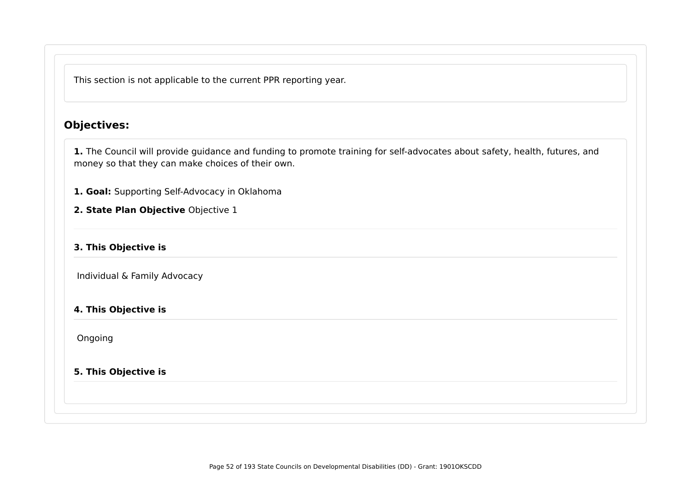This section is not applicable to the current PPR reporting year.

## **Objectives:**

**1.** The Council will provide guidance and funding to promote training for self-advocates about safety, health, futures, and money so that they can make choices of their own.

**1. Goal:** Supporting Self-Advocacy in Oklahoma

**2. State Plan Objective** Objective 1

#### **3. This Objective is**

Individual & Family Advocacy

#### **4. This Objective is**

Ongoing

#### **5. This Objective is**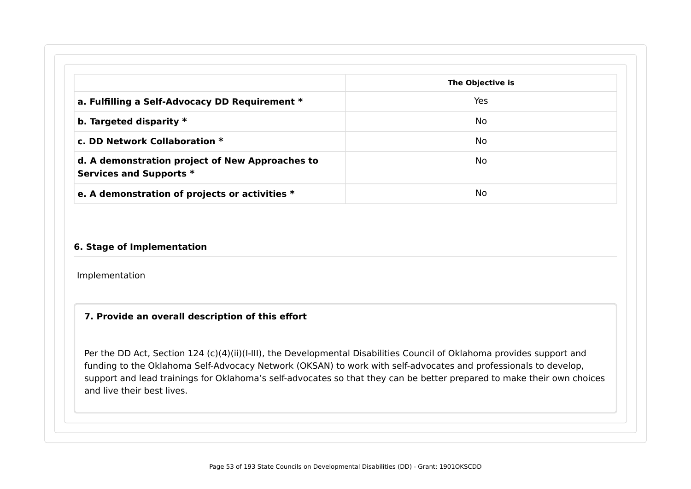|                                                                            | The Objective is |
|----------------------------------------------------------------------------|------------------|
| a. Fulfilling a Self-Advocacy DD Requirement *                             | Yes              |
| b. Targeted disparity $*$                                                  | No               |
| c. DD Network Collaboration *                                              | No               |
| d. A demonstration project of New Approaches to<br>Services and Supports * | No               |

#### **6. Stage of Implementation**

Implementation

#### **7. Provide an overall description of this effort**

Per the DD Act, Section 124 (c)(4)(ii)(I-III), the Developmental Disabilities Council of Oklahoma provides support and funding to the Oklahoma Self-Advocacy Network (OKSAN) to work with self-advocates and professionals to develop, support and lead trainings for Oklahoma's self-advocates so that they can be better prepared to make their own choices and live their best lives.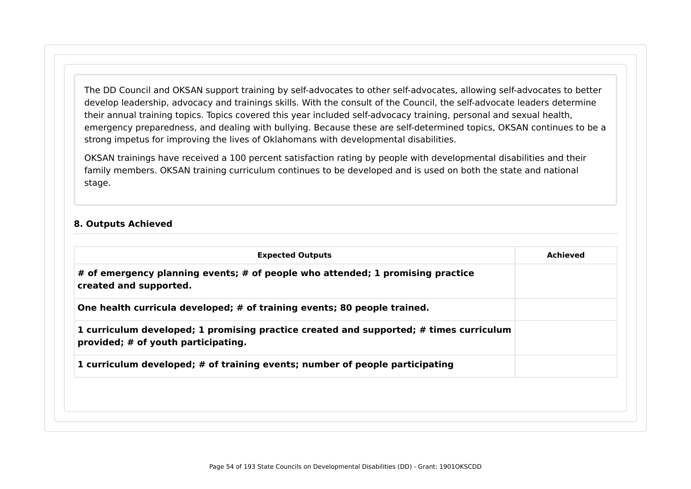The DD Council and OKSAN support training by self-advocates to other self-advocates, allowing self-advocates to better develop leadership, advocacy and trainings skills. With the consult of the Council, the self-advocate leaders determine their annual training topics. Topics covered this year included self-advocacy training, personal and sexual health, emergency preparedness, and dealing with bullying. Because these are self-determined topics, OKSAN continues to be a strong impetus for improving the lives of Oklahomans with developmental disabilities.

OKSAN trainings have received a 100 percent satisfaction rating by people with developmental disabilities and their family members. OKSAN training curriculum continues to be developed and is used on both the state and national stage.

#### **8. Outputs Achieved**

| <b>Expected Outputs</b>                                                                                                       | Achieved |
|-------------------------------------------------------------------------------------------------------------------------------|----------|
| # of emergency planning events; # of people who attended; 1 promising practice<br>created and supported.                      |          |
| One health curricula developed; # of training events; 80 people trained.                                                      |          |
| 1 curriculum developed; 1 promising practice created and supported; # times curriculum<br>provided; # of youth participating. |          |
| 1 curriculum developed; # of training events; number of people participating                                                  |          |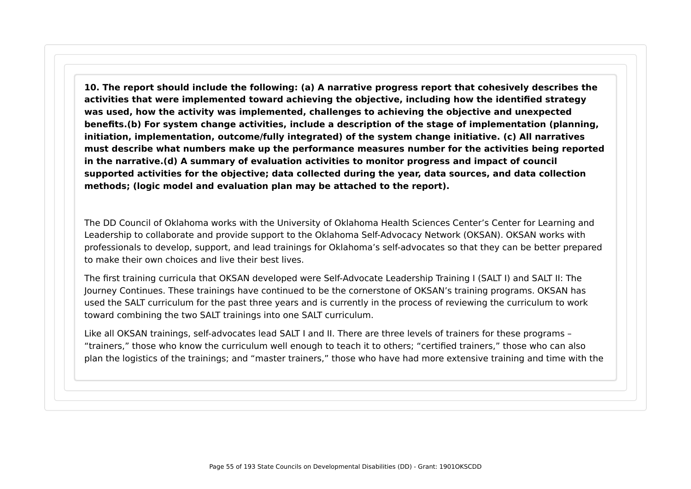**10. The report should include the following: (a) A narrative progress report that cohesively describes the activities that were implemented toward achieving the objective, including how the identified strategy was used, how the activity was implemented, challenges to achieving the objective and unexpected benefits.(b) For system change activities, include a description of the stage of implementation (planning, initiation, implementation, outcome/fully integrated) of the system change initiative. (c) All narratives must describe what numbers make up the performance measures number for the activities being reported in the narrative.(d) A summary of evaluation activities to monitor progress and impact of council supported activities for the objective; data collected during the year, data sources, and data collection methods; (logic model and evaluation plan may be attached to the report).**

The DD Council of Oklahoma works with the University of Oklahoma Health Sciences Center's Center for Learning and Leadership to collaborate and provide support to the Oklahoma Self-Advocacy Network (OKSAN). OKSAN works with professionals to develop, support, and lead trainings for Oklahoma's self-advocates so that they can be better prepared to make their own choices and live their best lives.

The first training curricula that OKSAN developed were Self-Advocate Leadership Training I (SALT I) and SALT II: The Journey Continues. These trainings have continued to be the cornerstone of OKSAN's training programs. OKSAN has used the SALT curriculum for the past three years and is currently in the process of reviewing the curriculum to work toward combining the two SALT trainings into one SALT curriculum.

Like all OKSAN trainings, self-advocates lead SALT I and II. There are three levels of trainers for these programs – "trainers," those who know the curriculum well enough to teach it to others; "certified trainers," those who can also plan the logistics of the trainings; and "master trainers," those who have had more extensive training and time with the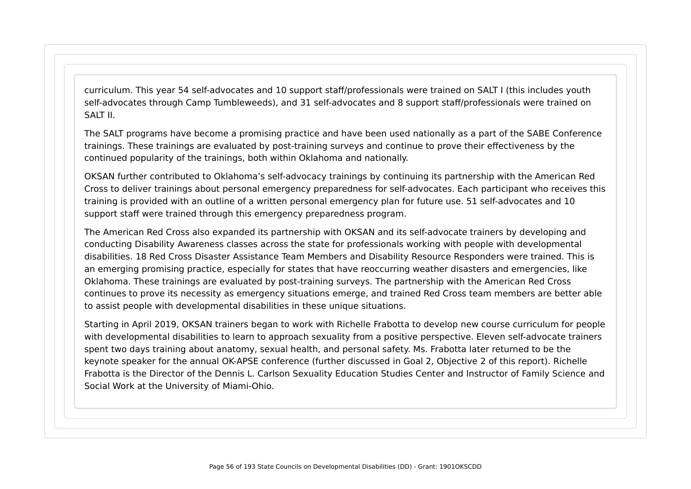curriculum. This year 54 self-advocates and 10 support staff/professionals were trained on SALT I (this includes youth self-advocates through Camp Tumbleweeds), and 31 self-advocates and 8 support staff/professionals were trained on SAIT II.

The SALT programs have become a promising practice and have been used nationally as a part of the SABE Conference trainings. These trainings are evaluated by post-training surveys and continue to prove their effectiveness by the continued popularity of the trainings, both within Oklahoma and nationally.

OKSAN further contributed to Oklahoma's self-advocacy trainings by continuing its partnership with the American Red Cross to deliver trainings about personal emergency preparedness for self-advocates. Each participant who receives this training is provided with an outline of a written personal emergency plan for future use. 51 self-advocates and 10 support staff were trained through this emergency preparedness program.

The American Red Cross also expanded its partnership with OKSAN and its self-advocate trainers by developing and conducting Disability Awareness classes across the state for professionals working with people with developmental disabilities. 18 Red Cross Disaster Assistance Team Members and Disability Resource Responders were trained. This is an emerging promising practice, especially for states that have reoccurring weather disasters and emergencies, like Oklahoma. These trainings are evaluated by post-training surveys. The partnership with the American Red Cross continues to prove its necessity as emergency situations emerge, and trained Red Cross team members are better able to assist people with developmental disabilities in these unique situations.

Starting in April 2019, OKSAN trainers began to work with Richelle Frabotta to develop new course curriculum for people with developmental disabilities to learn to approach sexuality from a positive perspective. Eleven self-advocate trainers spent two days training about anatomy, sexual health, and personal safety. Ms. Frabotta later returned to be the keynote speaker for the annual OK-APSE conference (further discussed in Goal 2, Objective 2 of this report). Richelle Frabotta is the Director of the Dennis L. Carlson Sexuality Education Studies Center and Instructor of Family Science and Social Work at the University of Miami-Ohio.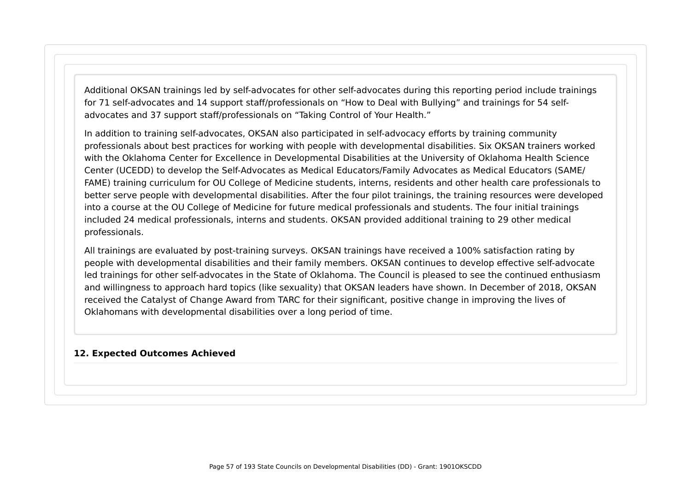Additional OKSAN trainings led by self-advocates for other self-advocates during this reporting period include trainings for 71 self-advocates and 14 support staff/professionals on "How to Deal with Bullying" and trainings for 54 selfadvocates and 37 support staff/professionals on "Taking Control of Your Health."

In addition to training self-advocates, OKSAN also participated in self-advocacy efforts by training community professionals about best practices for working with people with developmental disabilities. Six OKSAN trainers worked with the Oklahoma Center for Excellence in Developmental Disabilities at the University of Oklahoma Health Science Center (UCEDD) to develop the Self-Advocates as Medical Educators/Family Advocates as Medical Educators (SAME/ FAME) training curriculum for OU College of Medicine students, interns, residents and other health care professionals to better serve people with developmental disabilities. After the four pilot trainings, the training resources were developed into a course at the OU College of Medicine for future medical professionals and students. The four initial trainings included 24 medical professionals, interns and students. OKSAN provided additional training to 29 other medical professionals.

All trainings are evaluated by post-training surveys. OKSAN trainings have received a 100% satisfaction rating by people with developmental disabilities and their family members. OKSAN continues to develop effective self-advocate led trainings for other self-advocates in the State of Oklahoma. The Council is pleased to see the continued enthusiasm and willingness to approach hard topics (like sexuality) that OKSAN leaders have shown. In December of 2018, OKSAN received the Catalyst of Change Award from TARC for their significant, positive change in improving the lives of Oklahomans with developmental disabilities over a long period of time.

#### **12. Expected Outcomes Achieved**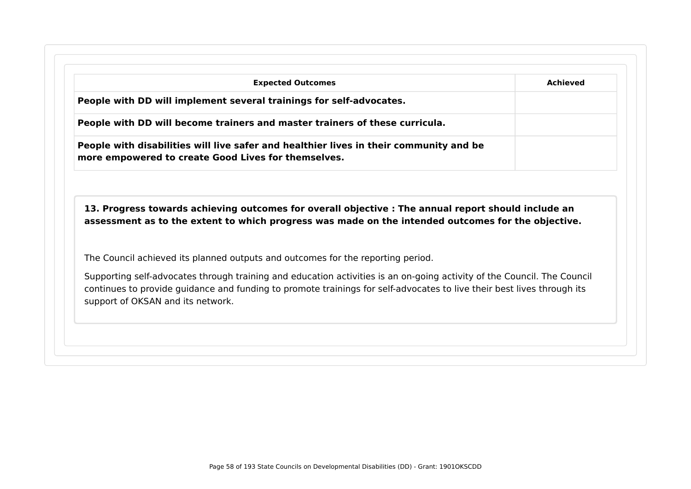| <b>Expected Outcomes</b>                                                                                                                                                                                  | Achieved |
|-----------------------------------------------------------------------------------------------------------------------------------------------------------------------------------------------------------|----------|
| People with DD will implement several trainings for self-advocates.                                                                                                                                       |          |
| People with DD will become trainers and master trainers of these curricula.                                                                                                                               |          |
| People with disabilities will live safer and healthier lives in their community and be<br>more empowered to create Good Lives for themselves.                                                             |          |
|                                                                                                                                                                                                           |          |
| 13. Progress towards achieving outcomes for overall objective : The annual report should include an<br>assessment as to the extent to which progress was made on the intended outcomes for the objective. |          |
| The Council achieved its planned outputs and outcomes for the reporting period.                                                                                                                           |          |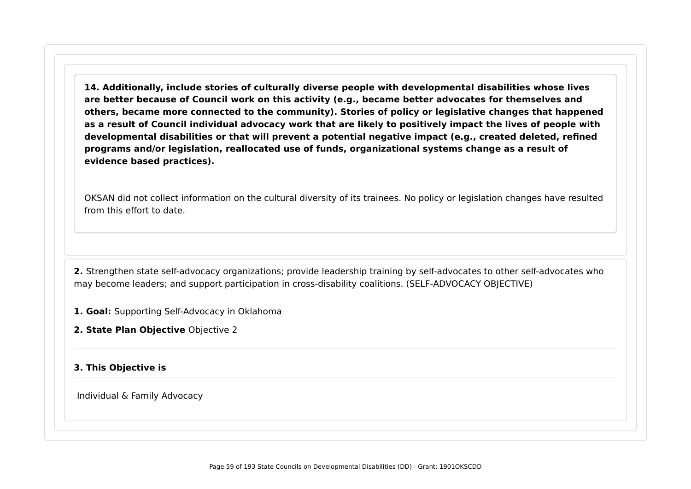**14. Additionally, include stories of culturally diverse people with developmental disabilities whose lives are better because of Council work on this activity (e.g., became better advocates for themselves and others, became more connected to the community). Stories of policy or legislative changes that happened as a result of Council individual advocacy work that are likely to positively impact the lives of people with developmental disabilities or that will prevent a potential negative impact (e.g., created deleted, refined programs and/or legislation, reallocated use of funds, organizational systems change as a result of evidence based practices).**

OKSAN did not collect information on the cultural diversity of its trainees. No policy or legislation changes have resulted from this effort to date.

**2.** Strengthen state self-advocacy organizations; provide leadership training by self-advocates to other self-advocates who may become leaders; and support participation in cross-disability coalitions. (SELF-ADVOCACY OBJECTIVE)

**1. Goal:** Supporting Self-Advocacy in Oklahoma

**2. State Plan Objective** Objective 2

#### **3. This Objective is**

Individual & Family Advocacy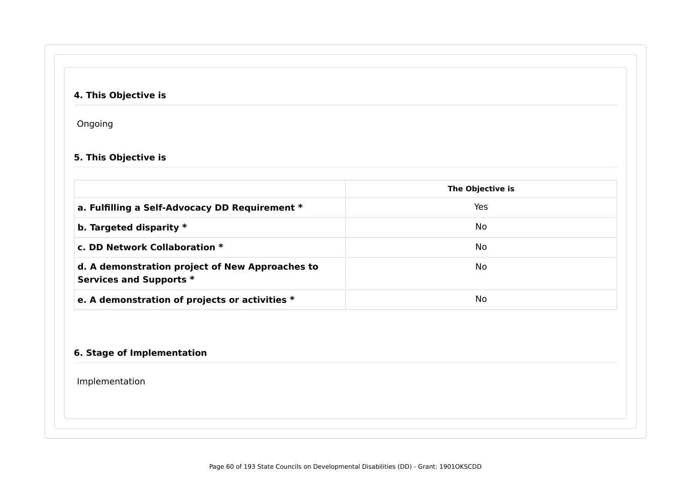## **4. This Objective is**

Ongoing

### **5. This Objective is**

|                                                                            | The Objective is |
|----------------------------------------------------------------------------|------------------|
| a. Fulfilling a Self-Advocacy DD Requirement *                             | Yes              |
| b. Targeted disparity $*$                                                  | No.              |
| c. DD Network Collaboration *                                              | No.              |
| d. A demonstration project of New Approaches to<br>Services and Supports * | No.              |
| e. A demonstration of projects or activities *                             | No.              |

#### **6. Stage of Implementation**

Implementation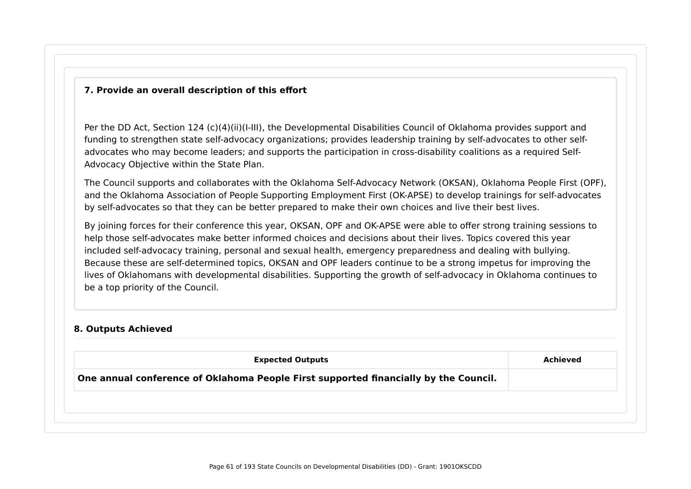#### **7. Provide an overall description of this effort**

Per the DD Act, Section 124 (c)(4)(ii)(I-III), the Developmental Disabilities Council of Oklahoma provides support and funding to strengthen state self-advocacy organizations; provides leadership training by self-advocates to other selfadvocates who may become leaders; and supports the participation in cross-disability coalitions as a required Self-Advocacy Objective within the State Plan.

The Council supports and collaborates with the Oklahoma Self-Advocacy Network (OKSAN), Oklahoma People First (OPF), and the Oklahoma Association of People Supporting Employment First (OK-APSE) to develop trainings for self-advocates by self-advocates so that they can be better prepared to make their own choices and live their best lives.

By joining forces for their conference this year, OKSAN, OPF and OK-APSE were able to offer strong training sessions to help those self-advocates make better informed choices and decisions about their lives. Topics covered this year included self-advocacy training, personal and sexual health, emergency preparedness and dealing with bullying. Because these are self-determined topics, OKSAN and OPF leaders continue to be a strong impetus for improving the lives of Oklahomans with developmental disabilities. Supporting the growth of self-advocacy in Oklahoma continues to be a top priority of the Council.

#### **8. Outputs Achieved**

| <b>Expected Outputs</b>                                                              | Achieved |
|--------------------------------------------------------------------------------------|----------|
| One annual conference of Oklahoma People First supported financially by the Council. |          |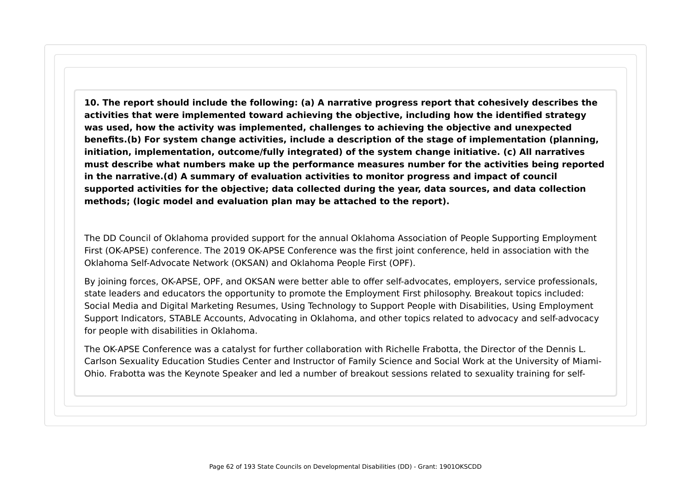**10. The report should include the following: (a) A narrative progress report that cohesively describes the activities that were implemented toward achieving the objective, including how the identified strategy was used, how the activity was implemented, challenges to achieving the objective and unexpected benefits.(b) For system change activities, include a description of the stage of implementation (planning, initiation, implementation, outcome/fully integrated) of the system change initiative. (c) All narratives must describe what numbers make up the performance measures number for the activities being reported in the narrative.(d) A summary of evaluation activities to monitor progress and impact of council supported activities for the objective; data collected during the year, data sources, and data collection methods; (logic model and evaluation plan may be attached to the report).**

The DD Council of Oklahoma provided support for the annual Oklahoma Association of People Supporting Employment First (OK-APSE) conference. The 2019 OK-APSE Conference was the first joint conference, held in association with the Oklahoma Self-Advocate Network (OKSAN) and Oklahoma People First (OPF).

By joining forces, OK-APSE, OPF, and OKSAN were better able to offer self-advocates, employers, service professionals, state leaders and educators the opportunity to promote the Employment First philosophy. Breakout topics included: Social Media and Digital Marketing Resumes, Using Technology to Support People with Disabilities, Using Employment Support Indicators, STABLE Accounts, Advocating in Oklahoma, and other topics related to advocacy and self-advocacy for people with disabilities in Oklahoma.

The OK-APSE Conference was a catalyst for further collaboration with Richelle Frabotta, the Director of the Dennis L. Carlson Sexuality Education Studies Center and Instructor of Family Science and Social Work at the University of Miami-Ohio. Frabotta was the Keynote Speaker and led a number of breakout sessions related to sexuality training for self-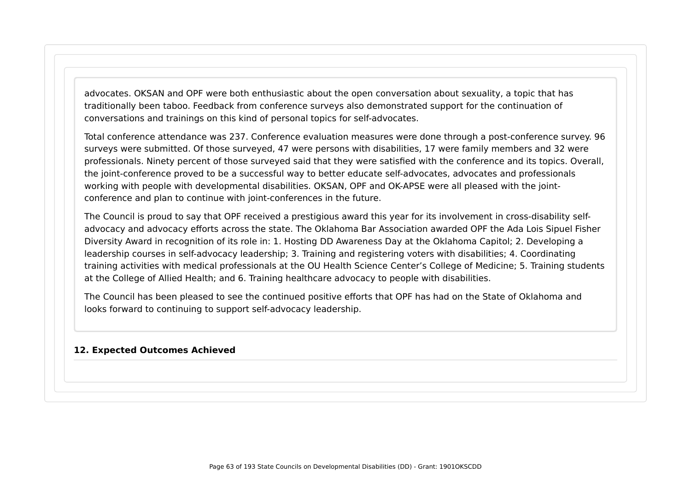advocates. OKSAN and OPF were both enthusiastic about the open conversation about sexuality, a topic that has traditionally been taboo. Feedback from conference surveys also demonstrated support for the continuation of conversations and trainings on this kind of personal topics for self-advocates.

Total conference attendance was 237. Conference evaluation measures were done through a post-conference survey. 96 surveys were submitted. Of those surveyed, 47 were persons with disabilities, 17 were family members and 32 were professionals. Ninety percent of those surveyed said that they were satisfied with the conference and its topics. Overall, the joint-conference proved to be a successful way to better educate self-advocates, advocates and professionals working with people with developmental disabilities. OKSAN, OPF and OK-APSE were all pleased with the jointconference and plan to continue with joint-conferences in the future.

The Council is proud to say that OPF received a prestigious award this year for its involvement in cross-disability selfadvocacy and advocacy efforts across the state. The Oklahoma Bar Association awarded OPF the Ada Lois Sipuel Fisher Diversity Award in recognition of its role in: 1. Hosting DD Awareness Day at the Oklahoma Capitol; 2. Developing a leadership courses in self-advocacy leadership; 3. Training and registering voters with disabilities; 4. Coordinating training activities with medical professionals at the OU Health Science Center's College of Medicine; 5. Training students at the College of Allied Health; and 6. Training healthcare advocacy to people with disabilities.

The Council has been pleased to see the continued positive efforts that OPF has had on the State of Oklahoma and looks forward to continuing to support self-advocacy leadership.

#### **12. Expected Outcomes Achieved**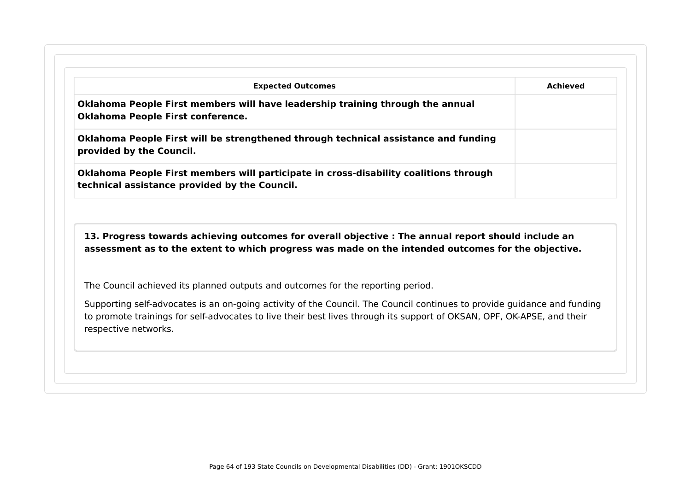|                                                                                                                                                                                                           | <b>Achieved</b>                                                                                                                                                                                                                                   |
|-----------------------------------------------------------------------------------------------------------------------------------------------------------------------------------------------------------|---------------------------------------------------------------------------------------------------------------------------------------------------------------------------------------------------------------------------------------------------|
| Oklahoma People First members will have leadership training through the annual<br><b>Oklahoma People First conference.</b>                                                                                |                                                                                                                                                                                                                                                   |
| Oklahoma People First will be strengthened through technical assistance and funding<br>provided by the Council.                                                                                           |                                                                                                                                                                                                                                                   |
| Oklahoma People First members will participate in cross-disability coalitions through<br>technical assistance provided by the Council.                                                                    |                                                                                                                                                                                                                                                   |
| 13. Progress towards achieving outcomes for overall objective : The annual report should include an<br>assessment as to the extent to which progress was made on the intended outcomes for the objective. |                                                                                                                                                                                                                                                   |
| The Council achieved its planned outputs and outcomes for the reporting period.                                                                                                                           |                                                                                                                                                                                                                                                   |
|                                                                                                                                                                                                           | Supporting self-advocates is an on-going activity of the Council. The Council continues to provide guidance and funding<br>to promote trainings for self-advocates to live their best lives through its support of OKSAN, OPF, OK-APSE, and their |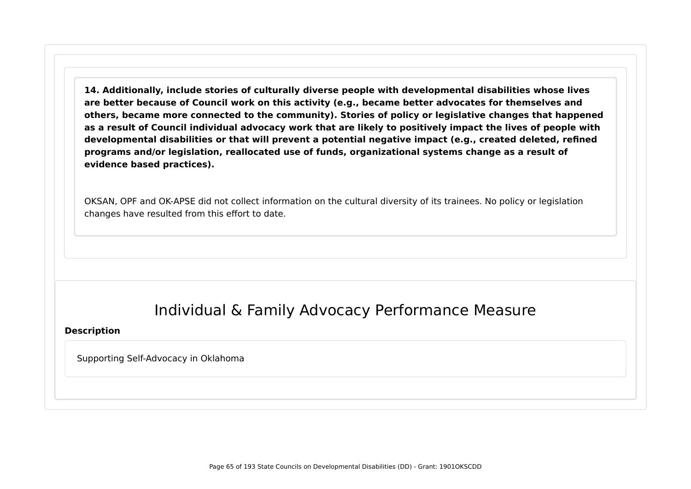**14. Additionally, include stories of culturally diverse people with developmental disabilities whose lives are better because of Council work on this activity (e.g., became better advocates for themselves and others, became more connected to the community). Stories of policy or legislative changes that happened as a result of Council individual advocacy work that are likely to positively impact the lives of people with developmental disabilities or that will prevent a potential negative impact (e.g., created deleted, refined programs and/or legislation, reallocated use of funds, organizational systems change as a result of evidence based practices).**

OKSAN, OPF and OK-APSE did not collect information on the cultural diversity of its trainees. No policy or legislation changes have resulted from this effort to date.

## Individual & Family Advocacy Performance Measure

#### **Description**

Supporting Self-Advocacy in Oklahoma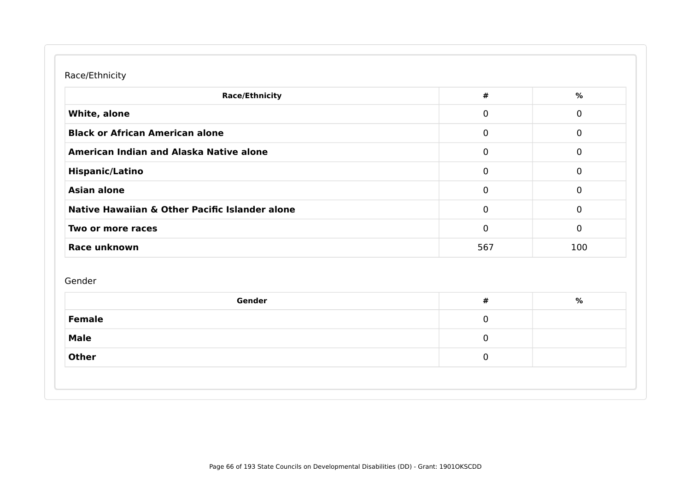### Race/Ethnicity

| <b>Race/Ethnicity</b>                          | $\#$        | $\%$           |
|------------------------------------------------|-------------|----------------|
| White, alone                                   | $\mathbf 0$ | $\mathbf 0$    |
| <b>Black or African American alone</b>         | $\mathbf 0$ | $\mathbf 0$    |
| American Indian and Alaska Native alone        | $\mathbf 0$ | $\mathbf 0$    |
| <b>Hispanic/Latino</b>                         | $\mathbf 0$ | $\mathbf 0$    |
| <b>Asian alone</b>                             | $\mathbf 0$ | $\mathbf 0$    |
| Native Hawaiian & Other Pacific Islander alone | $\mathbf 0$ | $\mathbf 0$    |
| Two or more races                              | 0           | $\overline{0}$ |
| Race unknown                                   | 567         | 100            |
| Gender                                         | $\pmb{\#}$  | $\%$           |
| Gender                                         |             |                |
|                                                | $\mathbf 0$ |                |
| <b>Female</b><br><b>Male</b>                   | 0           |                |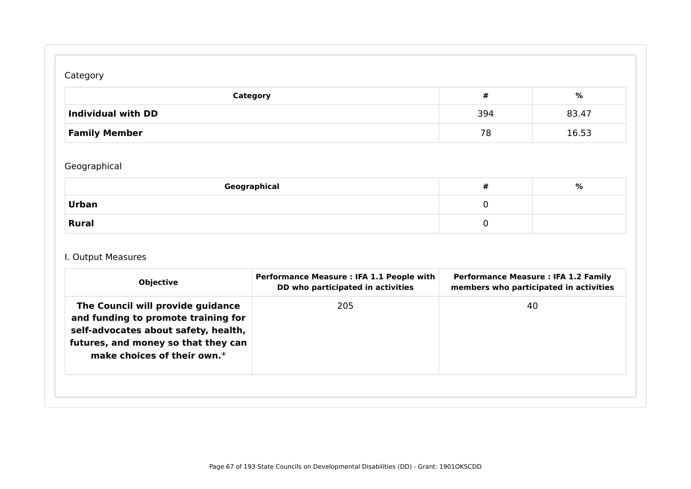## Category

| Category             | #   | %     |
|----------------------|-----|-------|
| Individual with DD   | 394 | 83.47 |
| <b>Family Member</b> | 78  | 16.53 |

## Geographical

| Geographical | 开 | % |
|--------------|---|---|
| <b>Urban</b> |   |   |
| <b>Rural</b> |   |   |

## I. Output Measures

|                                                                                                                                                                                           | DD who participated in activities | members who participated in activities |
|-------------------------------------------------------------------------------------------------------------------------------------------------------------------------------------------|-----------------------------------|----------------------------------------|
| The Council will provide guidance<br>and funding to promote training for<br>self-advocates about safety, health,<br>futures, and money so that they can<br>make choices of their own. $*$ | 205                               | 40                                     |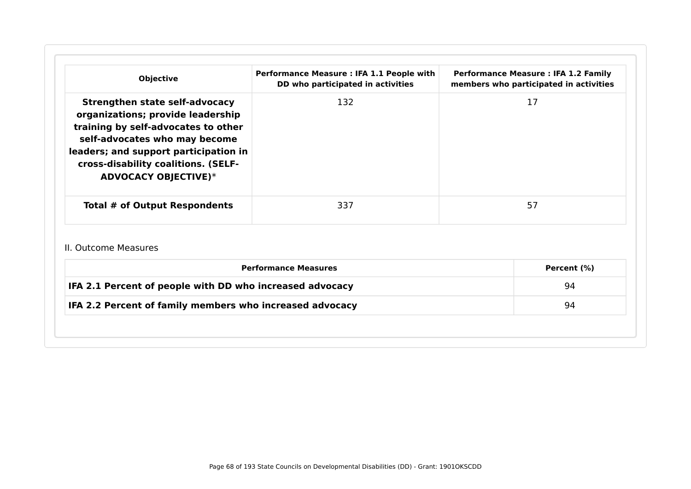| <b>Objective</b>                                                                                                                                                                                                                                                  | Performance Measure : IFA 1.1 People with<br>DD who participated in activities | <b>Performance Measure : IFA 1.2 Family</b><br>members who participated in activities |  |
|-------------------------------------------------------------------------------------------------------------------------------------------------------------------------------------------------------------------------------------------------------------------|--------------------------------------------------------------------------------|---------------------------------------------------------------------------------------|--|
| <b>Strengthen state self-advocacy</b><br>organizations; provide leadership<br>training by self-advocates to other<br>self-advocates who may become<br>leaders; and support participation in<br>cross-disability coalitions. (SELF-<br><b>ADVOCACY OBJECTIVE)*</b> | 132                                                                            | 17                                                                                    |  |
| Total # of Output Respondents                                                                                                                                                                                                                                     | 337                                                                            | 57                                                                                    |  |
| II. Outcome Measures                                                                                                                                                                                                                                              |                                                                                |                                                                                       |  |
| <b>Performance Measures</b><br>IFA 2.1 Percent of people with DD who increased advocacy                                                                                                                                                                           |                                                                                | Percent (%)                                                                           |  |
|                                                                                                                                                                                                                                                                   |                                                                                | 94                                                                                    |  |
| IFA 2.2 Percent of family members who increased advocacy                                                                                                                                                                                                          |                                                                                | 94                                                                                    |  |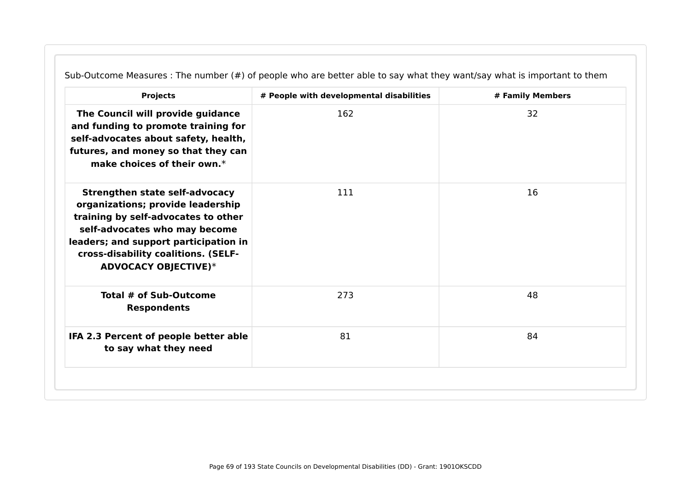| <b>Projects</b>                                                                                                                                                                                                                                                   | # People with developmental disabilities | # Family Members |
|-------------------------------------------------------------------------------------------------------------------------------------------------------------------------------------------------------------------------------------------------------------------|------------------------------------------|------------------|
| The Council will provide guidance<br>and funding to promote training for<br>self-advocates about safety, health,<br>futures, and money so that they can<br>make choices of their own.*                                                                            | 162                                      | 32               |
| <b>Strengthen state self-advocacy</b><br>organizations; provide leadership<br>training by self-advocates to other<br>self-advocates who may become<br>leaders; and support participation in<br>cross-disability coalitions. (SELF-<br><b>ADVOCACY OBJECTIVE)*</b> | 111                                      | 16               |
| Total # of Sub-Outcome<br><b>Respondents</b>                                                                                                                                                                                                                      | 273                                      | 48               |
| IFA 2.3 Percent of people better able<br>to say what they need                                                                                                                                                                                                    | 81                                       | 84               |

Sub-Outcome Measures : The number (#) of people who are better able to say what they want/say what is important to them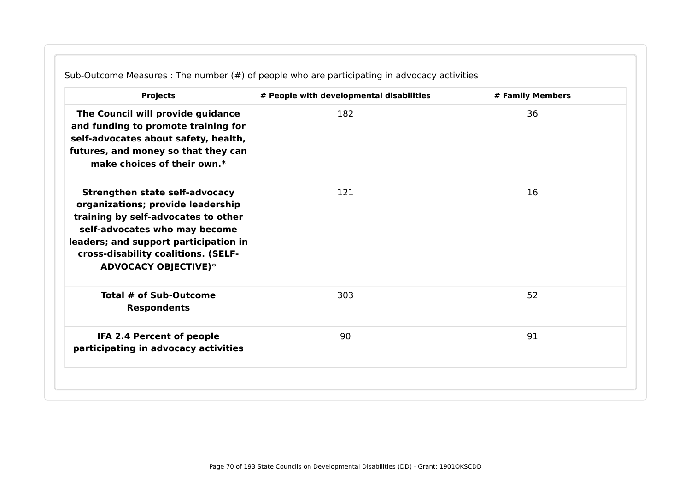| <b>Projects</b>                                                                                                                                                                                                                                                   | # People with developmental disabilities | # Family Members |
|-------------------------------------------------------------------------------------------------------------------------------------------------------------------------------------------------------------------------------------------------------------------|------------------------------------------|------------------|
| The Council will provide guidance<br>and funding to promote training for<br>self-advocates about safety, health,<br>futures, and money so that they can<br>make choices of their own.*                                                                            | 182                                      | 36               |
| <b>Strengthen state self-advocacy</b><br>organizations; provide leadership<br>training by self-advocates to other<br>self-advocates who may become<br>leaders; and support participation in<br>cross-disability coalitions. (SELF-<br><b>ADVOCACY OBJECTIVE)*</b> | 121                                      | 16               |
| Total # of Sub-Outcome<br><b>Respondents</b>                                                                                                                                                                                                                      | 303                                      | 52               |
| IFA 2.4 Percent of people<br>participating in advocacy activities                                                                                                                                                                                                 | 90                                       | 91               |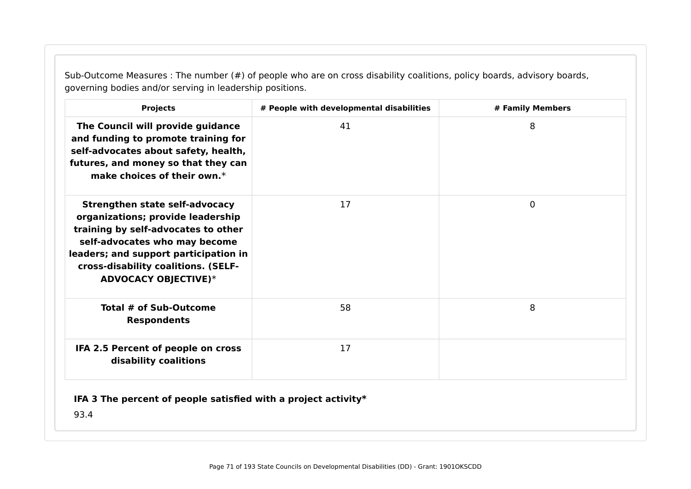Sub-Outcome Measures : The number (#) of people who are on cross disability coalitions, policy boards, advisory boards, governing bodies and/or serving in leadership positions.

| <b>Projects</b>                                                                                                                                                                                                                                                   | # People with developmental disabilities | # Family Members |
|-------------------------------------------------------------------------------------------------------------------------------------------------------------------------------------------------------------------------------------------------------------------|------------------------------------------|------------------|
| The Council will provide guidance<br>and funding to promote training for<br>self-advocates about safety, health,<br>futures, and money so that they can<br>make choices of their own. $*$                                                                         | 41                                       | 8                |
| <b>Strengthen state self-advocacy</b><br>organizations; provide leadership<br>training by self-advocates to other<br>self-advocates who may become<br>leaders; and support participation in<br>cross-disability coalitions. (SELF-<br><b>ADVOCACY OBJECTIVE)*</b> | 17                                       | $\mathbf{0}$     |
| Total # of Sub-Outcome<br><b>Respondents</b>                                                                                                                                                                                                                      | 58                                       | 8                |
| IFA 2.5 Percent of people on cross<br>disability coalitions                                                                                                                                                                                                       | 17                                       |                  |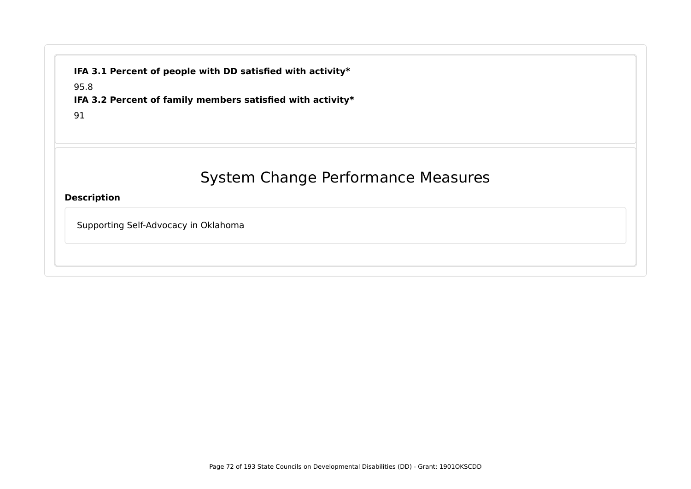**IFA 3.1 Percent of people with DD satisfied with activity\***

95.8

**IFA 3.2 Percent of family members satisfied with activity\***

91

# System Change Performance Measures

**Description**

Supporting Self-Advocacy in Oklahoma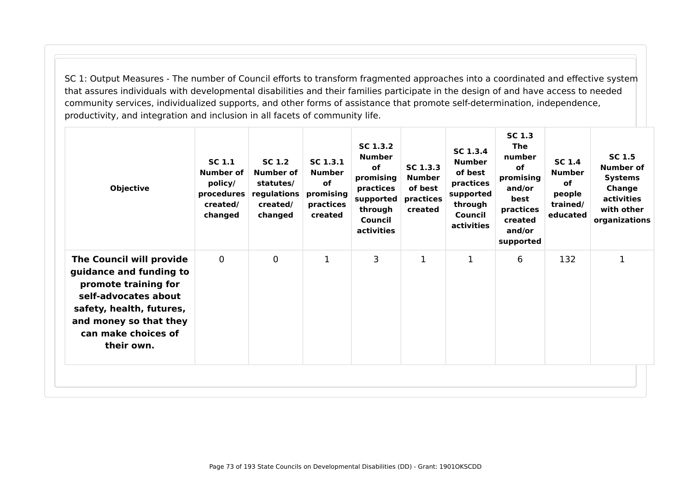SC 1: Output Measures - The number of Council efforts to transform fragmented approaches into a coordinated and effective system that assures individuals with developmental disabilities and their families participate in the design of and have access to needed community services, individualized supports, and other forms of assistance that promote self-determination, independence, productivity, and integration and inclusion in all facets of community life.

| <b>Objective</b>                                                                                                                                                                               | <b>SC 1.1</b><br>Number of<br>policy/<br>procedures<br>created/<br>changed | SC 1.2<br><b>Number of</b><br>statutes/<br>regulations<br>created/<br>changed | SC 1.3.1<br><b>Number</b><br><b>of</b><br>promising<br>practices<br>created | SC 1.3.2<br><b>Number</b><br>of<br>promising<br>practices<br>supported<br>through<br>Council<br>activities | SC 1.3.3<br><b>Number</b><br>of best<br>practices<br>created | SC 1.3.4<br><b>Number</b><br>of best<br>practices<br>supported<br>through<br>Council<br>activities | <b>SC 1.3</b><br><b>The</b><br>number<br><b>of</b><br>promising<br>and/or<br>best<br>practices<br>created<br>and/or<br>supported | <b>SC 1.4</b><br><b>Number</b><br><b>of</b><br>people<br>trained/<br>educated | SC 1.5<br><b>Number of</b><br><b>Systems</b><br>Change<br>activities<br>with other<br>organizations |
|------------------------------------------------------------------------------------------------------------------------------------------------------------------------------------------------|----------------------------------------------------------------------------|-------------------------------------------------------------------------------|-----------------------------------------------------------------------------|------------------------------------------------------------------------------------------------------------|--------------------------------------------------------------|----------------------------------------------------------------------------------------------------|----------------------------------------------------------------------------------------------------------------------------------|-------------------------------------------------------------------------------|-----------------------------------------------------------------------------------------------------|
| The Council will provide<br>guidance and funding to<br>promote training for<br>self-advocates about<br>safety, health, futures,<br>and money so that they<br>can make choices of<br>their own. | $\mathbf 0$                                                                | $\mathbf 0$                                                                   | $\mathbf{1}$                                                                | 3                                                                                                          | 1                                                            | 1                                                                                                  | 6                                                                                                                                | 132                                                                           |                                                                                                     |
|                                                                                                                                                                                                |                                                                            |                                                                               |                                                                             |                                                                                                            |                                                              |                                                                                                    |                                                                                                                                  |                                                                               |                                                                                                     |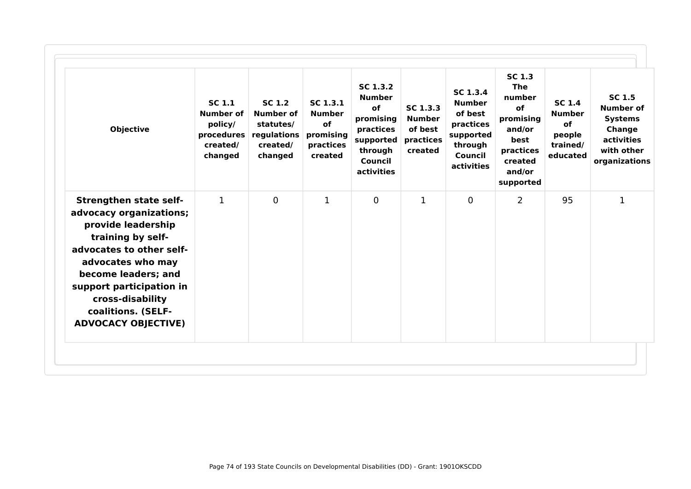| <b>Objective</b>                                                                                                                                                                                                                                                                | <b>SC 1.1</b><br><b>Number of</b><br>policy/<br>created/<br>changed | SC <sub>1.2</sub><br><b>Number of</b><br>statutes/<br>procedures regulations<br>created/<br>changed | SC <sub>1.3.1</sub><br><b>Number</b><br>of<br>promising<br>practices<br>created | SC 1.3.2<br><b>Number</b><br><b>of</b><br>promising<br>practices<br>supported<br>through<br>Council<br>activities | SC <sub>1.3.3</sub><br><b>Number</b><br>of best<br>practices<br>created | SC 1.3.4<br><b>Number</b><br>of best<br>practices<br>supported<br>through<br><b>Council</b><br>activities | <b>SC 1.3</b><br><b>The</b><br>number<br>of<br>promising<br>and/or<br>best<br>practices<br>created<br>and/or<br>supported | <b>SC 1.4</b><br><b>Number</b><br>of<br>people<br>trained/<br>educated | <b>SC 1.5</b><br>Number of<br><b>Systems</b><br>Change<br>activities<br>with other<br>organizations |
|---------------------------------------------------------------------------------------------------------------------------------------------------------------------------------------------------------------------------------------------------------------------------------|---------------------------------------------------------------------|-----------------------------------------------------------------------------------------------------|---------------------------------------------------------------------------------|-------------------------------------------------------------------------------------------------------------------|-------------------------------------------------------------------------|-----------------------------------------------------------------------------------------------------------|---------------------------------------------------------------------------------------------------------------------------|------------------------------------------------------------------------|-----------------------------------------------------------------------------------------------------|
| <b>Strengthen state self-</b><br>advocacy organizations;<br>provide leadership<br>training by self-<br>advocates to other self-<br>advocates who may<br>become leaders; and<br>support participation in<br>cross-disability<br>coalitions. (SELF-<br><b>ADVOCACY OBJECTIVE)</b> | $\mathbf{1}$                                                        | $\mathbf{0}$                                                                                        | 1                                                                               | $\overline{0}$                                                                                                    | 1                                                                       | $\mathbf{0}$                                                                                              | $\overline{2}$                                                                                                            | 95                                                                     | 1                                                                                                   |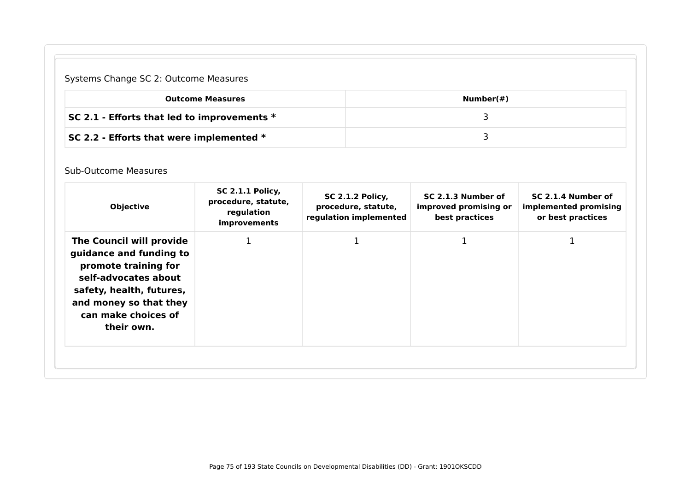# Systems Change SC 2: Outcome Measures

| <b>Outcome Measures</b>                       | Number(#) |
|-----------------------------------------------|-----------|
| SC 2.1 - Efforts that led to improvements $*$ |           |
| SC 2.2 - Efforts that were implemented $*$    |           |

### Sub-Outcome Measures

| <b>Objective</b>                                                                                                                                                                               | <b>SC 2.1.1 Policy,</b><br>procedure, statute,<br>regulation<br><i>improvements</i> | <b>SC 2.1.2 Policy,</b><br>procedure, statute,<br>regulation implemented | SC 2.1.3 Number of<br>improved promising or<br>best practices | SC 2.1.4 Number of<br>implemented promising<br>or best practices |
|------------------------------------------------------------------------------------------------------------------------------------------------------------------------------------------------|-------------------------------------------------------------------------------------|--------------------------------------------------------------------------|---------------------------------------------------------------|------------------------------------------------------------------|
| The Council will provide<br>guidance and funding to<br>promote training for<br>self-advocates about<br>safety, health, futures,<br>and money so that they<br>can make choices of<br>their own. |                                                                                     |                                                                          |                                                               |                                                                  |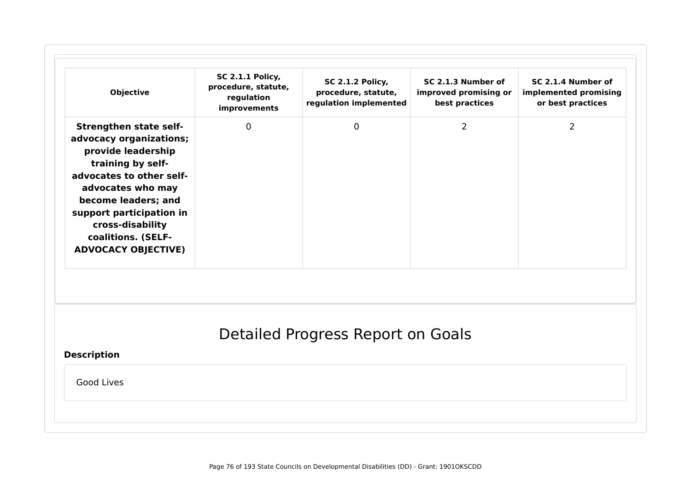| <b>Objective</b>                                                                                                                                                                                                                                                                | <b>SC 2.1.1 Policy,</b><br>procedure, statute,<br>regulation<br>improvements | <b>SC 2.1.2 Policy,</b><br>procedure, statute,<br>regulation implemented | SC 2.1.3 Number of<br>improved promising or<br>best practices | SC 2.1.4 Number of<br>implemented promising<br>or best practices |
|---------------------------------------------------------------------------------------------------------------------------------------------------------------------------------------------------------------------------------------------------------------------------------|------------------------------------------------------------------------------|--------------------------------------------------------------------------|---------------------------------------------------------------|------------------------------------------------------------------|
| <b>Strengthen state self-</b><br>advocacy organizations;<br>provide leadership<br>training by self-<br>advocates to other self-<br>advocates who may<br>become leaders; and<br>support participation in<br>cross-disability<br>coalitions. (SELF-<br><b>ADVOCACY OBJECTIVE)</b> | 0                                                                            | $\mathbf 0$                                                              | $\overline{2}$                                                | $\overline{2}$                                                   |
| <b>Description</b>                                                                                                                                                                                                                                                              |                                                                              | Detailed Progress Report on Goals                                        |                                                               |                                                                  |
| Good Lives                                                                                                                                                                                                                                                                      |                                                                              |                                                                          |                                                               |                                                                  |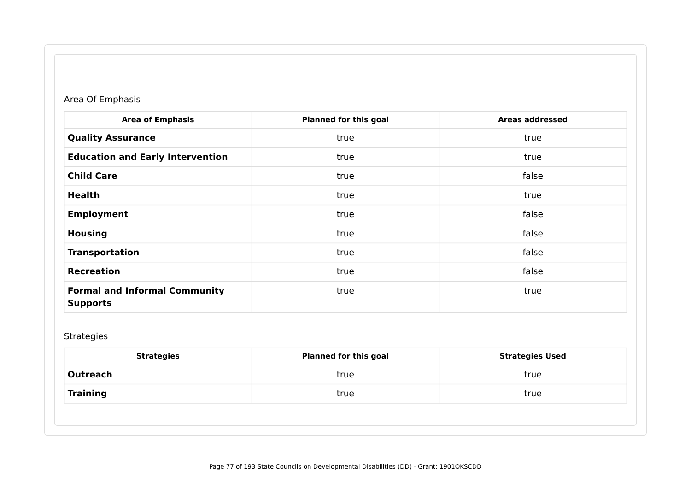# Area Of Emphasis

| <b>Area of Emphasis</b>                                 | <b>Planned for this goal</b> | <b>Areas addressed</b> |
|---------------------------------------------------------|------------------------------|------------------------|
| <b>Quality Assurance</b>                                | true                         | true                   |
| <b>Education and Early Intervention</b>                 | true                         | true                   |
| <b>Child Care</b>                                       | true                         | false                  |
| <b>Health</b>                                           | true                         | true                   |
| <b>Employment</b>                                       | true                         | false                  |
| <b>Housing</b>                                          | true                         | false                  |
| <b>Transportation</b>                                   | true                         | false                  |
| <b>Recreation</b>                                       | true                         | false                  |
| <b>Formal and Informal Community</b><br><b>Supports</b> | true                         | true                   |

# Strategies

| <b>Strategies</b> | <b>Planned for this goal</b> | <b>Strategies Used</b> |
|-------------------|------------------------------|------------------------|
| Outreach          | true                         | true                   |
| Training          | true                         | true                   |
|                   |                              |                        |
|                   |                              |                        |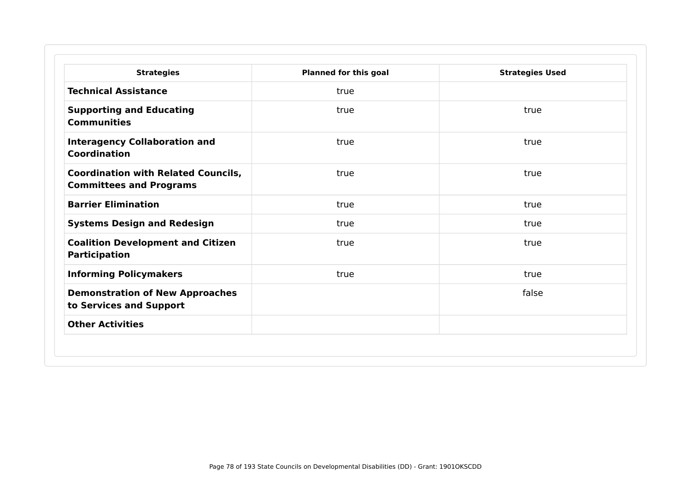| <b>Strategies</b>                                                            | <b>Planned for this goal</b> | <b>Strategies Used</b> |
|------------------------------------------------------------------------------|------------------------------|------------------------|
| <b>Technical Assistance</b>                                                  | true                         |                        |
| <b>Supporting and Educating</b><br><b>Communities</b>                        | true                         | true                   |
| <b>Interagency Collaboration and</b><br>Coordination                         | true                         | true                   |
| <b>Coordination with Related Councils,</b><br><b>Committees and Programs</b> | true                         | true                   |
| <b>Barrier Elimination</b>                                                   | true                         | true                   |
| <b>Systems Design and Redesign</b>                                           | true                         | true                   |
| <b>Coalition Development and Citizen</b><br><b>Participation</b>             | true                         | true                   |
| <b>Informing Policymakers</b>                                                | true                         | true                   |
| <b>Demonstration of New Approaches</b><br>to Services and Support            |                              | false                  |
| <b>Other Activities</b>                                                      |                              |                        |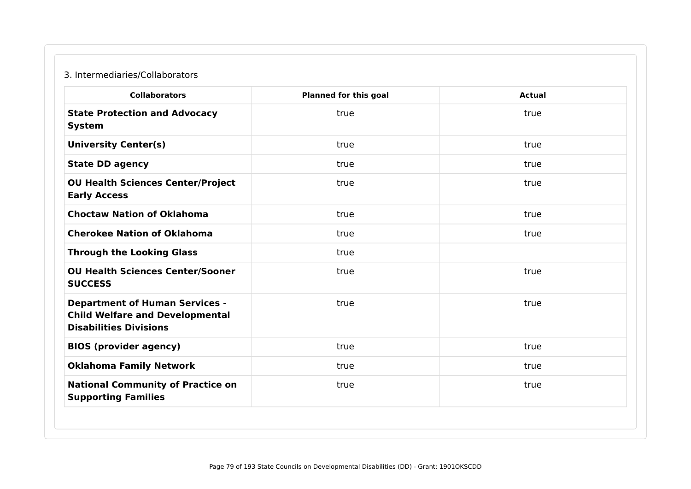### 3. Intermediaries/Collaborators

| <b>Collaborators</b>                                                                                             | <b>Planned for this goal</b> | <b>Actual</b> |
|------------------------------------------------------------------------------------------------------------------|------------------------------|---------------|
| <b>State Protection and Advocacy</b><br><b>System</b>                                                            | true                         | true          |
| <b>University Center(s)</b>                                                                                      | true                         | true          |
| <b>State DD agency</b>                                                                                           | true                         | true          |
| <b>OU Health Sciences Center/Project</b><br><b>Early Access</b>                                                  | true                         | true          |
| <b>Choctaw Nation of Oklahoma</b>                                                                                | true                         | true          |
| <b>Cherokee Nation of Oklahoma</b>                                                                               | true                         | true          |
| <b>Through the Looking Glass</b>                                                                                 | true                         |               |
| <b>OU Health Sciences Center/Sooner</b><br><b>SUCCESS</b>                                                        | true                         | true          |
| <b>Department of Human Services -</b><br><b>Child Welfare and Developmental</b><br><b>Disabilities Divisions</b> | true                         | true          |
| <b>BIOS (provider agency)</b>                                                                                    | true                         | true          |
| <b>Oklahoma Family Network</b>                                                                                   | true                         | true          |
| <b>National Community of Practice on</b><br><b>Supporting Families</b>                                           | true                         | true          |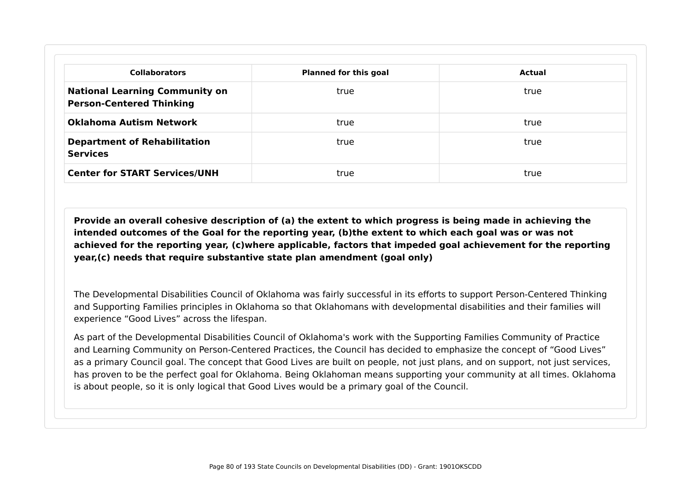| <b>Collaborators</b>                                                     | <b>Planned for this goal</b> | Actual |
|--------------------------------------------------------------------------|------------------------------|--------|
| <b>National Learning Community on</b><br><b>Person-Centered Thinking</b> | true                         | true   |
| <b>Oklahoma Autism Network</b>                                           | true                         | true   |
| <b>Department of Rehabilitation</b><br><b>Services</b>                   | true                         | true   |
| <b>Center for START Services/UNH</b>                                     | true                         | true   |

**Provide an overall cohesive description of (a) the extent to which progress is being made in achieving the intended outcomes of the Goal for the reporting year, (b)the extent to which each goal was or was not achieved for the reporting year, (c)where applicable, factors that impeded goal achievement for the reporting year,(c) needs that require substantive state plan amendment (goal only)**

The Developmental Disabilities Council of Oklahoma was fairly successful in its efforts to support Person-Centered Thinking and Supporting Families principles in Oklahoma so that Oklahomans with developmental disabilities and their families will experience "Good Lives" across the lifespan.

As part of the Developmental Disabilities Council of Oklahoma's work with the Supporting Families Community of Practice and Learning Community on Person-Centered Practices, the Council has decided to emphasize the concept of "Good Lives" as a primary Council goal. The concept that Good Lives are built on people, not just plans, and on support, not just services, has proven to be the perfect goal for Oklahoma. Being Oklahoman means supporting your community at all times. Oklahoma is about people, so it is only logical that Good Lives would be a primary goal of the Council.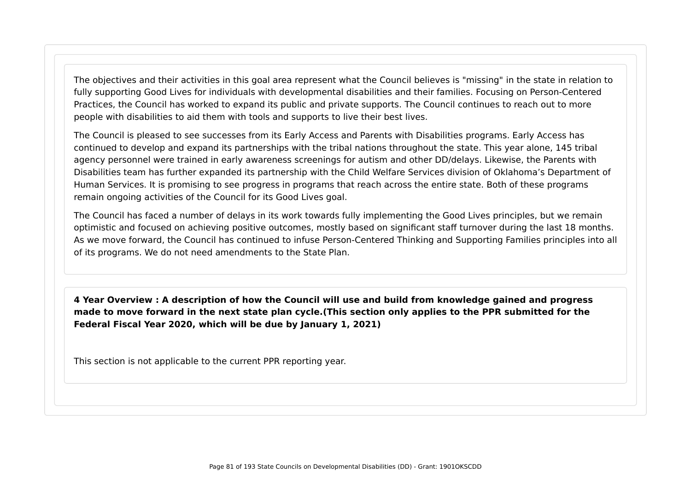The objectives and their activities in this goal area represent what the Council believes is "missing" in the state in relation to fully supporting Good Lives for individuals with developmental disabilities and their families. Focusing on Person-Centered Practices, the Council has worked to expand its public and private supports. The Council continues to reach out to more people with disabilities to aid them with tools and supports to live their best lives.

The Council is pleased to see successes from its Early Access and Parents with Disabilities programs. Early Access has continued to develop and expand its partnerships with the tribal nations throughout the state. This year alone, 145 tribal agency personnel were trained in early awareness screenings for autism and other DD/delays. Likewise, the Parents with Disabilities team has further expanded its partnership with the Child Welfare Services division of Oklahoma's Department of Human Services. It is promising to see progress in programs that reach across the entire state. Both of these programs remain ongoing activities of the Council for its Good Lives goal.

The Council has faced a number of delays in its work towards fully implementing the Good Lives principles, but we remain optimistic and focused on achieving positive outcomes, mostly based on significant staff turnover during the last 18 months. As we move forward, the Council has continued to infuse Person-Centered Thinking and Supporting Families principles into all of its programs. We do not need amendments to the State Plan.

**4 Year Overview : A description of how the Council will use and build from knowledge gained and progress made to move forward in the next state plan cycle.(This section only applies to the PPR submitted for the Federal Fiscal Year 2020, which will be due by January 1, 2021)**

This section is not applicable to the current PPR reporting year.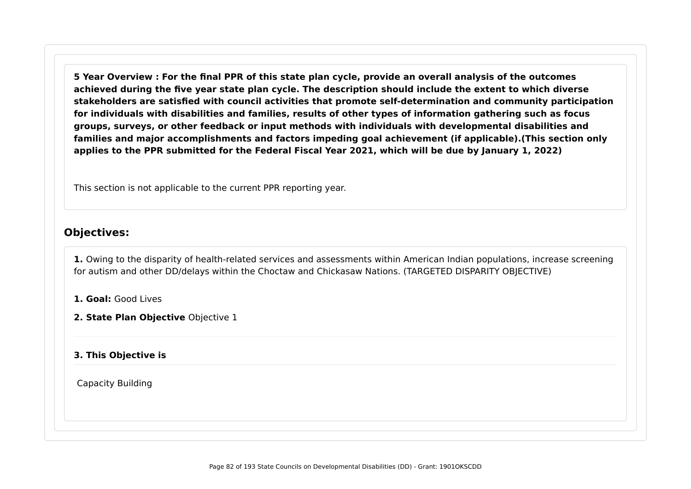**5 Year Overview : For the final PPR of this state plan cycle, provide an overall analysis of the outcomes achieved during the five year state plan cycle. The description should include the extent to which diverse stakeholders are satisfied with council activities that promote self-determination and community participation for individuals with disabilities and families, results of other types of information gathering such as focus groups, surveys, or other feedback or input methods with individuals with developmental disabilities and families and major accomplishments and factors impeding goal achievement (if applicable).(This section only applies to the PPR submitted for the Federal Fiscal Year 2021, which will be due by January 1, 2022)**

This section is not applicable to the current PPR reporting year.

### **Objectives:**

**1.** Owing to the disparity of health-related services and assessments within American Indian populations, increase screening for autism and other DD/delays within the Choctaw and Chickasaw Nations. (TARGETED DISPARITY OBJECTIVE)

**1. Goal:** Good Lives

**2. State Plan Objective** Objective 1

#### **3. This Objective is**

Capacity Building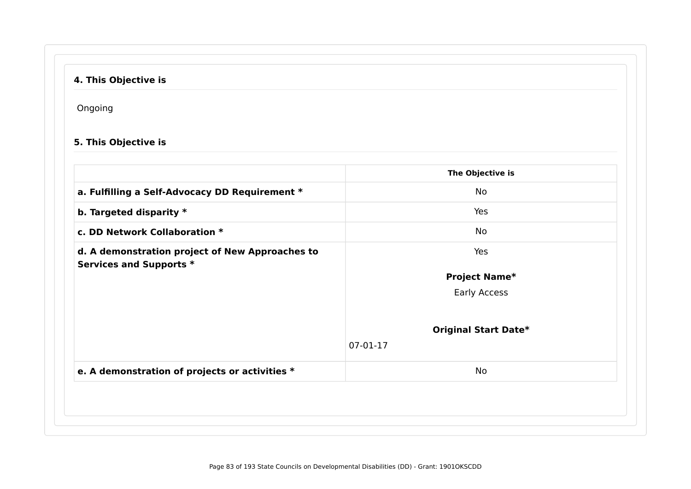# **4. This Objective is**

Ongoing

# **5. This Objective is**

|                                                                            | The Objective is            |
|----------------------------------------------------------------------------|-----------------------------|
| a. Fulfilling a Self-Advocacy DD Requirement *                             | No                          |
| b. Targeted disparity *                                                    | Yes                         |
| c. DD Network Collaboration *                                              | No                          |
| d. A demonstration project of New Approaches to<br>Services and Supports * | Yes                         |
|                                                                            | <b>Project Name*</b>        |
|                                                                            | Early Access                |
|                                                                            | <b>Original Start Date*</b> |
|                                                                            | 07-01-17                    |
| e. A demonstration of projects or activities *                             | No                          |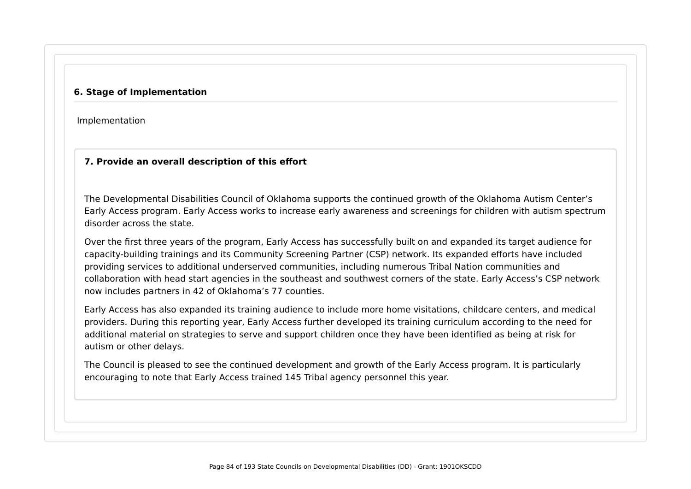#### **6. Stage of Implementation**

Implementation

#### **7. Provide an overall description of this effort**

The Developmental Disabilities Council of Oklahoma supports the continued growth of the Oklahoma Autism Center's Early Access program. Early Access works to increase early awareness and screenings for children with autism spectrum disorder across the state.

Over the first three years of the program, Early Access has successfully built on and expanded its target audience for capacity-building trainings and its Community Screening Partner (CSP) network. Its expanded efforts have included providing services to additional underserved communities, including numerous Tribal Nation communities and collaboration with head start agencies in the southeast and southwest corners of the state. Early Access's CSP network now includes partners in 42 of Oklahoma's 77 counties.

Early Access has also expanded its training audience to include more home visitations, childcare centers, and medical providers. During this reporting year, Early Access further developed its training curriculum according to the need for additional material on strategies to serve and support children once they have been identified as being at risk for autism or other delays.

The Council is pleased to see the continued development and growth of the Early Access program. It is particularly encouraging to note that Early Access trained 145 Tribal agency personnel this year.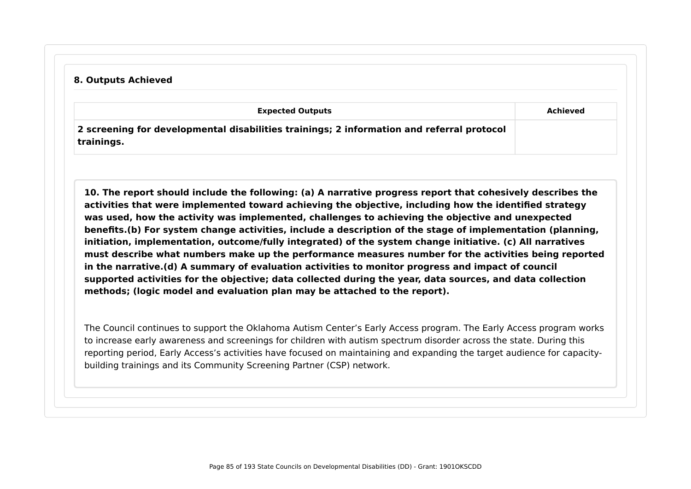#### **8. Outputs Achieved**

| <b>Expected Outputs</b>                                                                                 | Achieved |
|---------------------------------------------------------------------------------------------------------|----------|
| 2 screening for developmental disabilities trainings; 2 information and referral protocol<br>trainings. |          |

**10. The report should include the following: (a) A narrative progress report that cohesively describes the activities that were implemented toward achieving the objective, including how the identified strategy was used, how the activity was implemented, challenges to achieving the objective and unexpected benefits.(b) For system change activities, include a description of the stage of implementation (planning, initiation, implementation, outcome/fully integrated) of the system change initiative. (c) All narratives must describe what numbers make up the performance measures number for the activities being reported in the narrative.(d) A summary of evaluation activities to monitor progress and impact of council supported activities for the objective; data collected during the year, data sources, and data collection methods; (logic model and evaluation plan may be attached to the report).**

The Council continues to support the Oklahoma Autism Center's Early Access program. The Early Access program works to increase early awareness and screenings for children with autism spectrum disorder across the state. During this reporting period, Early Access's activities have focused on maintaining and expanding the target audience for capacitybuilding trainings and its Community Screening Partner (CSP) network.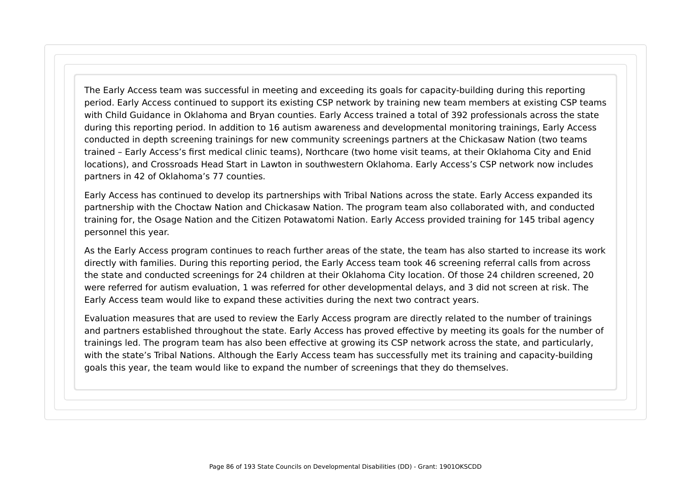The Early Access team was successful in meeting and exceeding its goals for capacity-building during this reporting period. Early Access continued to support its existing CSP network by training new team members at existing CSP teams with Child Guidance in Oklahoma and Bryan counties. Early Access trained a total of 392 professionals across the state during this reporting period. In addition to 16 autism awareness and developmental monitoring trainings, Early Access conducted in depth screening trainings for new community screenings partners at the Chickasaw Nation (two teams trained – Early Access's first medical clinic teams), Northcare (two home visit teams, at their Oklahoma City and Enid locations), and Crossroads Head Start in Lawton in southwestern Oklahoma. Early Access's CSP network now includes partners in 42 of Oklahoma's 77 counties.

Early Access has continued to develop its partnerships with Tribal Nations across the state. Early Access expanded its partnership with the Choctaw Nation and Chickasaw Nation. The program team also collaborated with, and conducted training for, the Osage Nation and the Citizen Potawatomi Nation. Early Access provided training for 145 tribal agency personnel this year.

As the Early Access program continues to reach further areas of the state, the team has also started to increase its work directly with families. During this reporting period, the Early Access team took 46 screening referral calls from across the state and conducted screenings for 24 children at their Oklahoma City location. Of those 24 children screened, 20 were referred for autism evaluation, 1 was referred for other developmental delays, and 3 did not screen at risk. The Early Access team would like to expand these activities during the next two contract years.

Evaluation measures that are used to review the Early Access program are directly related to the number of trainings and partners established throughout the state. Early Access has proved effective by meeting its goals for the number of trainings led. The program team has also been effective at growing its CSP network across the state, and particularly, with the state's Tribal Nations. Although the Early Access team has successfully met its training and capacity-building goals this year, the team would like to expand the number of screenings that they do themselves.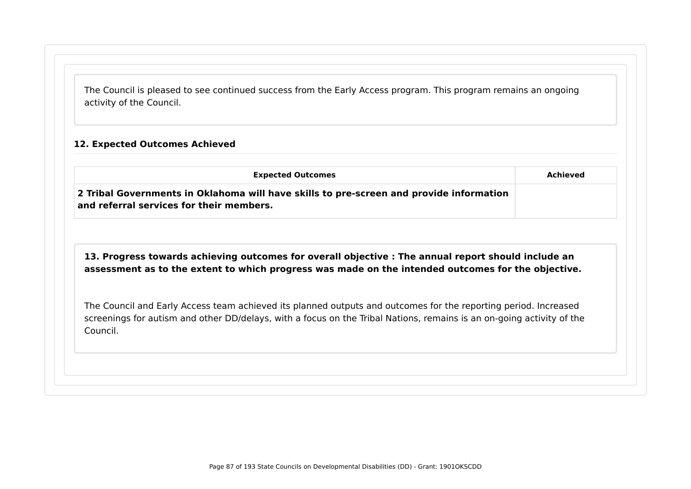The Council is pleased to see continued success from the Early Access program. This program remains an ongoing activity of the Council.

#### **12. Expected Outcomes Achieved**

| <b>Expected Outcomes</b>                                                                                                            | Achieved |
|-------------------------------------------------------------------------------------------------------------------------------------|----------|
| 2 Tribal Governments in Oklahoma will have skills to pre-screen and provide information<br>and referral services for their members. |          |

**13. Progress towards achieving outcomes for overall objective : The annual report should include an assessment as to the extent to which progress was made on the intended outcomes for the objective.**

The Council and Early Access team achieved its planned outputs and outcomes for the reporting period. Increased screenings for autism and other DD/delays, with a focus on the Tribal Nations, remains is an on-going activity of the Council.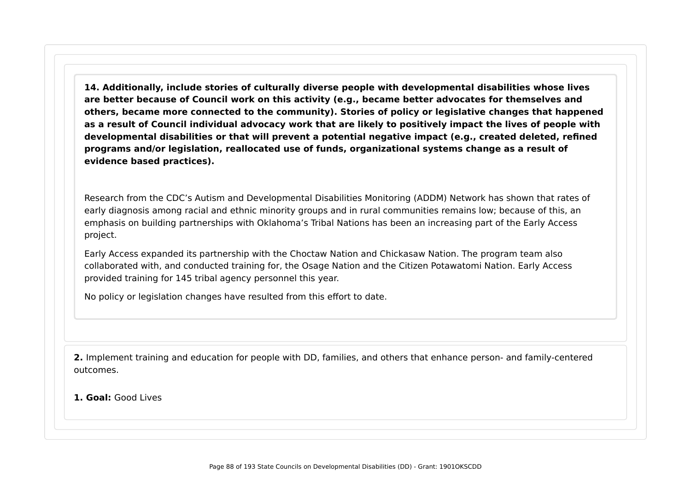**14. Additionally, include stories of culturally diverse people with developmental disabilities whose lives are better because of Council work on this activity (e.g., became better advocates for themselves and others, became more connected to the community). Stories of policy or legislative changes that happened as a result of Council individual advocacy work that are likely to positively impact the lives of people with developmental disabilities or that will prevent a potential negative impact (e.g., created deleted, refined programs and/or legislation, reallocated use of funds, organizational systems change as a result of evidence based practices).**

Research from the CDC's Autism and Developmental Disabilities Monitoring (ADDM) Network has shown that rates of early diagnosis among racial and ethnic minority groups and in rural communities remains low; because of this, an emphasis on building partnerships with Oklahoma's Tribal Nations has been an increasing part of the Early Access project.

Early Access expanded its partnership with the Choctaw Nation and Chickasaw Nation. The program team also collaborated with, and conducted training for, the Osage Nation and the Citizen Potawatomi Nation. Early Access provided training for 145 tribal agency personnel this year.

No policy or legislation changes have resulted from this effort to date.

**2.** Implement training and education for people with DD, families, and others that enhance person- and family-centered outcomes.

**1. Goal:** Good Lives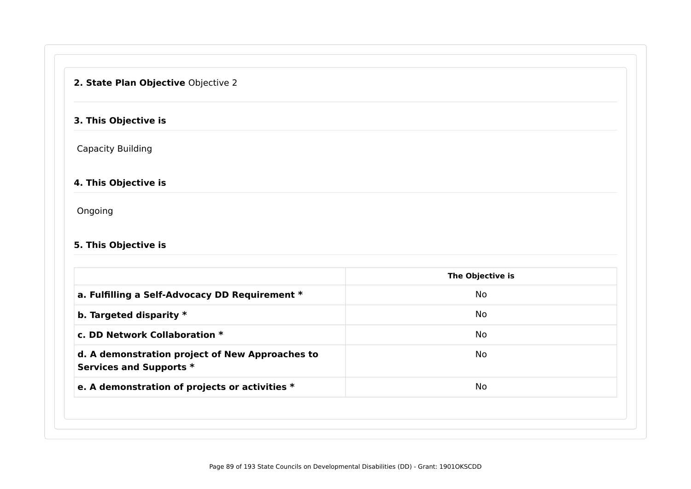# **2. State Plan Objective** Objective 2

### **3. This Objective is**

Capacity Building

### **4. This Objective is**

Ongoing

### **5. This Objective is**

|                                                                            | The Objective is |
|----------------------------------------------------------------------------|------------------|
| a. Fulfilling a Self-Advocacy DD Requirement *                             | <b>No</b>        |
| b. Targeted disparity $*$                                                  | No               |
| c. DD Network Collaboration *                                              | No               |
| d. A demonstration project of New Approaches to<br>Services and Supports * | <b>No</b>        |
| e. A demonstration of projects or activities *                             | <b>No</b>        |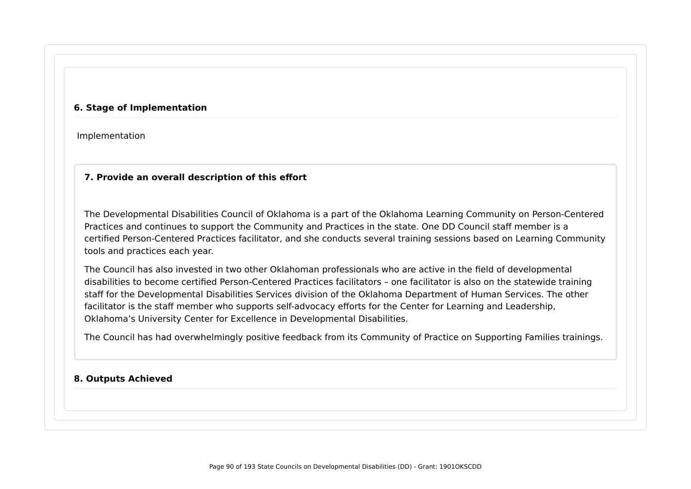#### **6. Stage of Implementation**

Implementation

### **7. Provide an overall description of this effort**

The Developmental Disabilities Council of Oklahoma is a part of the Oklahoma Learning Community on Person-Centered Practices and continues to support the Community and Practices in the state. One DD Council staff member is a certified Person-Centered Practices facilitator, and she conducts several training sessions based on Learning Community tools and practices each year.

The Council has also invested in two other Oklahoman professionals who are active in the field of developmental disabilities to become certified Person-Centered Practices facilitators – one facilitator is also on the statewide training staff for the Developmental Disabilities Services division of the Oklahoma Department of Human Services. The other facilitator is the staff member who supports self-advocacy efforts for the Center for Learning and Leadership, Oklahoma's University Center for Excellence in Developmental Disabilities.

The Council has had overwhelmingly positive feedback from its Community of Practice on Supporting Families trainings.

#### **8. Outputs Achieved**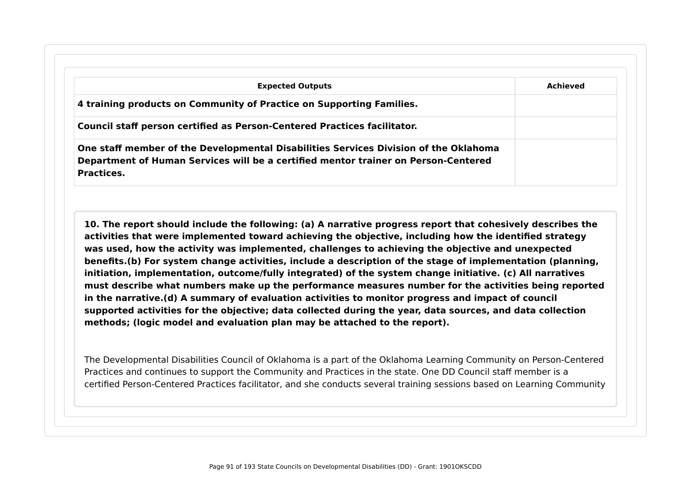| 4 training products on Community of Practice on Supporting Families.                 |  |
|--------------------------------------------------------------------------------------|--|
|                                                                                      |  |
| Council staff person certified as Person-Centered Practices facilitator.             |  |
| One staff member of the Developmental Disabilities Services Division of the Oklahoma |  |

**10. The report should include the following: (a) A narrative progress report that cohesively describes the activities that were implemented toward achieving the objective, including how the identified strategy was used, how the activity was implemented, challenges to achieving the objective and unexpected benefits.(b) For system change activities, include a description of the stage of implementation (planning, initiation, implementation, outcome/fully integrated) of the system change initiative. (c) All narratives must describe what numbers make up the performance measures number for the activities being reported in the narrative.(d) A summary of evaluation activities to monitor progress and impact of council supported activities for the objective; data collected during the year, data sources, and data collection methods; (logic model and evaluation plan may be attached to the report).**

The Developmental Disabilities Council of Oklahoma is a part of the Oklahoma Learning Community on Person-Centered Practices and continues to support the Community and Practices in the state. One DD Council staff member is a certified Person-Centered Practices facilitator, and she conducts several training sessions based on Learning Community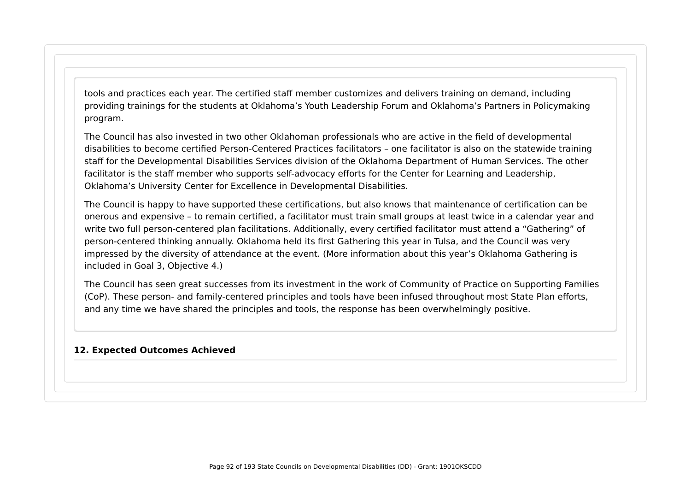tools and practices each year. The certified staff member customizes and delivers training on demand, including providing trainings for the students at Oklahoma's Youth Leadership Forum and Oklahoma's Partners in Policymaking program.

The Council has also invested in two other Oklahoman professionals who are active in the field of developmental disabilities to become certified Person-Centered Practices facilitators – one facilitator is also on the statewide training staff for the Developmental Disabilities Services division of the Oklahoma Department of Human Services. The other facilitator is the staff member who supports self-advocacy efforts for the Center for Learning and Leadership, Oklahoma's University Center for Excellence in Developmental Disabilities.

The Council is happy to have supported these certifications, but also knows that maintenance of certification can be onerous and expensive – to remain certified, a facilitator must train small groups at least twice in a calendar year and write two full person-centered plan facilitations. Additionally, every certified facilitator must attend a "Gathering" of person-centered thinking annually. Oklahoma held its first Gathering this year in Tulsa, and the Council was very impressed by the diversity of attendance at the event. (More information about this year's Oklahoma Gathering is included in Goal 3, Objective 4.)

The Council has seen great successes from its investment in the work of Community of Practice on Supporting Families (CoP). These person- and family-centered principles and tools have been infused throughout most State Plan efforts, and any time we have shared the principles and tools, the response has been overwhelmingly positive.

#### **12. Expected Outcomes Achieved**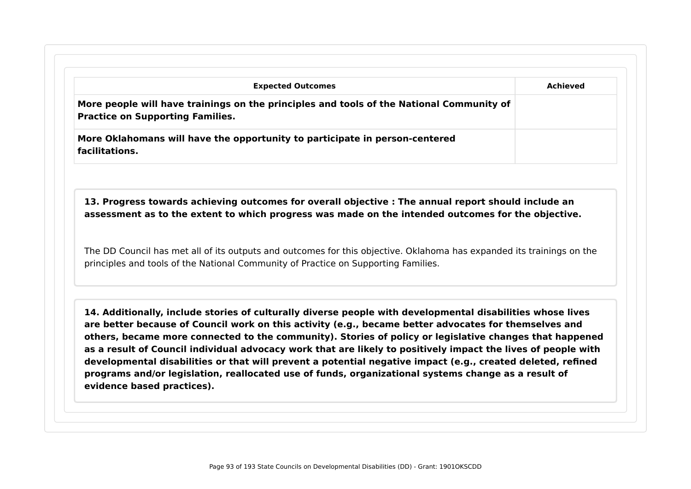| <b>Expected Outcomes</b>                                                                                                                                                                                    | Achieved |
|-------------------------------------------------------------------------------------------------------------------------------------------------------------------------------------------------------------|----------|
| More people will have trainings on the principles and tools of the National Community of<br><b>Practice on Supporting Families.</b>                                                                         |          |
| More Oklahomans will have the opportunity to participate in person-centered<br>facilitations.                                                                                                               |          |
| 13. Progress towards achieving outcomes for overall objective : The annual report should include an<br>assessment as to the extent to which progress was made on the intended outcomes for the objective.   |          |
|                                                                                                                                                                                                             |          |
| The DD Council has met all of its outputs and outcomes for this objective. Oklahoma has expanded its trainings on the<br>principles and tools of the National Community of Practice on Supporting Families. |          |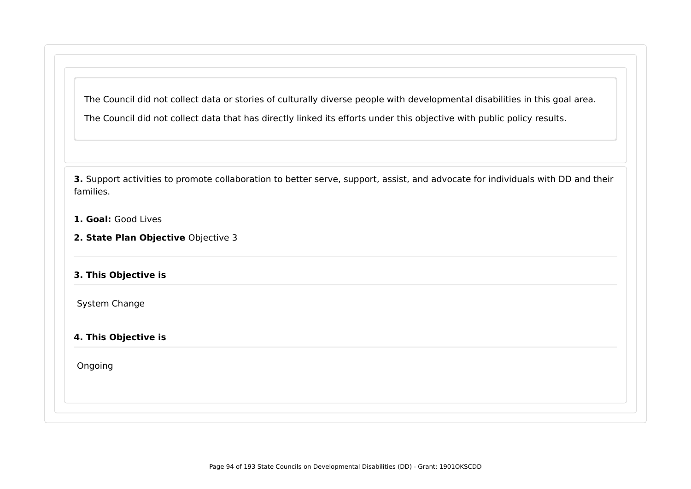The Council did not collect data or stories of culturally diverse people with developmental disabilities in this goal area. The Council did not collect data that has directly linked its efforts under this objective with public policy results.

**3.** Support activities to promote collaboration to better serve, support, assist, and advocate for individuals with DD and their families.

- **1. Goal:** Good Lives
- **2. State Plan Objective** Objective 3

### **3. This Objective is**

System Change

#### **4. This Objective is**

Ongoing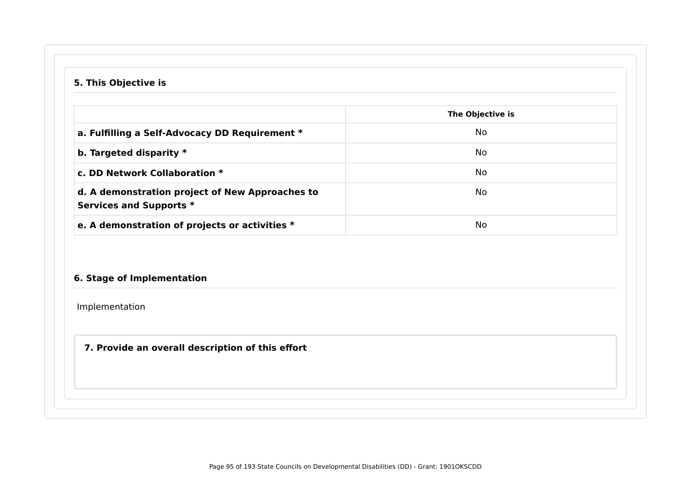### **5. This Objective is**

|                                                                            | The Objective is |
|----------------------------------------------------------------------------|------------------|
| a. Fulfilling a Self-Advocacy DD Requirement *                             | No.              |
| b. Targeted disparity $*$                                                  | No.              |
| c. DD Network Collaboration *                                              | No.              |
| d. A demonstration project of New Approaches to<br>Services and Supports * | No.              |
| e. A demonstration of projects or activities *                             | No               |

### **6. Stage of Implementation**

Implementation

### **7. Provide an overall description of this effort**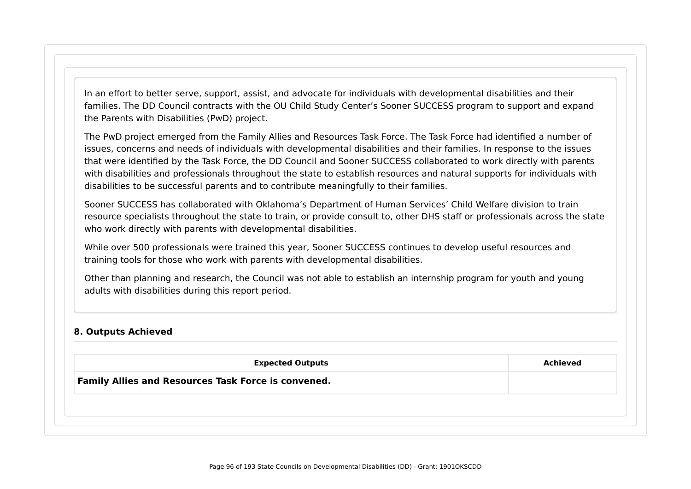In an effort to better serve, support, assist, and advocate for individuals with developmental disabilities and their families. The DD Council contracts with the OU Child Study Center's Sooner SUCCESS program to support and expand the Parents with Disabilities (PwD) project.

The PwD project emerged from the Family Allies and Resources Task Force. The Task Force had identified a number of issues, concerns and needs of individuals with developmental disabilities and their families. In response to the issues that were identified by the Task Force, the DD Council and Sooner SUCCESS collaborated to work directly with parents with disabilities and professionals throughout the state to establish resources and natural supports for individuals with disabilities to be successful parents and to contribute meaningfully to their families.

Sooner SUCCESS has collaborated with Oklahoma's Department of Human Services' Child Welfare division to train resource specialists throughout the state to train, or provide consult to, other DHS staff or professionals across the state who work directly with parents with developmental disabilities.

While over 500 professionals were trained this year, Sooner SUCCESS continues to develop useful resources and training tools for those who work with parents with developmental disabilities.

Other than planning and research, the Council was not able to establish an internship program for youth and young adults with disabilities during this report period.

#### **8. Outputs Achieved**

|                                                            | <b>Expected Outputs</b> | <b>Achieved</b> |
|------------------------------------------------------------|-------------------------|-----------------|
| <b>Family Allies and Resources Task Force is convened.</b> |                         |                 |
|                                                            |                         |                 |
|                                                            |                         |                 |
|                                                            |                         |                 |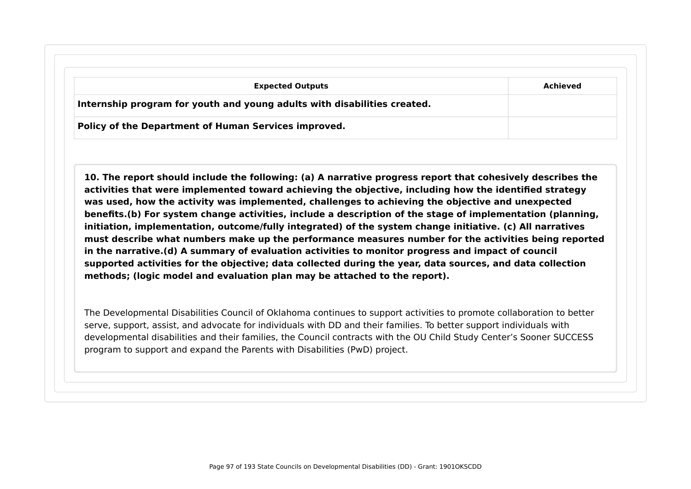| <b>Expected Outputs</b>                                                  | Achieved |
|--------------------------------------------------------------------------|----------|
| Internship program for youth and young adults with disabilities created. |          |
| Policy of the Department of Human Services improved.                     |          |

**10. The report should include the following: (a) A narrative progress report that cohesively describes the activities that were implemented toward achieving the objective, including how the identified strategy was used, how the activity was implemented, challenges to achieving the objective and unexpected benefits.(b) For system change activities, include a description of the stage of implementation (planning, initiation, implementation, outcome/fully integrated) of the system change initiative. (c) All narratives must describe what numbers make up the performance measures number for the activities being reported in the narrative.(d) A summary of evaluation activities to monitor progress and impact of council supported activities for the objective; data collected during the year, data sources, and data collection methods; (logic model and evaluation plan may be attached to the report).**

The Developmental Disabilities Council of Oklahoma continues to support activities to promote collaboration to better serve, support, assist, and advocate for individuals with DD and their families. To better support individuals with developmental disabilities and their families, the Council contracts with the OU Child Study Center's Sooner SUCCESS program to support and expand the Parents with Disabilities (PwD) project.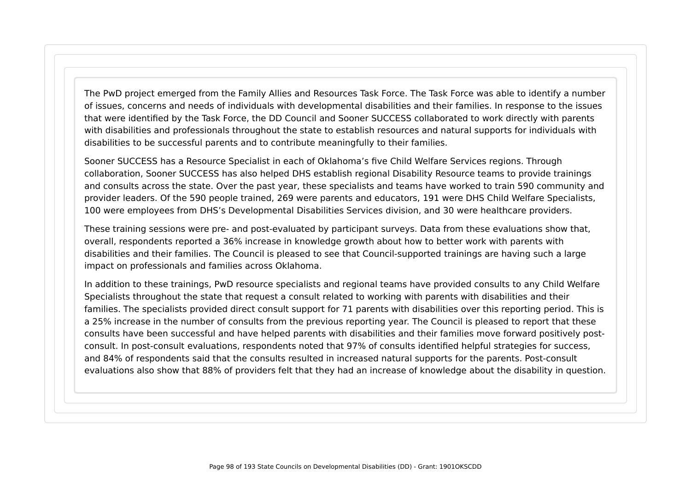The PwD project emerged from the Family Allies and Resources Task Force. The Task Force was able to identify a number of issues, concerns and needs of individuals with developmental disabilities and their families. In response to the issues that were identified by the Task Force, the DD Council and Sooner SUCCESS collaborated to work directly with parents with disabilities and professionals throughout the state to establish resources and natural supports for individuals with disabilities to be successful parents and to contribute meaningfully to their families.

Sooner SUCCESS has a Resource Specialist in each of Oklahoma's five Child Welfare Services regions. Through collaboration, Sooner SUCCESS has also helped DHS establish regional Disability Resource teams to provide trainings and consults across the state. Over the past year, these specialists and teams have worked to train 590 community and provider leaders. Of the 590 people trained, 269 were parents and educators, 191 were DHS Child Welfare Specialists, 100 were employees from DHS's Developmental Disabilities Services division, and 30 were healthcare providers.

These training sessions were pre- and post-evaluated by participant surveys. Data from these evaluations show that, overall, respondents reported a 36% increase in knowledge growth about how to better work with parents with disabilities and their families. The Council is pleased to see that Council-supported trainings are having such a large impact on professionals and families across Oklahoma.

In addition to these trainings, PwD resource specialists and regional teams have provided consults to any Child Welfare Specialists throughout the state that request a consult related to working with parents with disabilities and their families. The specialists provided direct consult support for 71 parents with disabilities over this reporting period. This is a 25% increase in the number of consults from the previous reporting year. The Council is pleased to report that these consults have been successful and have helped parents with disabilities and their families move forward positively postconsult. In post-consult evaluations, respondents noted that 97% of consults identified helpful strategies for success, and 84% of respondents said that the consults resulted in increased natural supports for the parents. Post-consult evaluations also show that 88% of providers felt that they had an increase of knowledge about the disability in question.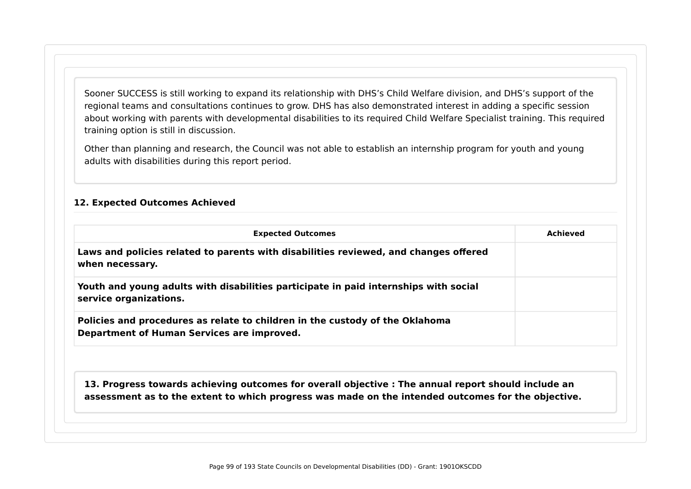Sooner SUCCESS is still working to expand its relationship with DHS's Child Welfare division, and DHS's support of the regional teams and consultations continues to grow. DHS has also demonstrated interest in adding a specific session about working with parents with developmental disabilities to its required Child Welfare Specialist training. This required training option is still in discussion.

Other than planning and research, the Council was not able to establish an internship program for youth and young adults with disabilities during this report period.

#### **12. Expected Outcomes Achieved**

| <b>Expected Outcomes</b>                                                                                                   | Achieved |
|----------------------------------------------------------------------------------------------------------------------------|----------|
| Laws and policies related to parents with disabilities reviewed, and changes offered<br>when necessary.                    |          |
| Youth and young adults with disabilities participate in paid internships with social<br>service organizations.             |          |
| Policies and procedures as relate to children in the custody of the Oklahoma<br>Department of Human Services are improved. |          |

**13. Progress towards achieving outcomes for overall objective : The annual report should include an assessment as to the extent to which progress was made on the intended outcomes for the objective.**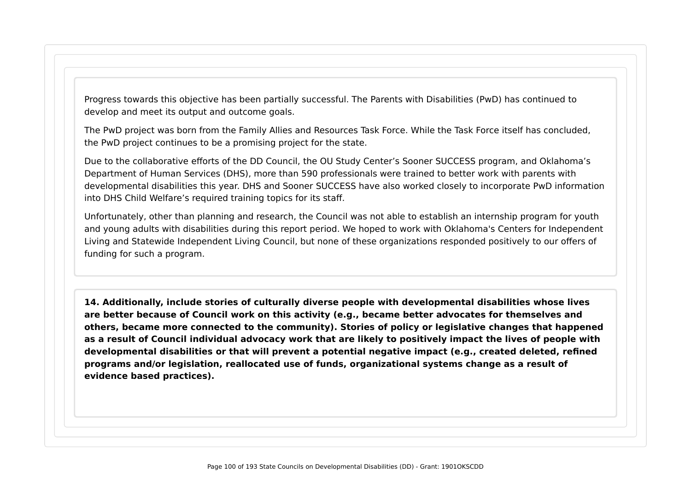Progress towards this objective has been partially successful. The Parents with Disabilities (PwD) has continued to develop and meet its output and outcome goals.

The PwD project was born from the Family Allies and Resources Task Force. While the Task Force itself has concluded, the PwD project continues to be a promising project for the state.

Due to the collaborative efforts of the DD Council, the OU Study Center's Sooner SUCCESS program, and Oklahoma's Department of Human Services (DHS), more than 590 professionals were trained to better work with parents with developmental disabilities this year. DHS and Sooner SUCCESS have also worked closely to incorporate PwD information into DHS Child Welfare's required training topics for its staff.

Unfortunately, other than planning and research, the Council was not able to establish an internship program for youth and young adults with disabilities during this report period. We hoped to work with Oklahoma's Centers for Independent Living and Statewide Independent Living Council, but none of these organizations responded positively to our offers of funding for such a program.

**14. Additionally, include stories of culturally diverse people with developmental disabilities whose lives are better because of Council work on this activity (e.g., became better advocates for themselves and others, became more connected to the community). Stories of policy or legislative changes that happened as a result of Council individual advocacy work that are likely to positively impact the lives of people with developmental disabilities or that will prevent a potential negative impact (e.g., created deleted, refined programs and/or legislation, reallocated use of funds, organizational systems change as a result of evidence based practices).**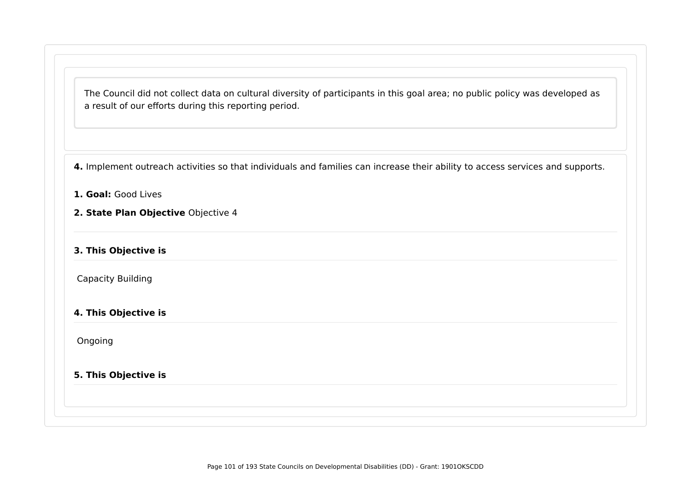The Council did not collect data on cultural diversity of participants in this goal area; no public policy was developed as a result of our efforts during this reporting period.

**4.** Implement outreach activities so that individuals and families can increase their ability to access services and supports.

- **1. Goal:** Good Lives
- **2. State Plan Objective** Objective 4
- **3. This Objective is**

Capacity Building

**4. This Objective is**

Ongoing

### **5. This Objective is**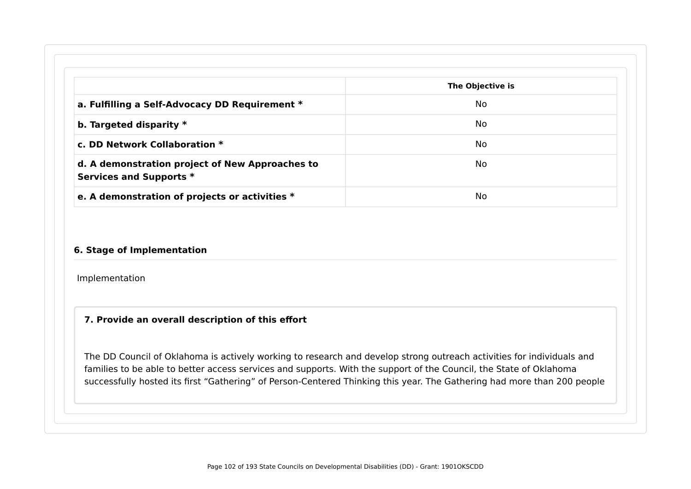|                                                                            | The Objective is |
|----------------------------------------------------------------------------|------------------|
| a. Fulfilling a Self-Advocacy DD Requirement *                             | No               |
| b. Targeted disparity $*$                                                  | No               |
| c. DD Network Collaboration *                                              | <b>No</b>        |
| d. A demonstration project of New Approaches to<br>Services and Supports * | <b>No</b>        |

#### **6. Stage of Implementation**

Implementation

### **7. Provide an overall description of this effort**

The DD Council of Oklahoma is actively working to research and develop strong outreach activities for individuals and families to be able to better access services and supports. With the support of the Council, the State of Oklahoma successfully hosted its first "Gathering" of Person-Centered Thinking this year. The Gathering had more than 200 people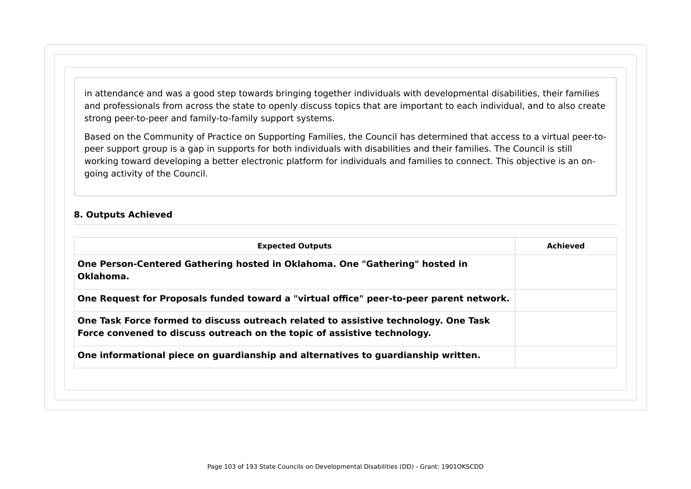in attendance and was a good step towards bringing together individuals with developmental disabilities, their families and professionals from across the state to openly discuss topics that are important to each individual, and to also create strong peer-to-peer and family-to-family support systems.

Based on the Community of Practice on Supporting Families, the Council has determined that access to a virtual peer-topeer support group is a gap in supports for both individuals with disabilities and their families. The Council is still working toward developing a better electronic platform for individuals and families to connect. This objective is an ongoing activity of the Council.

#### **8. Outputs Achieved**

| <b>Expected Outputs</b>                                                                                                                                         | Achieved |
|-----------------------------------------------------------------------------------------------------------------------------------------------------------------|----------|
| One Person-Centered Gathering hosted in Oklahoma. One "Gathering" hosted in<br>Oklahoma.                                                                        |          |
| One Request for Proposals funded toward a "virtual office" peer-to-peer parent network.                                                                         |          |
| One Task Force formed to discuss outreach related to assistive technology. One Task<br>Force convened to discuss outreach on the topic of assistive technology. |          |
| One informational piece on guardianship and alternatives to guardianship written.                                                                               |          |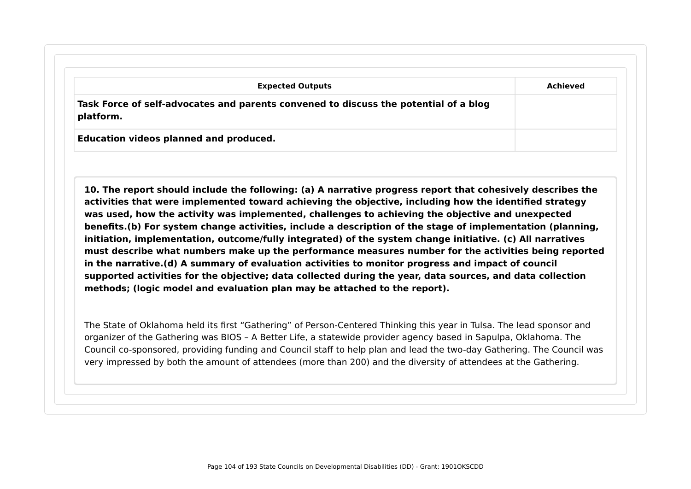| <b>Expected Outputs</b>                                                                           | Achieved |
|---------------------------------------------------------------------------------------------------|----------|
| Task Force of self-advocates and parents convened to discuss the potential of a blog<br>platform. |          |

**10. The report should include the following: (a) A narrative progress report that cohesively describes the activities that were implemented toward achieving the objective, including how the identified strategy was used, how the activity was implemented, challenges to achieving the objective and unexpected benefits.(b) For system change activities, include a description of the stage of implementation (planning, initiation, implementation, outcome/fully integrated) of the system change initiative. (c) All narratives must describe what numbers make up the performance measures number for the activities being reported in the narrative.(d) A summary of evaluation activities to monitor progress and impact of council supported activities for the objective; data collected during the year, data sources, and data collection methods; (logic model and evaluation plan may be attached to the report).**

The State of Oklahoma held its first "Gathering" of Person-Centered Thinking this year in Tulsa. The lead sponsor and organizer of the Gathering was BIOS – A Better Life, a statewide provider agency based in Sapulpa, Oklahoma. The Council co-sponsored, providing funding and Council staff to help plan and lead the two-day Gathering. The Council was very impressed by both the amount of attendees (more than 200) and the diversity of attendees at the Gathering.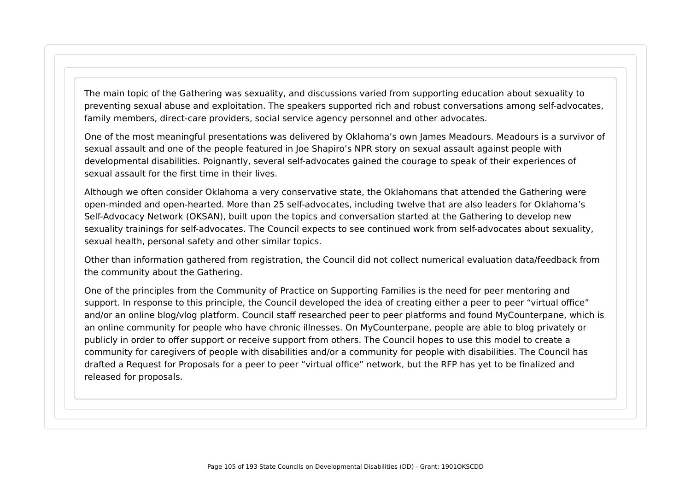The main topic of the Gathering was sexuality, and discussions varied from supporting education about sexuality to preventing sexual abuse and exploitation. The speakers supported rich and robust conversations among self-advocates, family members, direct-care providers, social service agency personnel and other advocates.

One of the most meaningful presentations was delivered by Oklahoma's own James Meadours. Meadours is a survivor of sexual assault and one of the people featured in Joe Shapiro's NPR story on sexual assault against people with developmental disabilities. Poignantly, several self-advocates gained the courage to speak of their experiences of sexual assault for the first time in their lives.

Although we often consider Oklahoma a very conservative state, the Oklahomans that attended the Gathering were open-minded and open-hearted. More than 25 self-advocates, including twelve that are also leaders for Oklahoma's Self-Advocacy Network (OKSAN), built upon the topics and conversation started at the Gathering to develop new sexuality trainings for self-advocates. The Council expects to see continued work from self-advocates about sexuality, sexual health, personal safety and other similar topics.

Other than information gathered from registration, the Council did not collect numerical evaluation data/feedback from the community about the Gathering.

One of the principles from the Community of Practice on Supporting Families is the need for peer mentoring and support. In response to this principle, the Council developed the idea of creating either a peer to peer "virtual office" and/or an online blog/vlog platform. Council staff researched peer to peer platforms and found MyCounterpane, which is an online community for people who have chronic illnesses. On MyCounterpane, people are able to blog privately or publicly in order to offer support or receive support from others. The Council hopes to use this model to create a community for caregivers of people with disabilities and/or a community for people with disabilities. The Council has drafted a Request for Proposals for a peer to peer "virtual office" network, but the RFP has yet to be finalized and released for proposals.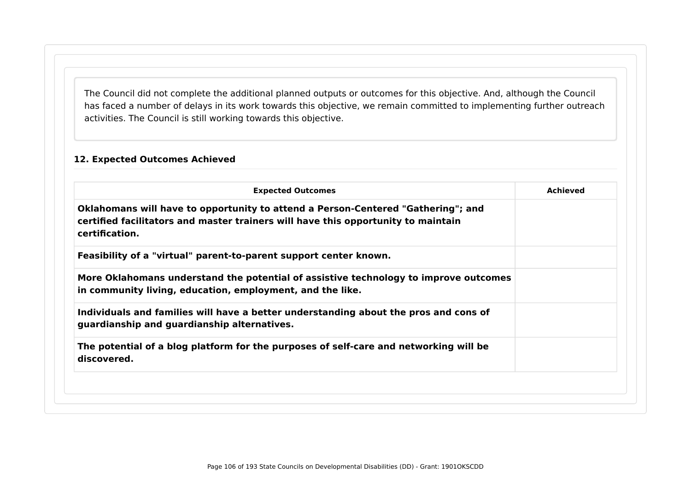The Council did not complete the additional planned outputs or outcomes for this objective. And, although the Council has faced a number of delays in its work towards this objective, we remain committed to implementing further outreach activities. The Council is still working towards this objective.

### **12. Expected Outcomes Achieved**

| <b>Expected Outcomes</b>                                                                                                                                                                | <b>Achieved</b> |
|-----------------------------------------------------------------------------------------------------------------------------------------------------------------------------------------|-----------------|
| Oklahomans will have to opportunity to attend a Person-Centered "Gathering"; and<br>certified facilitators and master trainers will have this opportunity to maintain<br>certification. |                 |
| Feasibility of a "virtual" parent-to-parent support center known.                                                                                                                       |                 |
| More Oklahomans understand the potential of assistive technology to improve outcomes<br>in community living, education, employment, and the like.                                       |                 |
| Individuals and families will have a better understanding about the pros and cons of<br>guardianship and guardianship alternatives.                                                     |                 |
| The potential of a blog platform for the purposes of self-care and networking will be<br>discovered.                                                                                    |                 |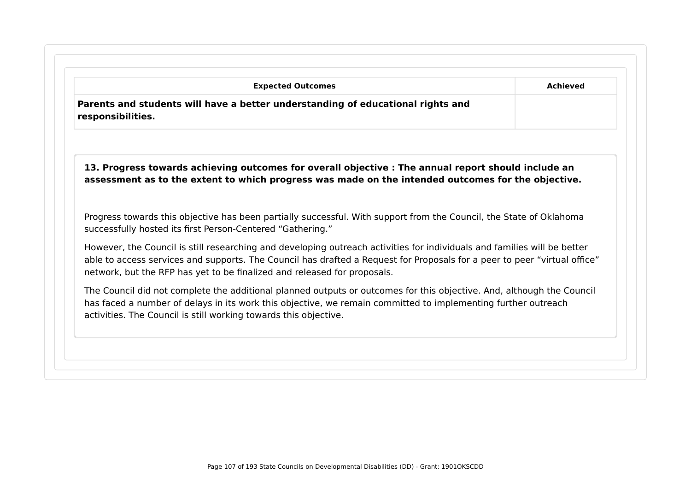| <b>Expected Outcomes</b><br>Parents and students will have a better understanding of educational rights and<br>responsibilities.                                                                                                                                                                                                  | <b>Achieved</b> |
|-----------------------------------------------------------------------------------------------------------------------------------------------------------------------------------------------------------------------------------------------------------------------------------------------------------------------------------|-----------------|
| 13. Progress towards achieving outcomes for overall objective : The annual report should include an<br>assessment as to the extent to which progress was made on the intended outcomes for the objective.                                                                                                                         |                 |
| Progress towards this objective has been partially successful. With support from the Council, the State of Oklahoma<br>successfully hosted its first Person-Centered "Gathering."                                                                                                                                                 |                 |
| However, the Council is still researching and developing outreach activities for individuals and families will be better<br>able to access services and supports. The Council has drafted a Request for Proposals for a peer to peer "virtual office"<br>network, but the RFP has yet to be finalized and released for proposals. |                 |
| The Council did not complete the additional planned outputs or outcomes for this objective. And, although the Council<br>has faced a number of delays in its work this objective, we remain committed to implementing further outreach<br>activities. The Council is still working towards this objective.                        |                 |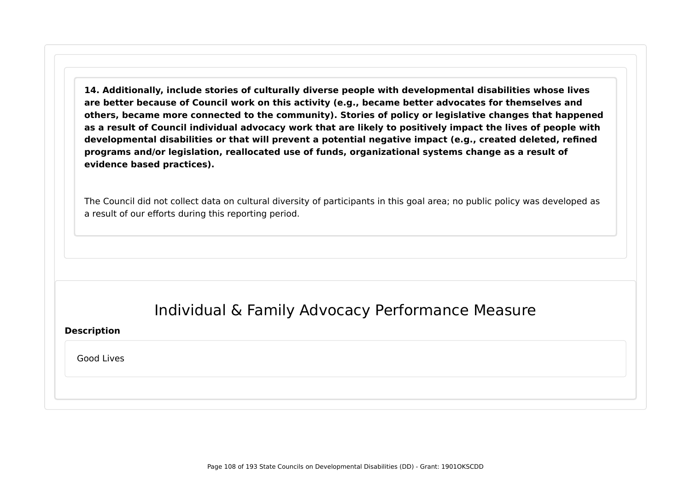**14. Additionally, include stories of culturally diverse people with developmental disabilities whose lives are better because of Council work on this activity (e.g., became better advocates for themselves and others, became more connected to the community). Stories of policy or legislative changes that happened as a result of Council individual advocacy work that are likely to positively impact the lives of people with developmental disabilities or that will prevent a potential negative impact (e.g., created deleted, refined programs and/or legislation, reallocated use of funds, organizational systems change as a result of evidence based practices).**

The Council did not collect data on cultural diversity of participants in this goal area; no public policy was developed as a result of our efforts during this reporting period.

# Individual & Family Advocacy Performance Measure

#### **Description**

Good Lives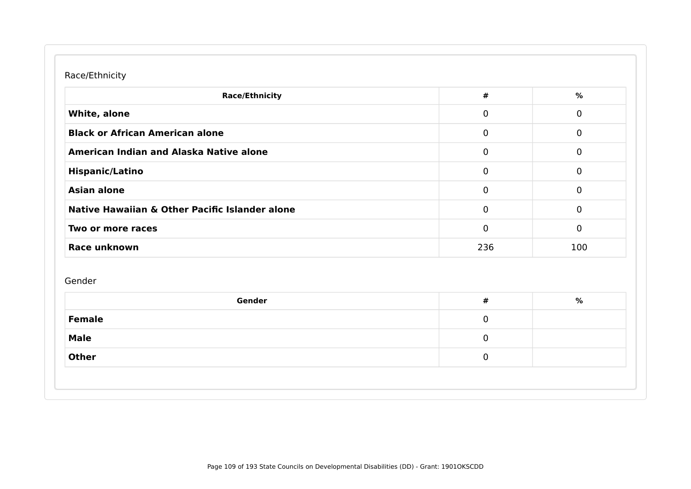## Race/Ethnicity

| <b>Race/Ethnicity</b>                          | $\pmb{\#}$  | $\%$           |
|------------------------------------------------|-------------|----------------|
| White, alone                                   | 0           | $\mathbf 0$    |
| <b>Black or African American alone</b>         | $\mathbf 0$ | $\mathbf 0$    |
| American Indian and Alaska Native alone        | $\mathbf 0$ | $\overline{0}$ |
| <b>Hispanic/Latino</b>                         | 0           | $\mathbf 0$    |
| <b>Asian alone</b>                             | $\mathbf 0$ | $\mathbf 0$    |
| Native Hawaiian & Other Pacific Islander alone | $\mathbf 0$ | $\mathbf 0$    |
| Two or more races                              | $\mathbf 0$ | $\overline{0}$ |
| Race unknown                                   | 236         | 100            |
| Gender<br>Gender                               | $\pmb{\#}$  | %              |
|                                                |             |                |
|                                                | $\mathbf 0$ |                |
| <b>Female</b><br><b>Male</b>                   | $\mathbf 0$ |                |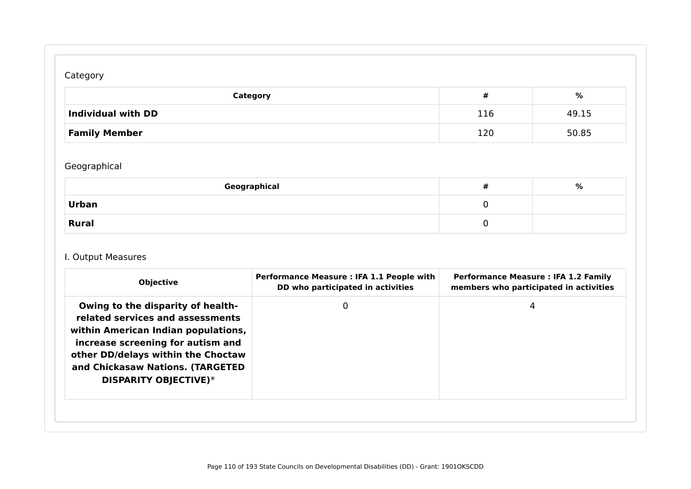# Category

| Category                  | #   | %     |
|---------------------------|-----|-------|
| <b>Individual with DD</b> | 116 | 49.15 |
| <b>Family Member</b>      | 120 | 50.85 |

# Geographical

| Geographical | # | % |
|--------------|---|---|
| <b>Urban</b> |   |   |
| <b>Rural</b> |   |   |

## I. Output Measures

| <b>Objective</b>                                                                                                                                                                                                                                            | Performance Measure : IFA 1.1 People with<br>DD who participated in activities | <b>Performance Measure: IFA 1.2 Family</b><br>members who participated in activities |
|-------------------------------------------------------------------------------------------------------------------------------------------------------------------------------------------------------------------------------------------------------------|--------------------------------------------------------------------------------|--------------------------------------------------------------------------------------|
| Owing to the disparity of health-<br>related services and assessments<br>within American Indian populations,<br>increase screening for autism and<br>other DD/delays within the Choctaw<br>and Chickasaw Nations. (TARGETED<br><b>DISPARITY OBJECTIVE)*</b> | 0                                                                              | 4                                                                                    |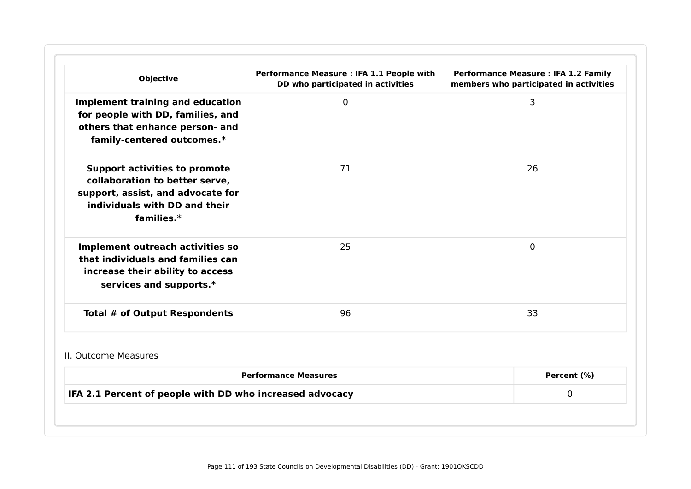| <b>Objective</b>                                                                                                                                              | Performance Measure : IFA 1.1 People with<br>DD who participated in activities | <b>Performance Measure : IFA 1.2 Family</b><br>members who participated in activities |
|---------------------------------------------------------------------------------------------------------------------------------------------------------------|--------------------------------------------------------------------------------|---------------------------------------------------------------------------------------|
| <b>Implement training and education</b><br>for people with DD, families, and<br>others that enhance person- and<br>family-centered outcomes.*                 | $\overline{0}$                                                                 | 3                                                                                     |
| <b>Support activities to promote</b><br>collaboration to better serve,<br>support, assist, and advocate for<br>individuals with DD and their<br>families. $*$ | 71                                                                             | 26                                                                                    |
| Implement outreach activities so<br>that individuals and families can<br>increase their ability to access<br>services and supports.*                          | 25                                                                             | $\Omega$                                                                              |
| <b>Total # of Output Respondents</b>                                                                                                                          | 96                                                                             | 33                                                                                    |
| II. Outcome Measures                                                                                                                                          |                                                                                |                                                                                       |
|                                                                                                                                                               | <b>Performance Measures</b>                                                    | Percent (%)                                                                           |
| IFA 2.1 Percent of people with DD who increased advocacy                                                                                                      |                                                                                | 0                                                                                     |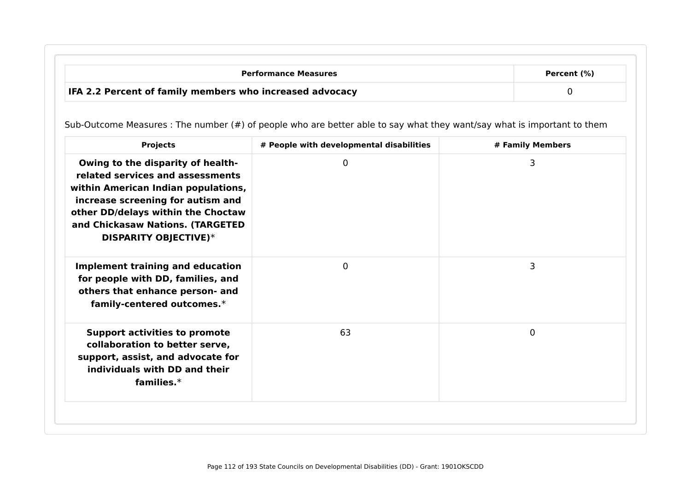| <b>Performance Measures</b>                                     | Percent (%) |
|-----------------------------------------------------------------|-------------|
| <b>IFA 2.2 Percent of family members who increased advocacy</b> |             |

Sub-Outcome Measures : The number (#) of people who are better able to say what they want/say what is important to them

| 3<br>Owing to the disparity of health-<br>0<br>related services and assessments<br>within American Indian populations,<br>increase screening for autism and<br>other DD/delays within the Choctaw<br>and Chickasaw Nations. (TARGETED<br><b>DISPARITY OBJECTIVE)*</b><br>3<br>$\Omega$<br><b>Implement training and education</b><br>for people with DD, families, and |  |
|------------------------------------------------------------------------------------------------------------------------------------------------------------------------------------------------------------------------------------------------------------------------------------------------------------------------------------------------------------------------|--|
|                                                                                                                                                                                                                                                                                                                                                                        |  |
| others that enhance person- and<br>family-centered outcomes.*                                                                                                                                                                                                                                                                                                          |  |
| $\mathbf 0$<br><b>Support activities to promote</b><br>63<br>collaboration to better serve,<br>support, assist, and advocate for<br>individuals with DD and their<br>families. $*$                                                                                                                                                                                     |  |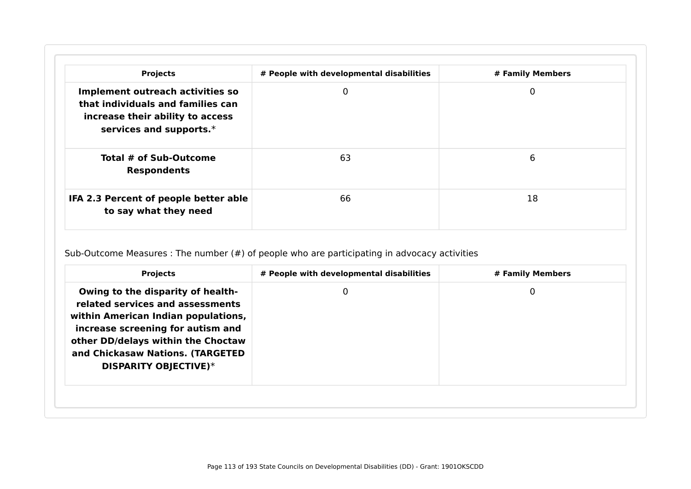| <b>Projects</b>                                                                                                                      | # People with developmental disabilities | # Family Members |
|--------------------------------------------------------------------------------------------------------------------------------------|------------------------------------------|------------------|
| Implement outreach activities so<br>that individuals and families can<br>increase their ability to access<br>services and supports.* | 0                                        | 0                |
| Total # of Sub-Outcome<br><b>Respondents</b>                                                                                         | 63                                       | 6                |
| IFA 2.3 Percent of people better able<br>to say what they need                                                                       | 66                                       | 18               |

Sub-Outcome Measures : The number (#) of people who are participating in advocacy activities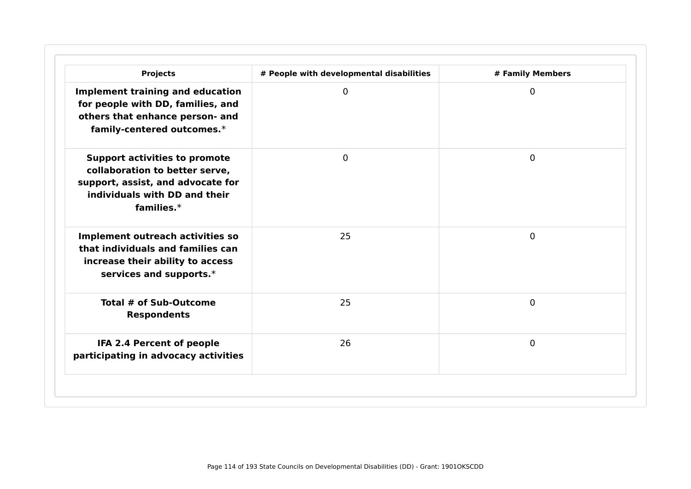| <b>Projects</b>                                                                                                                                               | # People with developmental disabilities | # Family Members |
|---------------------------------------------------------------------------------------------------------------------------------------------------------------|------------------------------------------|------------------|
| <b>Implement training and education</b><br>for people with DD, families, and<br>others that enhance person- and<br>family-centered outcomes.*                 | $\mathbf{0}$                             | $\Omega$         |
| <b>Support activities to promote</b><br>collaboration to better serve,<br>support, assist, and advocate for<br>individuals with DD and their<br>families. $*$ | $\overline{0}$                           | $\mathbf{0}$     |
| Implement outreach activities so<br>that individuals and families can<br>increase their ability to access<br>services and supports.*                          | 25                                       | $\mathbf{0}$     |
| Total # of Sub-Outcome<br><b>Respondents</b>                                                                                                                  | 25                                       | $\Omega$         |
| IFA 2.4 Percent of people<br>participating in advocacy activities                                                                                             | 26                                       | $\Omega$         |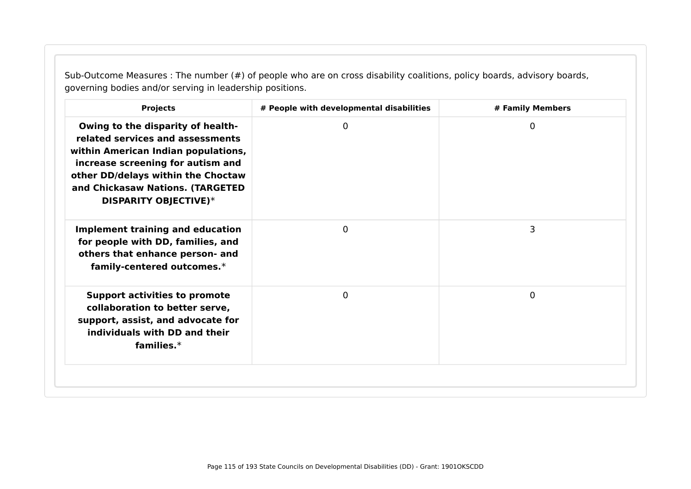Sub-Outcome Measures : The number (#) of people who are on cross disability coalitions, policy boards, advisory boards, governing bodies and/or serving in leadership positions.

| <b>Projects</b>                                                                                                                                                                                                                                      | # People with developmental disabilities | # Family Members |
|------------------------------------------------------------------------------------------------------------------------------------------------------------------------------------------------------------------------------------------------------|------------------------------------------|------------------|
| Owing to the disparity of health-<br>related services and assessments<br>within American Indian populations,<br>increase screening for autism and<br>other DD/delays within the Choctaw<br>and Chickasaw Nations. (TARGETED<br>DISPARITY OBJECTIVE)* | $\mathbf{0}$                             | 0                |
| <b>Implement training and education</b><br>for people with DD, families, and<br>others that enhance person- and<br>family-centered outcomes.*                                                                                                        | $\Omega$                                 | 3                |
| <b>Support activities to promote</b><br>collaboration to better serve,<br>support, assist, and advocate for<br>individuals with DD and their<br>families. $*$                                                                                        | $\mathbf 0$                              | 0                |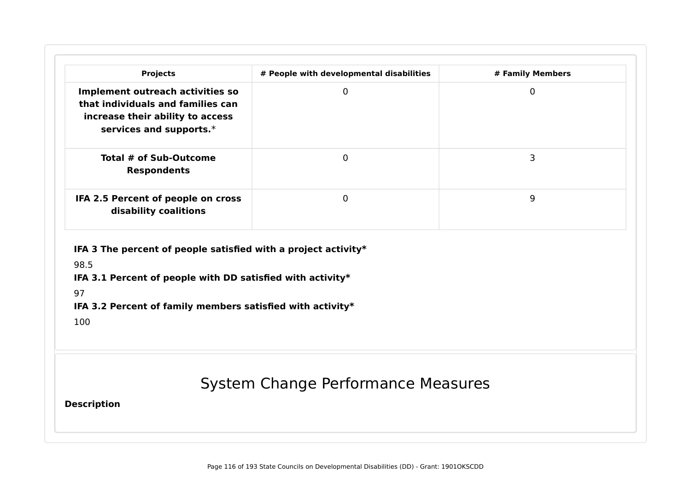| Implement outreach activities so                                                                                                      | # People with developmental disabilities | # Family Members |
|---------------------------------------------------------------------------------------------------------------------------------------|------------------------------------------|------------------|
| that individuals and families can<br>increase their ability to access<br>services and supports.*                                      | $\mathbf 0$                              | $\mathbf 0$      |
| Total # of Sub-Outcome<br><b>Respondents</b>                                                                                          | $\mathbf 0$                              | 3                |
| IFA 2.5 Percent of people on cross<br>disability coalitions                                                                           | $\mathbf 0$                              | 9                |
| IFA 3.1 Percent of people with DD satisfied with activity*<br>97<br>IFA 3.2 Percent of family members satisfied with activity*<br>100 |                                          |                  |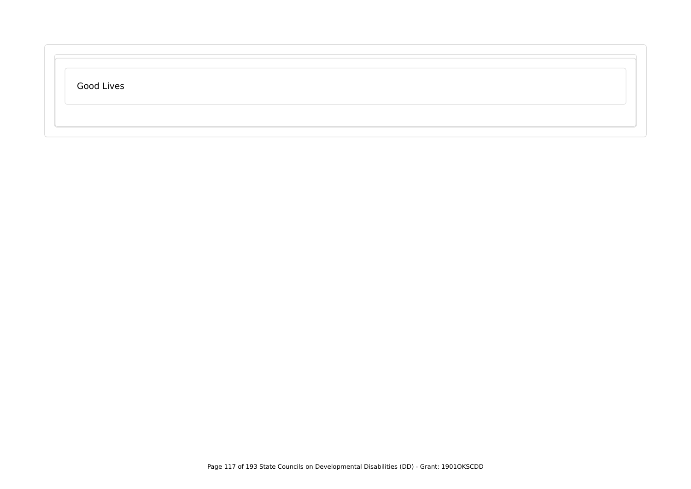| Good Lives |  |  |
|------------|--|--|
|            |  |  |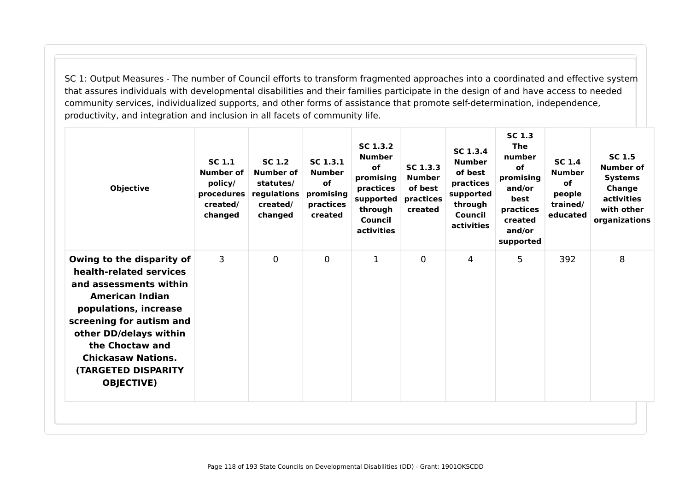SC 1: Output Measures - The number of Council efforts to transform fragmented approaches into a coordinated and effective system that assures individuals with developmental disabilities and their families participate in the design of and have access to needed community services, individualized supports, and other forms of assistance that promote self-determination, independence, productivity, and integration and inclusion in all facets of community life.

| <b>Objective</b>                                                                                                                                                                                                                                                                           | SC 1.1<br>Number of<br>policy/<br>procedures<br>created/<br>changed | SC 1.2<br>Number of<br>statutes/<br>regulations<br>created/<br>changed | SC 1.3.1<br><b>Number</b><br>of<br>promising<br>practices<br>created | SC 1.3.2<br><b>Number</b><br><b>of</b><br>promising<br>practices<br>supported<br>through<br>Council<br>activities | SC 1.3.3<br><b>Number</b><br>of best<br>practices<br>created | SC 1.3.4<br><b>Number</b><br>of best<br>practices<br>supported<br>through<br>Council<br>activities | <b>SC 1.3</b><br>The<br>number<br><b>of</b><br>promising<br>and/or<br>best<br>practices<br>created<br>and/or<br>supported | <b>SC 1.4</b><br><b>Number</b><br><b>of</b><br>people<br>trained/<br>educated | <b>SC 1.5</b><br><b>Number of</b><br><b>Systems</b><br>Change<br>activities<br>with other<br>organizations |
|--------------------------------------------------------------------------------------------------------------------------------------------------------------------------------------------------------------------------------------------------------------------------------------------|---------------------------------------------------------------------|------------------------------------------------------------------------|----------------------------------------------------------------------|-------------------------------------------------------------------------------------------------------------------|--------------------------------------------------------------|----------------------------------------------------------------------------------------------------|---------------------------------------------------------------------------------------------------------------------------|-------------------------------------------------------------------------------|------------------------------------------------------------------------------------------------------------|
| Owing to the disparity of<br>health-related services<br>and assessments within<br><b>American Indian</b><br>populations, increase<br>screening for autism and<br>other DD/delays within<br>the Choctaw and<br><b>Chickasaw Nations.</b><br><b>(TARGETED DISPARITY</b><br><b>OBJECTIVE)</b> | 3                                                                   | $\mathbf 0$                                                            | $\mathbf{0}$                                                         | $\mathbf{1}$                                                                                                      | $\Omega$                                                     | 4                                                                                                  | 5                                                                                                                         | 392                                                                           | 8                                                                                                          |
|                                                                                                                                                                                                                                                                                            |                                                                     |                                                                        |                                                                      |                                                                                                                   |                                                              |                                                                                                    |                                                                                                                           |                                                                               |                                                                                                            |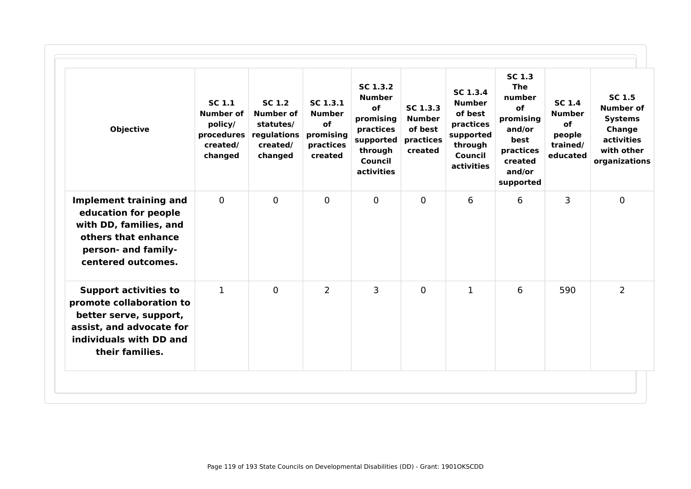| <b>Objective</b>                                                                                                                                             | SC 1.1<br>Number of<br>policy/<br>procedures<br>created/<br>changed | SC 1.2<br><b>Number of</b><br>statutes/<br>regulations<br>created/<br>changed | SC <sub>1.3.1</sub><br><b>Number</b><br>of<br>promising<br>practices<br>created | SC 1.3.2<br><b>Number</b><br>of<br>promising<br>practices<br>supported<br>through<br>Council<br>activities | SC 1.3.3<br><b>Number</b><br>of best<br>practices<br>created | SC 1.3.4<br><b>Number</b><br>of best<br>practices<br>supported<br>through<br>Council<br>activities | <b>SC 1.3</b><br><b>The</b><br>number<br>of<br>promising<br>and/or<br>best<br>practices<br>created<br>and/or<br>supported | <b>SC 1.4</b><br><b>Number</b><br>of<br>people<br>trained/<br>educated | <b>SC 1.5</b><br><b>Number of</b><br><b>Systems</b><br>Change<br>activities<br>with other<br>organizations |
|--------------------------------------------------------------------------------------------------------------------------------------------------------------|---------------------------------------------------------------------|-------------------------------------------------------------------------------|---------------------------------------------------------------------------------|------------------------------------------------------------------------------------------------------------|--------------------------------------------------------------|----------------------------------------------------------------------------------------------------|---------------------------------------------------------------------------------------------------------------------------|------------------------------------------------------------------------|------------------------------------------------------------------------------------------------------------|
| <b>Implement training and</b><br>education for people<br>with DD, families, and<br>others that enhance<br>person- and family-<br>centered outcomes.          | $\mathbf{0}$                                                        | $\Omega$                                                                      | $\mathbf{0}$                                                                    | $\mathbf 0$                                                                                                | $\mathbf{0}$                                                 | 6                                                                                                  | 6                                                                                                                         | 3                                                                      | $\overline{0}$                                                                                             |
| <b>Support activities to</b><br>promote collaboration to<br>better serve, support,<br>assist, and advocate for<br>individuals with DD and<br>their families. | $\mathbf{1}$                                                        | $\Omega$                                                                      | $\overline{2}$                                                                  | 3                                                                                                          | $\mathbf{0}$                                                 | 1                                                                                                  | 6                                                                                                                         | 590                                                                    | 2                                                                                                          |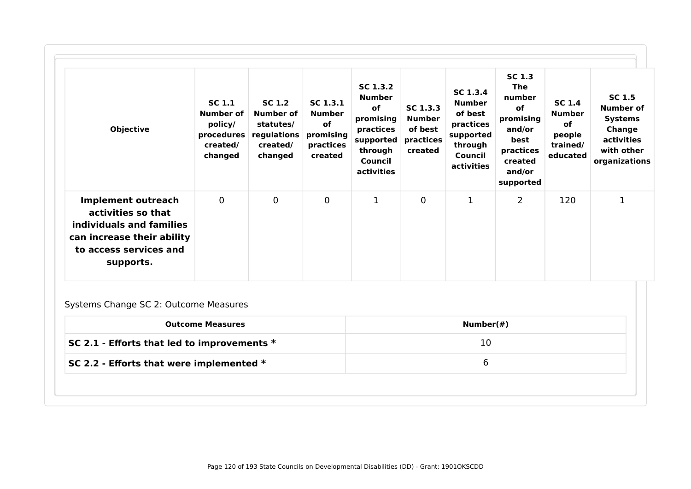| <b>Objective</b>                                                                                                                                 | <b>SC 1.1</b><br><b>Number of</b><br>policy/<br>procedures<br>created/<br>changed | SC 1.2<br><b>Number of</b><br>statutes/<br>regulations<br>created/<br>changed | SC 1.3.1<br><b>Number</b><br><b>of</b><br>promising<br>practices<br>created | SC 1.3.2<br><b>Number</b><br>οf<br>promising<br>practices<br>supported<br>through<br>Council<br>activities | SC 1.3.3<br><b>Number</b><br>of best<br>practices<br>created | SC 1.3.4<br><b>Number</b><br>of best<br>practices<br>supported<br>through<br>Council<br>activities | <b>SC 1.3</b><br><b>The</b><br>number<br>of<br>promising<br>and/or<br>best<br>practices<br>created<br>and/or<br>supported | <b>SC 1.4</b><br><b>Number</b><br><b>of</b><br>people<br>trained/<br>educated | <b>SC 1.5</b><br>Number of<br><b>Systems</b><br>Change<br>activities<br>with other<br>organizations |
|--------------------------------------------------------------------------------------------------------------------------------------------------|-----------------------------------------------------------------------------------|-------------------------------------------------------------------------------|-----------------------------------------------------------------------------|------------------------------------------------------------------------------------------------------------|--------------------------------------------------------------|----------------------------------------------------------------------------------------------------|---------------------------------------------------------------------------------------------------------------------------|-------------------------------------------------------------------------------|-----------------------------------------------------------------------------------------------------|
| <b>Implement outreach</b><br>activities so that<br>individuals and families<br>can increase their ability<br>to access services and<br>supports. | $\mathbf 0$                                                                       | $\mathbf 0$                                                                   | 0                                                                           | $\mathbf{1}$                                                                                               | 0                                                            | 1                                                                                                  | $\overline{2}$                                                                                                            | 120                                                                           | $\mathbf{1}$                                                                                        |
| Systems Change SC 2: Outcome Measures                                                                                                            | <b>Outcome Measures</b>                                                           |                                                                               |                                                                             |                                                                                                            |                                                              | Number(#)                                                                                          |                                                                                                                           |                                                                               |                                                                                                     |

| SC 2.1 - Efforts that led to improvements $*$ | 10 |
|-----------------------------------------------|----|
| SC 2.2 - Efforts that were implemented $*$    |    |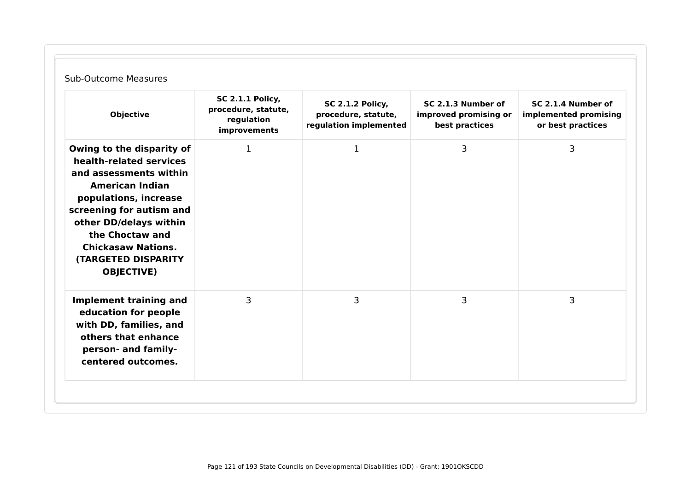| <b>Objective</b>                                                                                                                                                                                                                                                                           | <b>SC 2.1.1 Policy,</b><br>procedure, statute,<br>regulation<br>improvements | <b>SC 2.1.2 Policy,</b><br>procedure, statute,<br>regulation implemented | SC 2.1.3 Number of<br>improved promising or<br>best practices | SC 2.1.4 Number of<br>implemented promising<br>or best practices |
|--------------------------------------------------------------------------------------------------------------------------------------------------------------------------------------------------------------------------------------------------------------------------------------------|------------------------------------------------------------------------------|--------------------------------------------------------------------------|---------------------------------------------------------------|------------------------------------------------------------------|
| Owing to the disparity of<br>health-related services<br>and assessments within<br><b>American Indian</b><br>populations, increase<br>screening for autism and<br>other DD/delays within<br>the Choctaw and<br><b>Chickasaw Nations.</b><br><b>(TARGETED DISPARITY</b><br><b>OBJECTIVE)</b> | $\mathbf 1$                                                                  | $\mathbf 1$                                                              | 3                                                             | 3                                                                |
| <b>Implement training and</b><br>education for people<br>with DD, families, and<br>others that enhance<br>person- and family-<br>centered outcomes.                                                                                                                                        | 3                                                                            | 3                                                                        | 3                                                             | 3                                                                |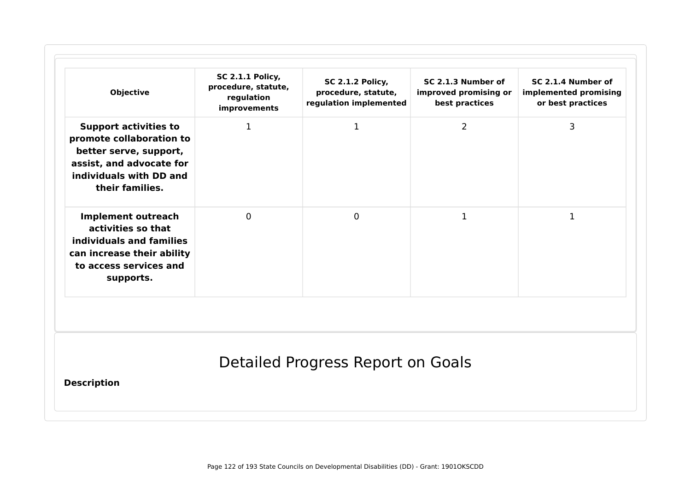| <b>Objective</b>                                                                                                                                             | <b>SC 2.1.1 Policy,</b><br>procedure, statute,<br>regulation<br>improvements | <b>SC 2.1.2 Policy,</b><br>procedure, statute,<br>regulation implemented | SC 2.1.3 Number of<br>improved promising or<br>best practices | SC 2.1.4 Number of<br>implemented promising<br>or best practices |
|--------------------------------------------------------------------------------------------------------------------------------------------------------------|------------------------------------------------------------------------------|--------------------------------------------------------------------------|---------------------------------------------------------------|------------------------------------------------------------------|
| <b>Support activities to</b><br>promote collaboration to<br>better serve, support,<br>assist, and advocate for<br>individuals with DD and<br>their families. | 1                                                                            | 1                                                                        | $\overline{2}$                                                | 3                                                                |
| <b>Implement outreach</b><br>activities so that<br>individuals and families<br>can increase their ability<br>to access services and<br>supports.             | $\mathbf 0$                                                                  | $\mathbf 0$                                                              | $\mathbf{1}$                                                  | $\mathbf 1$                                                      |
| <b>Description</b>                                                                                                                                           |                                                                              | Detailed Progress Report on Goals                                        |                                                               |                                                                  |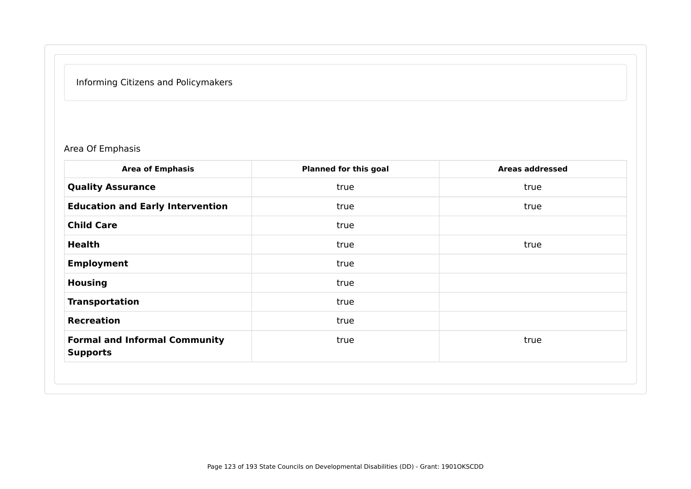# Informing Citizens and Policymakers

Area Of Emphasis

| <b>Planned for this goal</b> | <b>Areas addressed</b> |
|------------------------------|------------------------|
| true                         | true                   |
| true                         | true                   |
| true                         |                        |
| true                         | true                   |
| true                         |                        |
| true                         |                        |
| true                         |                        |
| true                         |                        |
| true                         | true                   |
|                              |                        |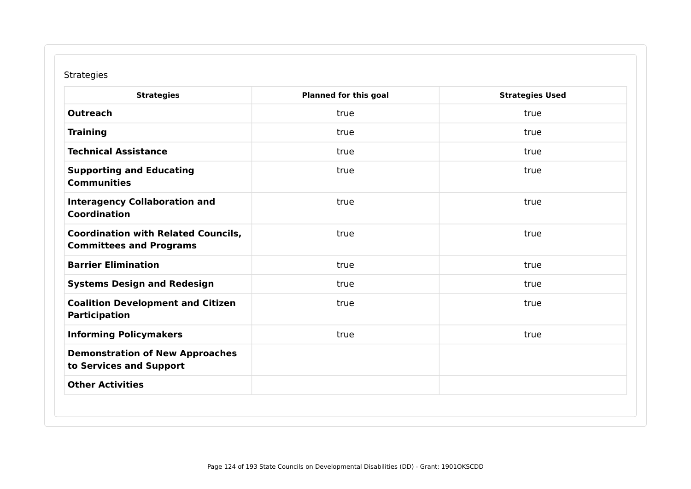## Strategies

| <b>Strategies</b>                                                            | <b>Planned for this goal</b> | <b>Strategies Used</b> |
|------------------------------------------------------------------------------|------------------------------|------------------------|
| <b>Outreach</b>                                                              | true                         | true                   |
| <b>Training</b>                                                              | true                         | true                   |
| <b>Technical Assistance</b>                                                  | true                         | true                   |
| <b>Supporting and Educating</b><br><b>Communities</b>                        | true                         | true                   |
| <b>Interagency Collaboration and</b><br><b>Coordination</b>                  | true                         | true                   |
| <b>Coordination with Related Councils,</b><br><b>Committees and Programs</b> | true                         | true                   |
| <b>Barrier Elimination</b>                                                   | true                         | true                   |
| <b>Systems Design and Redesign</b>                                           | true                         | true                   |
| <b>Coalition Development and Citizen</b><br><b>Participation</b>             | true                         | true                   |
| <b>Informing Policymakers</b>                                                | true                         | true                   |
| <b>Demonstration of New Approaches</b><br>to Services and Support            |                              |                        |
| <b>Other Activities</b>                                                      |                              |                        |
|                                                                              |                              |                        |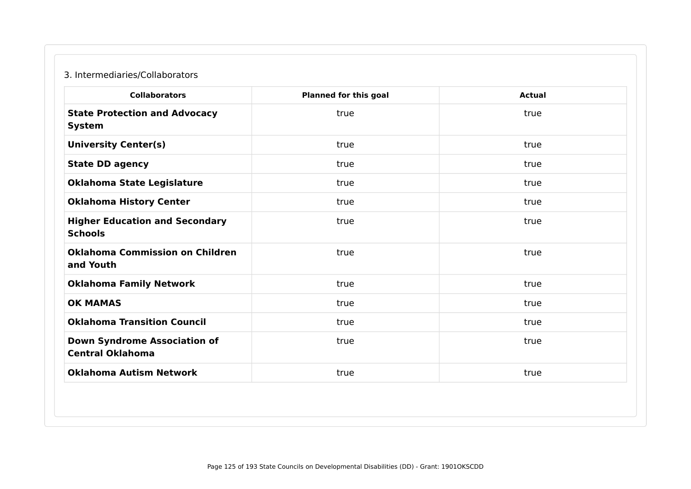### 3. Intermediaries/Collaborators

| <b>Collaborators</b>                                           | <b>Planned for this goal</b> | <b>Actual</b> |
|----------------------------------------------------------------|------------------------------|---------------|
| <b>State Protection and Advocacy</b><br><b>System</b>          | true                         | true          |
| <b>University Center(s)</b>                                    | true                         | true          |
| <b>State DD agency</b>                                         | true                         | true          |
| <b>Oklahoma State Legislature</b>                              | true                         | true          |
| <b>Oklahoma History Center</b>                                 | true                         | true          |
| <b>Higher Education and Secondary</b><br><b>Schools</b>        | true                         | true          |
| <b>Oklahoma Commission on Children</b><br>and Youth            | true                         | true          |
| <b>Oklahoma Family Network</b>                                 | true                         | true          |
| <b>OK MAMAS</b>                                                | true                         | true          |
| <b>Oklahoma Transition Council</b>                             | true                         | true          |
| <b>Down Syndrome Association of</b><br><b>Central Oklahoma</b> | true                         | true          |
| <b>Oklahoma Autism Network</b>                                 | true                         | true          |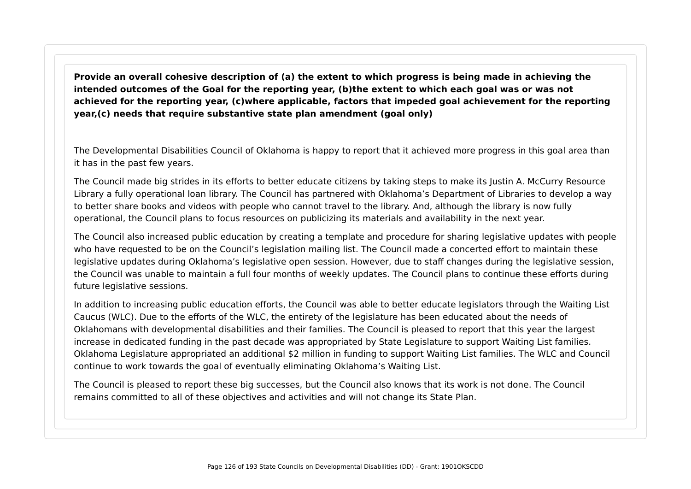**Provide an overall cohesive description of (a) the extent to which progress is being made in achieving the intended outcomes of the Goal for the reporting year, (b)the extent to which each goal was or was not achieved for the reporting year, (c)where applicable, factors that impeded goal achievement for the reporting year,(c) needs that require substantive state plan amendment (goal only)**

The Developmental Disabilities Council of Oklahoma is happy to report that it achieved more progress in this goal area than it has in the past few years.

The Council made big strides in its efforts to better educate citizens by taking steps to make its Justin A. McCurry Resource Library a fully operational loan library. The Council has partnered with Oklahoma's Department of Libraries to develop a way to better share books and videos with people who cannot travel to the library. And, although the library is now fully operational, the Council plans to focus resources on publicizing its materials and availability in the next year.

The Council also increased public education by creating a template and procedure for sharing legislative updates with people who have requested to be on the Council's legislation mailing list. The Council made a concerted effort to maintain these legislative updates during Oklahoma's legislative open session. However, due to staff changes during the legislative session, the Council was unable to maintain a full four months of weekly updates. The Council plans to continue these efforts during future legislative sessions.

In addition to increasing public education efforts, the Council was able to better educate legislators through the Waiting List Caucus (WLC). Due to the efforts of the WLC, the entirety of the legislature has been educated about the needs of Oklahomans with developmental disabilities and their families. The Council is pleased to report that this year the largest increase in dedicated funding in the past decade was appropriated by State Legislature to support Waiting List families. Oklahoma Legislature appropriated an additional \$2 million in funding to support Waiting List families. The WLC and Council continue to work towards the goal of eventually eliminating Oklahoma's Waiting List.

The Council is pleased to report these big successes, but the Council also knows that its work is not done. The Council remains committed to all of these objectives and activities and will not change its State Plan.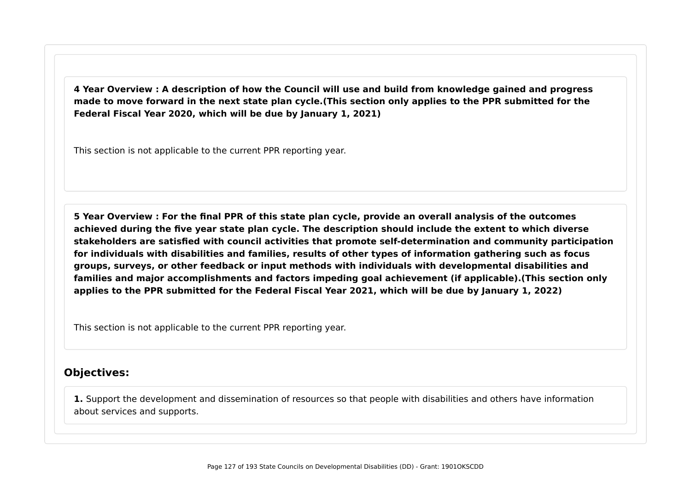**4 Year Overview : A description of how the Council will use and build from knowledge gained and progress made to move forward in the next state plan cycle.(This section only applies to the PPR submitted for the Federal Fiscal Year 2020, which will be due by January 1, 2021)**

This section is not applicable to the current PPR reporting year.

**5 Year Overview : For the final PPR of this state plan cycle, provide an overall analysis of the outcomes achieved during the five year state plan cycle. The description should include the extent to which diverse stakeholders are satisfied with council activities that promote self-determination and community participation for individuals with disabilities and families, results of other types of information gathering such as focus groups, surveys, or other feedback or input methods with individuals with developmental disabilities and families and major accomplishments and factors impeding goal achievement (if applicable).(This section only applies to the PPR submitted for the Federal Fiscal Year 2021, which will be due by January 1, 2022)**

This section is not applicable to the current PPR reporting year.

## **Objectives:**

**1.** Support the development and dissemination of resources so that people with disabilities and others have information about services and supports.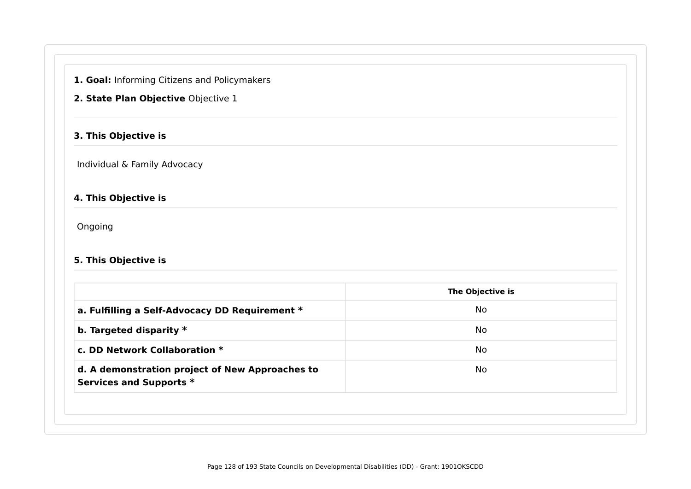**1. Goal:** Informing Citizens and Policymakers

### **2. State Plan Objective** Objective 1

### **3. This Objective is**

Individual & Family Advocacy

## **4. This Objective is**

Ongoing

### **5. This Objective is**

|                                                                            | The Objective is |
|----------------------------------------------------------------------------|------------------|
| a. Fulfilling a Self-Advocacy DD Requirement *                             | No               |
| b. Targeted disparity $*$                                                  | No               |
| c. DD Network Collaboration *                                              | No               |
| d. A demonstration project of New Approaches to<br>Services and Supports * | No               |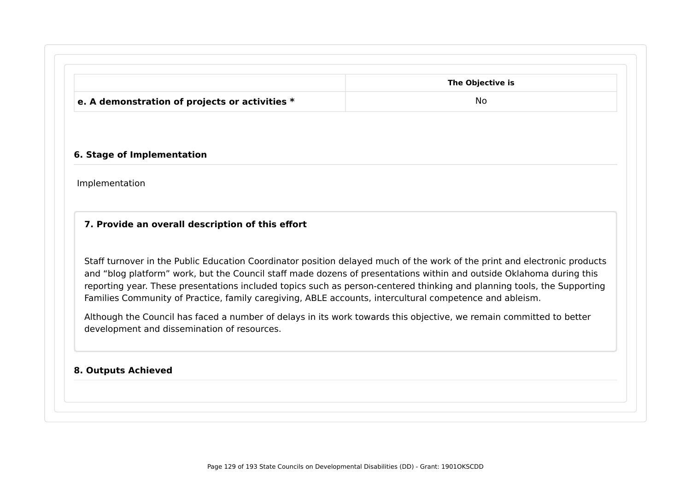|                                                  | The Objective is |
|--------------------------------------------------|------------------|
| e. A demonstration of projects or activities $*$ | No               |

#### **6. Stage of Implementation**

Implementation

### **7. Provide an overall description of this effort**

Staff turnover in the Public Education Coordinator position delayed much of the work of the print and electronic products and "blog platform" work, but the Council staff made dozens of presentations within and outside Oklahoma during this reporting year. These presentations included topics such as person-centered thinking and planning tools, the Supporting Families Community of Practice, family caregiving, ABLE accounts, intercultural competence and ableism.

Although the Council has faced a number of delays in its work towards this objective, we remain committed to better development and dissemination of resources.

#### **8. Outputs Achieved**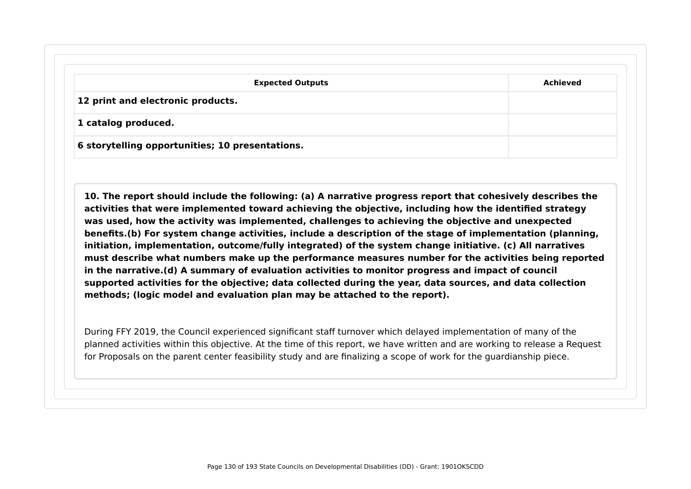| <b>Expected Outputs</b>                         | <b>Achieved</b> |
|-------------------------------------------------|-----------------|
| 12 print and electronic products.               |                 |
| 1 catalog produced.                             |                 |
| 6 storytelling opportunities; 10 presentations. |                 |

**10. The report should include the following: (a) A narrative progress report that cohesively describes the activities that were implemented toward achieving the objective, including how the identified strategy was used, how the activity was implemented, challenges to achieving the objective and unexpected benefits.(b) For system change activities, include a description of the stage of implementation (planning, initiation, implementation, outcome/fully integrated) of the system change initiative. (c) All narratives must describe what numbers make up the performance measures number for the activities being reported in the narrative.(d) A summary of evaluation activities to monitor progress and impact of council supported activities for the objective; data collected during the year, data sources, and data collection methods; (logic model and evaluation plan may be attached to the report).**

During FFY 2019, the Council experienced significant staff turnover which delayed implementation of many of the planned activities within this objective. At the time of this report, we have written and are working to release a Request for Proposals on the parent center feasibility study and are finalizing a scope of work for the guardianship piece.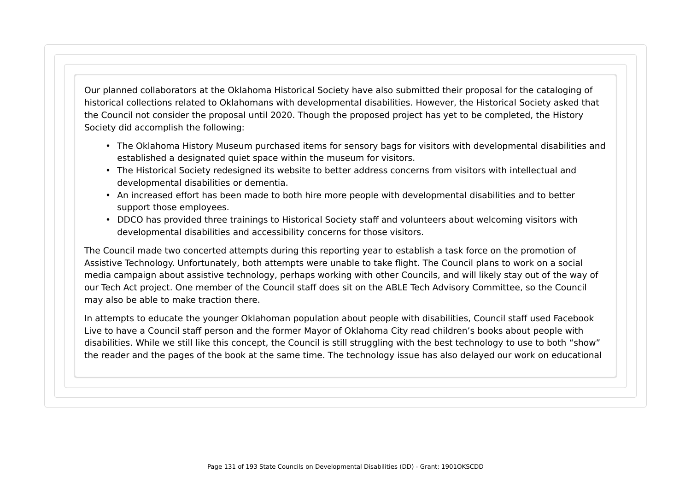Our planned collaborators at the Oklahoma Historical Society have also submitted their proposal for the cataloging of historical collections related to Oklahomans with developmental disabilities. However, the Historical Society asked that the Council not consider the proposal until 2020. Though the proposed project has yet to be completed, the History Society did accomplish the following:

- The Oklahoma History Museum purchased items for sensory bags for visitors with developmental disabilities and established a designated quiet space within the museum for visitors.
- The Historical Society redesigned its website to better address concerns from visitors with intellectual and developmental disabilities or dementia.
- An increased effort has been made to both hire more people with developmental disabilities and to better support those employees.
- DDCO has provided three trainings to Historical Society staff and volunteers about welcoming visitors with developmental disabilities and accessibility concerns for those visitors.

The Council made two concerted attempts during this reporting year to establish a task force on the promotion of Assistive Technology. Unfortunately, both attempts were unable to take flight. The Council plans to work on a social media campaign about assistive technology, perhaps working with other Councils, and will likely stay out of the way of our Tech Act project. One member of the Council staff does sit on the ABLE Tech Advisory Committee, so the Council may also be able to make traction there.

In attempts to educate the younger Oklahoman population about people with disabilities, Council staff used Facebook Live to have a Council staff person and the former Mayor of Oklahoma City read children's books about people with disabilities. While we still like this concept, the Council is still struggling with the best technology to use to both "show" the reader and the pages of the book at the same time. The technology issue has also delayed our work on educational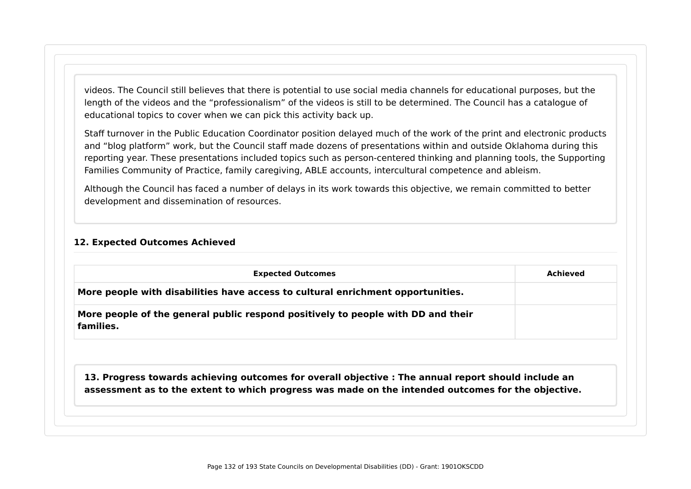videos. The Council still believes that there is potential to use social media channels for educational purposes, but the length of the videos and the "professionalism" of the videos is still to be determined. The Council has a catalogue of educational topics to cover when we can pick this activity back up.

Staff turnover in the Public Education Coordinator position delayed much of the work of the print and electronic products and "blog platform" work, but the Council staff made dozens of presentations within and outside Oklahoma during this reporting year. These presentations included topics such as person-centered thinking and planning tools, the Supporting Families Community of Practice, family caregiving, ABLE accounts, intercultural competence and ableism.

Although the Council has faced a number of delays in its work towards this objective, we remain committed to better development and dissemination of resources.

#### **12. Expected Outcomes Achieved**

| <b>Expected Outcomes</b>                                                                            | Achieved |
|-----------------------------------------------------------------------------------------------------|----------|
| More people with disabilities have access to cultural enrichment opportunities.                     |          |
| More people of the general public respond positively to people with DD and their<br>families.       |          |
| 13. Progress towards achieving outcomes for overall objective : The annual report should include an |          |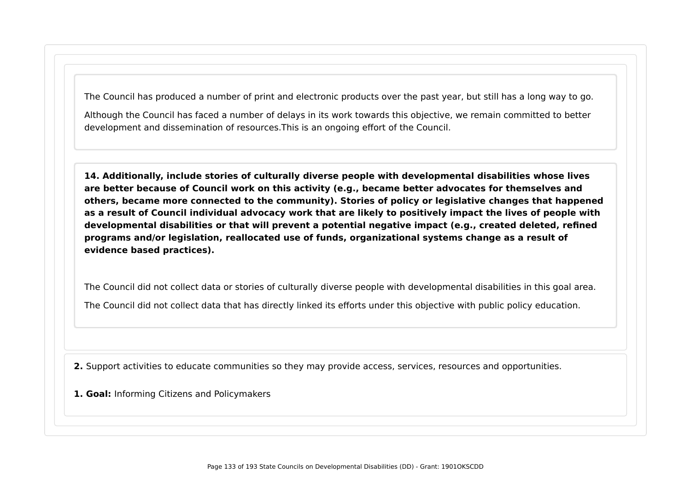The Council has produced a number of print and electronic products over the past year, but still has a long way to go.

Although the Council has faced a number of delays in its work towards this objective, we remain committed to better development and dissemination of resources.This is an ongoing effort of the Council.

**14. Additionally, include stories of culturally diverse people with developmental disabilities whose lives are better because of Council work on this activity (e.g., became better advocates for themselves and others, became more connected to the community). Stories of policy or legislative changes that happened as a result of Council individual advocacy work that are likely to positively impact the lives of people with developmental disabilities or that will prevent a potential negative impact (e.g., created deleted, refined programs and/or legislation, reallocated use of funds, organizational systems change as a result of evidence based practices).**

The Council did not collect data or stories of culturally diverse people with developmental disabilities in this goal area. The Council did not collect data that has directly linked its efforts under this objective with public policy education.

**2.** Support activities to educate communities so they may provide access, services, resources and opportunities.

**1. Goal:** Informing Citizens and Policymakers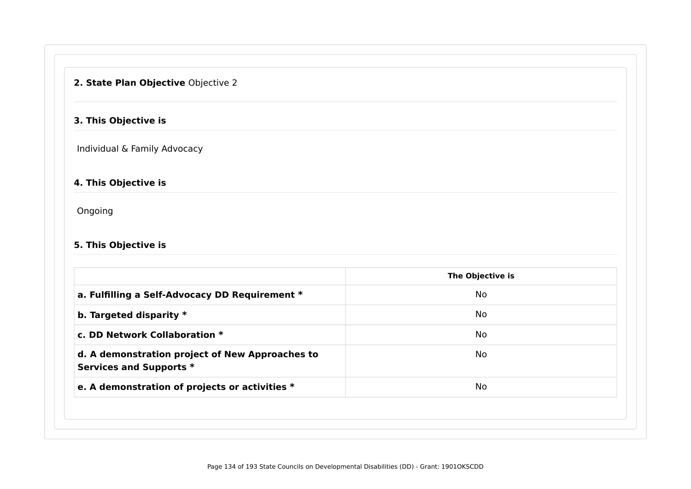## **2. State Plan Objective** Objective 2

### **3. This Objective is**

Individual & Family Advocacy

### **4. This Objective is**

Ongoing

### **5. This Objective is**

|                                                                            | The Objective is |
|----------------------------------------------------------------------------|------------------|
| a. Fulfilling a Self-Advocacy DD Requirement *                             | <b>No</b>        |
| b. Targeted disparity $*$                                                  | No               |
| c. DD Network Collaboration *                                              | <b>No</b>        |
| d. A demonstration project of New Approaches to<br>Services and Supports * | No               |
| e. A demonstration of projects or activities *                             | <b>No</b>        |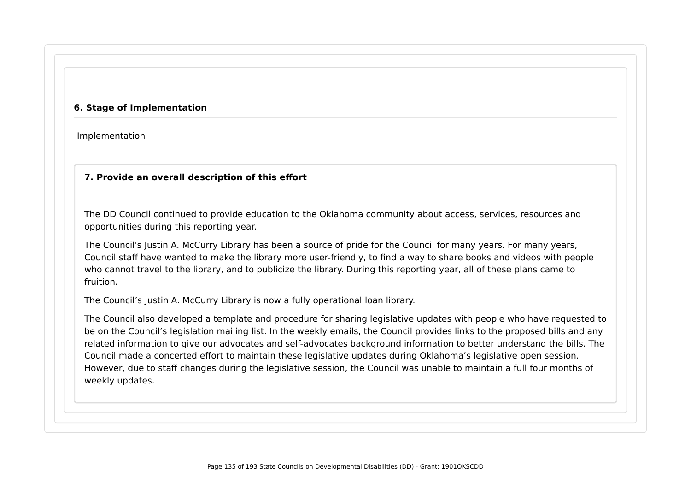#### **6. Stage of Implementation**

Implementation

### **7. Provide an overall description of this effort**

The DD Council continued to provide education to the Oklahoma community about access, services, resources and opportunities during this reporting year.

The Council's Justin A. McCurry Library has been a source of pride for the Council for many years. For many years, Council staff have wanted to make the library more user-friendly, to find a way to share books and videos with people who cannot travel to the library, and to publicize the library. During this reporting year, all of these plans came to fruition.

The Council's Justin A. McCurry Library is now a fully operational loan library.

The Council also developed a template and procedure for sharing legislative updates with people who have requested to be on the Council's legislation mailing list. In the weekly emails, the Council provides links to the proposed bills and any related information to give our advocates and self-advocates background information to better understand the bills. The Council made a concerted effort to maintain these legislative updates during Oklahoma's legislative open session. However, due to staff changes during the legislative session, the Council was unable to maintain a full four months of weekly updates.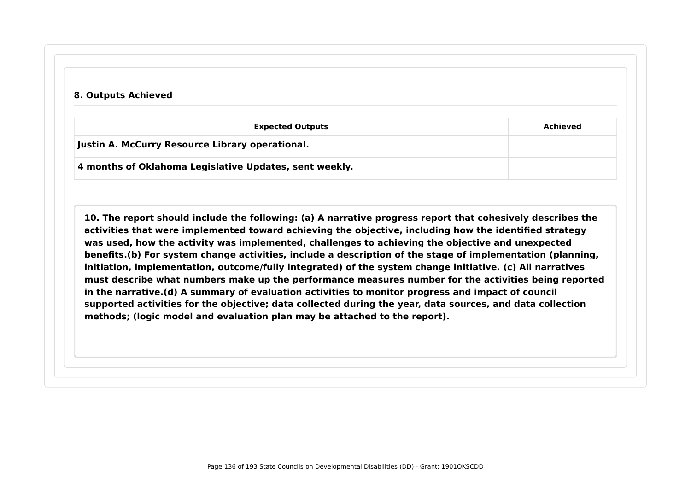#### **8. Outputs Achieved**

| <b>Expected Outputs</b>                                | Achieved |
|--------------------------------------------------------|----------|
| Justin A. McCurry Resource Library operational.        |          |
| 4 months of Oklahoma Legislative Updates, sent weekly. |          |

**10. The report should include the following: (a) A narrative progress report that cohesively describes the activities that were implemented toward achieving the objective, including how the identified strategy was used, how the activity was implemented, challenges to achieving the objective and unexpected benefits.(b) For system change activities, include a description of the stage of implementation (planning, initiation, implementation, outcome/fully integrated) of the system change initiative. (c) All narratives must describe what numbers make up the performance measures number for the activities being reported in the narrative.(d) A summary of evaluation activities to monitor progress and impact of council supported activities for the objective; data collected during the year, data sources, and data collection methods; (logic model and evaluation plan may be attached to the report).**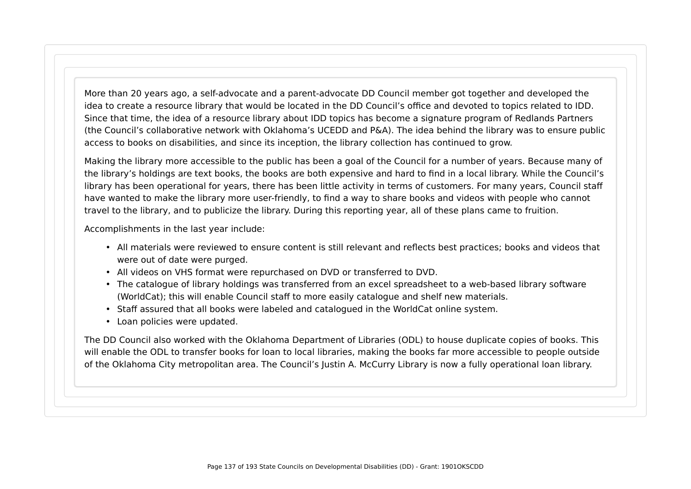More than 20 years ago, a self-advocate and a parent-advocate DD Council member got together and developed the idea to create a resource library that would be located in the DD Council's office and devoted to topics related to IDD. Since that time, the idea of a resource library about IDD topics has become a signature program of Redlands Partners (the Council's collaborative network with Oklahoma's UCEDD and P&A). The idea behind the library was to ensure public access to books on disabilities, and since its inception, the library collection has continued to grow.

Making the library more accessible to the public has been a goal of the Council for a number of years. Because many of the library's holdings are text books, the books are both expensive and hard to find in a local library. While the Council's library has been operational for years, there has been little activity in terms of customers. For many years, Council staff have wanted to make the library more user-friendly, to find a way to share books and videos with people who cannot travel to the library, and to publicize the library. During this reporting year, all of these plans came to fruition.

Accomplishments in the last year include:

- All materials were reviewed to ensure content is still relevant and reflects best practices; books and videos that were out of date were purged.
- All videos on VHS format were repurchased on DVD or transferred to DVD.
- The catalogue of library holdings was transferred from an excel spreadsheet to a web-based library software (WorldCat); this will enable Council staff to more easily catalogue and shelf new materials.
- Staff assured that all books were labeled and catalogued in the WorldCat online system.
- Loan policies were updated.

The DD Council also worked with the Oklahoma Department of Libraries (ODL) to house duplicate copies of books. This will enable the ODL to transfer books for loan to local libraries, making the books far more accessible to people outside of the Oklahoma City metropolitan area. The Council's Justin A. McCurry Library is now a fully operational loan library.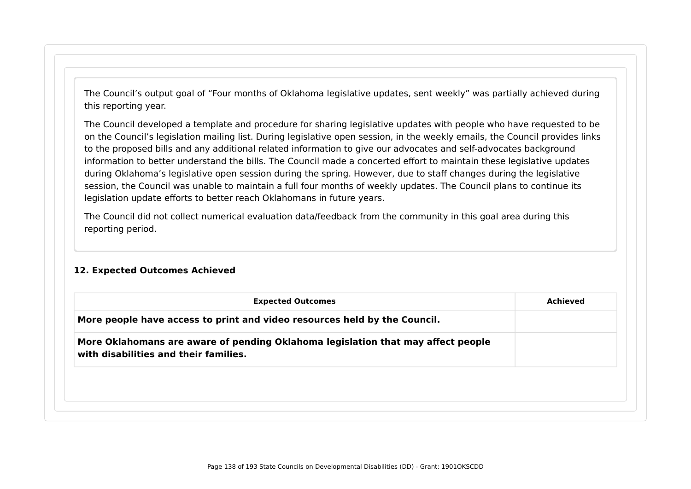The Council's output goal of "Four months of Oklahoma legislative updates, sent weekly" was partially achieved during this reporting year.

The Council developed a template and procedure for sharing legislative updates with people who have requested to be on the Council's legislation mailing list. During legislative open session, in the weekly emails, the Council provides links to the proposed bills and any additional related information to give our advocates and self-advocates background information to better understand the bills. The Council made a concerted effort to maintain these legislative updates during Oklahoma's legislative open session during the spring. However, due to staff changes during the legislative session, the Council was unable to maintain a full four months of weekly updates. The Council plans to continue its legislation update efforts to better reach Oklahomans in future years.

The Council did not collect numerical evaluation data/feedback from the community in this goal area during this reporting period.

#### **12. Expected Outcomes Achieved**

| More people have access to print and video resources held by the Council.<br>More Oklahomans are aware of pending Oklahoma legislation that may affect people<br>with disabilities and their families. | <b>Expected Outcomes</b> | Achieved |
|--------------------------------------------------------------------------------------------------------------------------------------------------------------------------------------------------------|--------------------------|----------|
|                                                                                                                                                                                                        |                          |          |
|                                                                                                                                                                                                        |                          |          |
|                                                                                                                                                                                                        |                          |          |
|                                                                                                                                                                                                        |                          |          |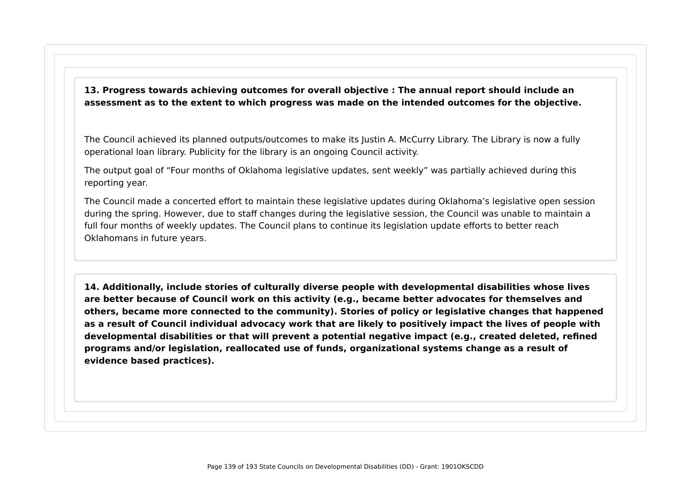**13. Progress towards achieving outcomes for overall objective : The annual report should include an assessment as to the extent to which progress was made on the intended outcomes for the objective.**

The Council achieved its planned outputs/outcomes to make its Justin A. McCurry Library. The Library is now a fully operational loan library. Publicity for the library is an ongoing Council activity.

The output goal of "Four months of Oklahoma legislative updates, sent weekly" was partially achieved during this reporting year.

The Council made a concerted effort to maintain these legislative updates during Oklahoma's legislative open session during the spring. However, due to staff changes during the legislative session, the Council was unable to maintain a full four months of weekly updates. The Council plans to continue its legislation update efforts to better reach Oklahomans in future years.

**14. Additionally, include stories of culturally diverse people with developmental disabilities whose lives are better because of Council work on this activity (e.g., became better advocates for themselves and others, became more connected to the community). Stories of policy or legislative changes that happened as a result of Council individual advocacy work that are likely to positively impact the lives of people with developmental disabilities or that will prevent a potential negative impact (e.g., created deleted, refined programs and/or legislation, reallocated use of funds, organizational systems change as a result of evidence based practices).**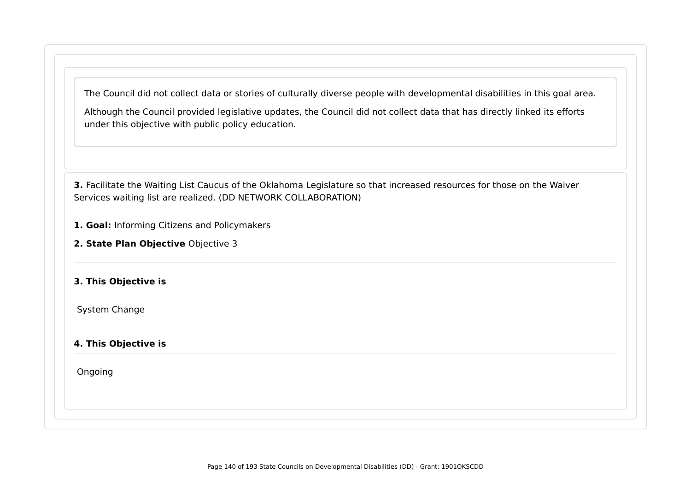The Council did not collect data or stories of culturally diverse people with developmental disabilities in this goal area.

Although the Council provided legislative updates, the Council did not collect data that has directly linked its efforts under this objective with public policy education.

**3.** Facilitate the Waiting List Caucus of the Oklahoma Legislature so that increased resources for those on the Waiver Services waiting list are realized. (DD NETWORK COLLABORATION)

**1. Goal:** Informing Citizens and Policymakers

**2. State Plan Objective** Objective 3

### **3. This Objective is**

System Change

### **4. This Objective is**

Ongoing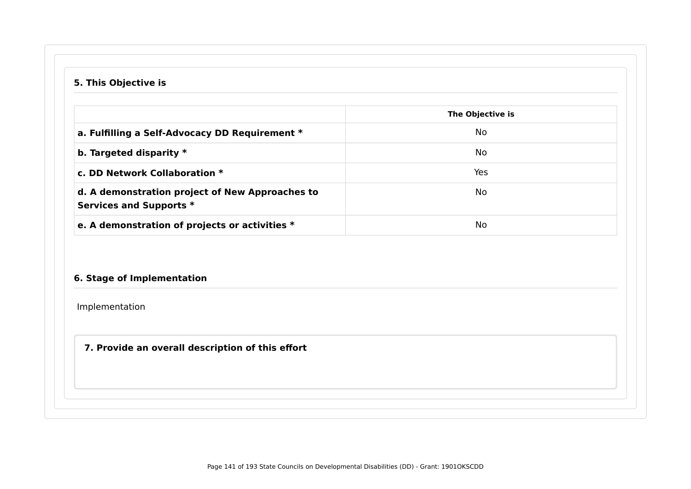# **5. This Objective is**

|                                                                            | The Objective is |
|----------------------------------------------------------------------------|------------------|
| a. Fulfilling a Self-Advocacy DD Requirement *                             | No.              |
| b. Targeted disparity $*$                                                  | No.              |
| c. DD Network Collaboration *                                              | Yes              |
| d. A demonstration project of New Approaches to<br>Services and Supports * | No.              |
| e. A demonstration of projects or activities *                             | No               |

## **6. Stage of Implementation**

Implementation

## **7. Provide an overall description of this effort**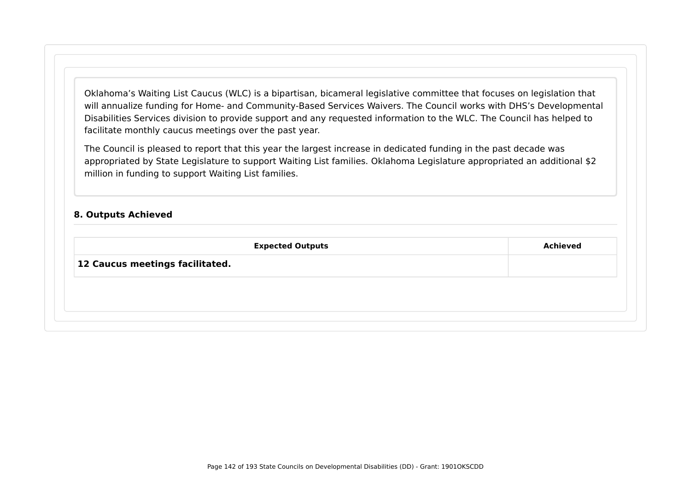Oklahoma's Waiting List Caucus (WLC) is a bipartisan, bicameral legislative committee that focuses on legislation that will annualize funding for Home- and Community-Based Services Waivers. The Council works with DHS's Developmental Disabilities Services division to provide support and any requested information to the WLC. The Council has helped to facilitate monthly caucus meetings over the past year.

The Council is pleased to report that this year the largest increase in dedicated funding in the past decade was appropriated by State Legislature to support Waiting List families. Oklahoma Legislature appropriated an additional \$2 million in funding to support Waiting List families.

#### **8. Outputs Achieved**

| <b>Achieved</b> |
|-----------------|
|                 |
|                 |
|                 |
|                 |
|                 |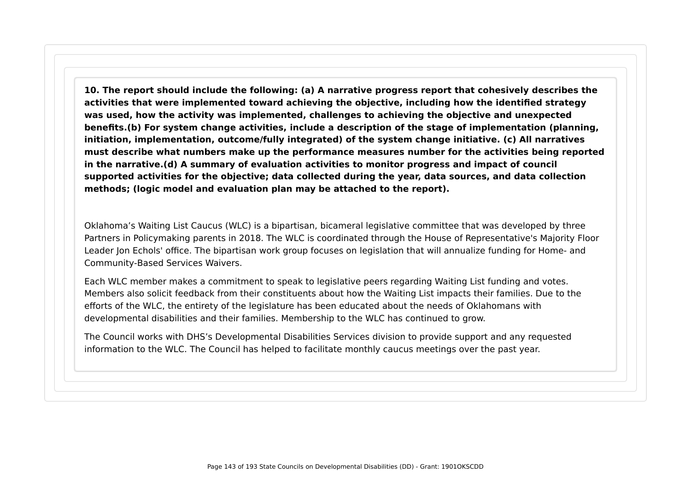**10. The report should include the following: (a) A narrative progress report that cohesively describes the activities that were implemented toward achieving the objective, including how the identified strategy was used, how the activity was implemented, challenges to achieving the objective and unexpected benefits.(b) For system change activities, include a description of the stage of implementation (planning, initiation, implementation, outcome/fully integrated) of the system change initiative. (c) All narratives must describe what numbers make up the performance measures number for the activities being reported in the narrative.(d) A summary of evaluation activities to monitor progress and impact of council supported activities for the objective; data collected during the year, data sources, and data collection methods; (logic model and evaluation plan may be attached to the report).**

Oklahoma's Waiting List Caucus (WLC) is a bipartisan, bicameral legislative committee that was developed by three Partners in Policymaking parents in 2018. The WLC is coordinated through the House of Representative's Majority Floor Leader Jon Echols' office. The bipartisan work group focuses on legislation that will annualize funding for Home- and Community-Based Services Waivers.

Each WLC member makes a commitment to speak to legislative peers regarding Waiting List funding and votes. Members also solicit feedback from their constituents about how the Waiting List impacts their families. Due to the efforts of the WLC, the entirety of the legislature has been educated about the needs of Oklahomans with developmental disabilities and their families. Membership to the WLC has continued to grow.

The Council works with DHS's Developmental Disabilities Services division to provide support and any requested information to the WLC. The Council has helped to facilitate monthly caucus meetings over the past year.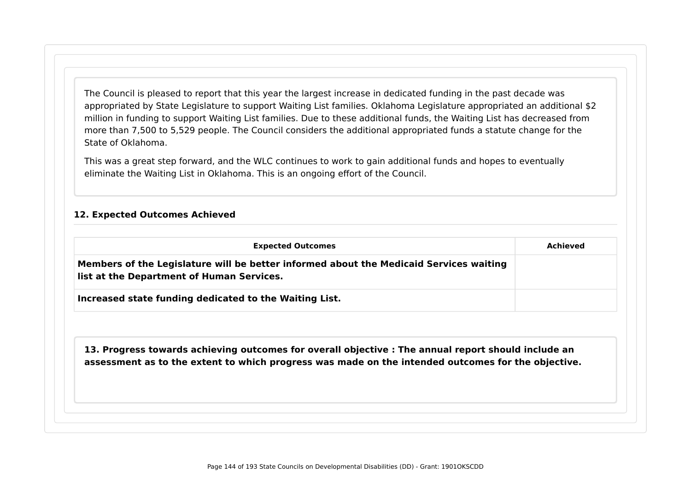The Council is pleased to report that this year the largest increase in dedicated funding in the past decade was appropriated by State Legislature to support Waiting List families. Oklahoma Legislature appropriated an additional \$2 million in funding to support Waiting List families. Due to these additional funds, the Waiting List has decreased from more than 7,500 to 5,529 people. The Council considers the additional appropriated funds a statute change for the State of Oklahoma.

This was a great step forward, and the WLC continues to work to gain additional funds and hopes to eventually eliminate the Waiting List in Oklahoma. This is an ongoing effort of the Council.

#### **12. Expected Outcomes Achieved**

| <b>Expected Outcomes</b>                                                                                                                                                                                  | <b>Achieved</b> |
|-----------------------------------------------------------------------------------------------------------------------------------------------------------------------------------------------------------|-----------------|
| Members of the Legislature will be better informed about the Medicaid Services waiting<br>list at the Department of Human Services.                                                                       |                 |
| Increased state funding dedicated to the Waiting List.                                                                                                                                                    |                 |
|                                                                                                                                                                                                           |                 |
| 13. Progress towards achieving outcomes for overall objective : The annual report should include an<br>assessment as to the extent to which progress was made on the intended outcomes for the objective. |                 |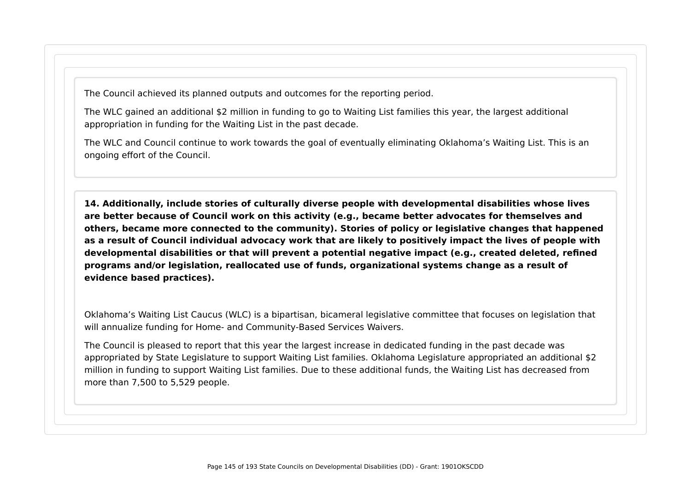The Council achieved its planned outputs and outcomes for the reporting period.

The WLC gained an additional \$2 million in funding to go to Waiting List families this year, the largest additional appropriation in funding for the Waiting List in the past decade.

The WLC and Council continue to work towards the goal of eventually eliminating Oklahoma's Waiting List. This is an ongoing effort of the Council.

**14. Additionally, include stories of culturally diverse people with developmental disabilities whose lives are better because of Council work on this activity (e.g., became better advocates for themselves and others, became more connected to the community). Stories of policy or legislative changes that happened as a result of Council individual advocacy work that are likely to positively impact the lives of people with developmental disabilities or that will prevent a potential negative impact (e.g., created deleted, refined programs and/or legislation, reallocated use of funds, organizational systems change as a result of evidence based practices).**

Oklahoma's Waiting List Caucus (WLC) is a bipartisan, bicameral legislative committee that focuses on legislation that will annualize funding for Home- and Community-Based Services Waivers.

The Council is pleased to report that this year the largest increase in dedicated funding in the past decade was appropriated by State Legislature to support Waiting List families. Oklahoma Legislature appropriated an additional \$2 million in funding to support Waiting List families. Due to these additional funds, the Waiting List has decreased from more than 7,500 to 5,529 people.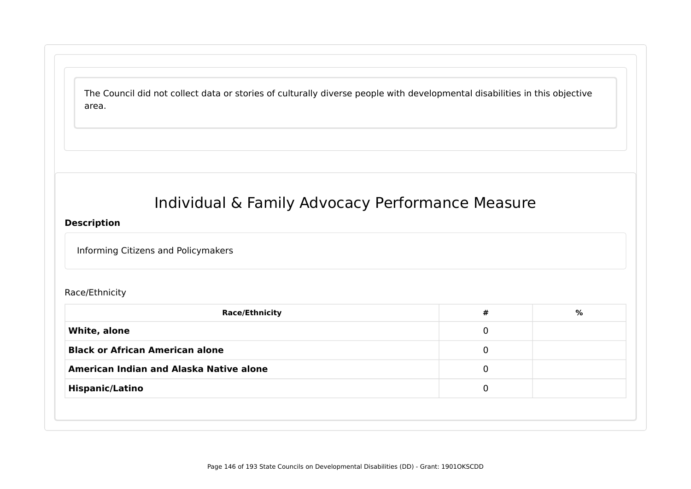The Council did not collect data or stories of culturally diverse people with developmental disabilities in this objective area.

# Individual & Family Advocacy Performance Measure

#### **Description**

Informing Citizens and Policymakers

#### Race/Ethnicity

| <b>Race/Ethnicity</b>                   | # | % |
|-----------------------------------------|---|---|
| White, alone                            | 0 |   |
| <b>Black or African American alone</b>  | 0 |   |
| American Indian and Alaska Native alone | 0 |   |
| <b>Hispanic/Latino</b>                  | 0 |   |
|                                         |   |   |
|                                         |   |   |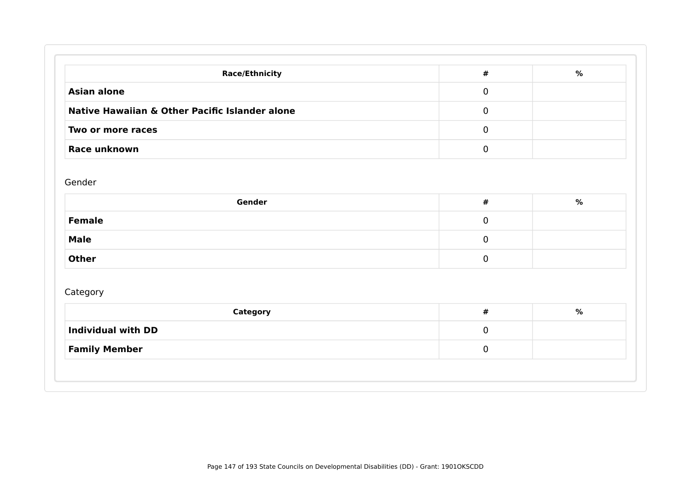| <b>Race/Ethnicity</b>                          | #        | % |
|------------------------------------------------|----------|---|
| <b>Asian alone</b>                             | 0        |   |
| Native Hawaiian & Other Pacific Islander alone | 0        |   |
| Two or more races                              | $\Omega$ |   |
| <b>Race unknown</b>                            |          |   |

#### Gender

| Gender        | # | % |
|---------------|---|---|
| <b>Female</b> | ີ |   |
| <b>Male</b>   |   |   |
| <b>Other</b>  |   |   |

# Category

| <b>Category</b>           | # | % |
|---------------------------|---|---|
| <b>Individual with DD</b> |   |   |
| <b>Family Member</b>      |   |   |
|                           |   |   |
|                           |   |   |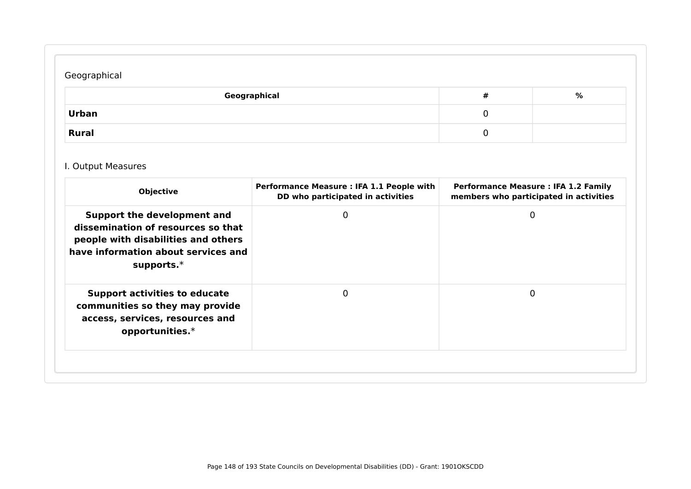# Geographical

| Geographical | # | % |
|--------------|---|---|
| Urban        | ີ |   |
| <b>Rural</b> | ັ |   |

# I. Output Measures

| <b>Objective</b>                                                                                                                                                 | Performance Measure : IFA 1.1 People with<br>DD who participated in activities | <b>Performance Measure : IFA 1.2 Family</b><br>members who participated in activities |
|------------------------------------------------------------------------------------------------------------------------------------------------------------------|--------------------------------------------------------------------------------|---------------------------------------------------------------------------------------|
| Support the development and<br>dissemination of resources so that<br>people with disabilities and others<br>have information about services and<br>supports. $*$ | 0                                                                              | 0                                                                                     |
| <b>Support activities to educate</b><br>communities so they may provide<br>access, services, resources and<br>opportunities. $*$                                 |                                                                                | 0                                                                                     |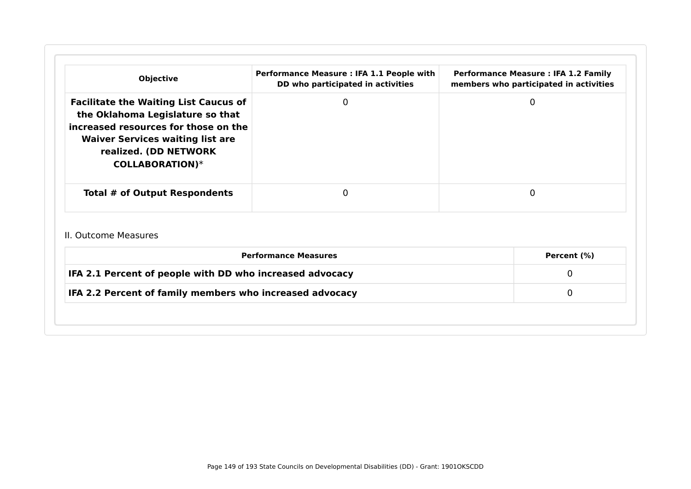| <b>Objective</b>                                                                                                                                                                                                       | Performance Measure : IFA 1.1 People with<br>DD who participated in activities | <b>Performance Measure : IFA 1.2 Family</b><br>members who participated in activities |
|------------------------------------------------------------------------------------------------------------------------------------------------------------------------------------------------------------------------|--------------------------------------------------------------------------------|---------------------------------------------------------------------------------------|
| <b>Facilitate the Waiting List Caucus of</b><br>the Oklahoma Legislature so that<br>increased resources for those on the<br><b>Waiver Services waiting list are</b><br>realized. (DD NETWORK<br><b>COLLABORATION)*</b> | $\mathbf 0$                                                                    | $\Omega$                                                                              |
| Total # of Output Respondents                                                                                                                                                                                          | 0                                                                              | $\Omega$                                                                              |
| II. Outcome Measures                                                                                                                                                                                                   |                                                                                |                                                                                       |
| <b>Performance Measures</b>                                                                                                                                                                                            | Percent (%)                                                                    |                                                                                       |
| IFA 2.1 Percent of people with DD who increased advocacy                                                                                                                                                               | $\Omega$                                                                       |                                                                                       |
| IFA 2.2 Percent of family members who increased advocacy                                                                                                                                                               |                                                                                | $\Omega$                                                                              |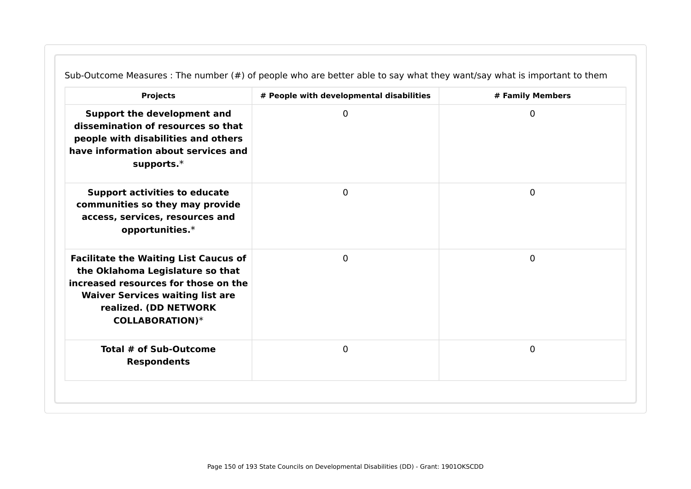| <b>Projects</b>                                                                                                                                                                                                        | # People with developmental disabilities | # Family Members |
|------------------------------------------------------------------------------------------------------------------------------------------------------------------------------------------------------------------------|------------------------------------------|------------------|
| Support the development and<br>dissemination of resources so that<br>people with disabilities and others<br>have information about services and<br>supports. $*$                                                       | 0                                        | 0                |
| <b>Support activities to educate</b><br>communities so they may provide<br>access, services, resources and<br>opportunities.*                                                                                          | $\mathbf 0$                              | $\mathbf 0$      |
| <b>Facilitate the Waiting List Caucus of</b><br>the Oklahoma Legislature so that<br>increased resources for those on the<br><b>Waiver Services waiting list are</b><br>realized. (DD NETWORK<br><b>COLLABORATION)*</b> | $\mathbf 0$                              | $\mathbf 0$      |
| Total # of Sub-Outcome<br><b>Respondents</b>                                                                                                                                                                           | $\mathbf 0$                              | $\mathbf 0$      |

Sub-Outcome Measures : The number (#) of people who are better able to say what they want/say what is important to them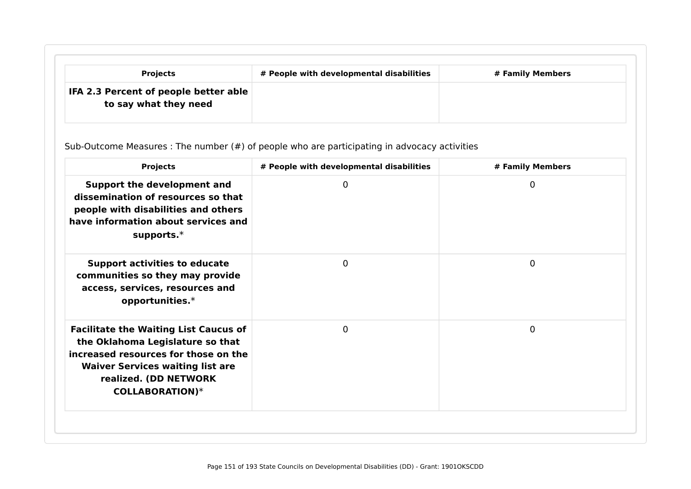| <b>Projects</b>                                                | # People with developmental disabilities | # Family Members |
|----------------------------------------------------------------|------------------------------------------|------------------|
| IFA 2.3 Percent of people better able<br>to say what they need |                                          |                  |

Sub-Outcome Measures : The number (#) of people who are participating in advocacy activities

| <b>Projects</b>                                                                                                                                                                                                        | # People with developmental disabilities | # Family Members |
|------------------------------------------------------------------------------------------------------------------------------------------------------------------------------------------------------------------------|------------------------------------------|------------------|
| Support the development and<br>dissemination of resources so that<br>people with disabilities and others<br>have information about services and<br>supports. $*$                                                       | 0                                        | $\mathbf 0$      |
| <b>Support activities to educate</b><br>communities so they may provide<br>access, services, resources and<br>opportunities.*                                                                                          | 0                                        | $\mathbf 0$      |
| <b>Facilitate the Waiting List Caucus of</b><br>the Oklahoma Legislature so that<br>increased resources for those on the<br><b>Waiver Services waiting list are</b><br>realized. (DD NETWORK<br><b>COLLABORATION)*</b> | 0                                        | $\mathbf 0$      |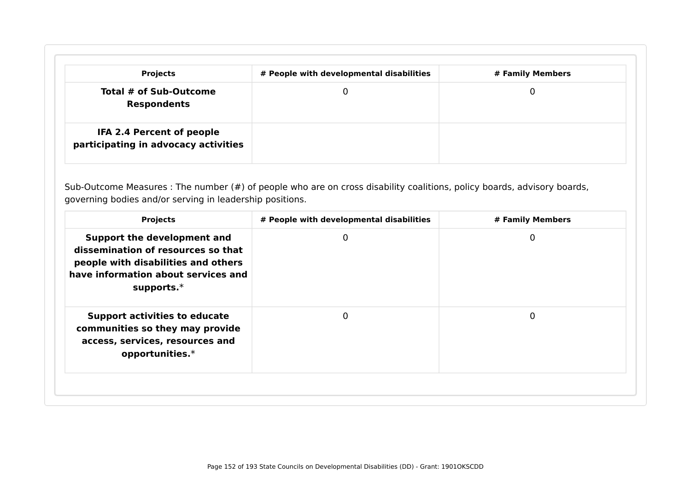| <b>Projects</b>                                                   | # People with developmental disabilities | # Family Members |
|-------------------------------------------------------------------|------------------------------------------|------------------|
| Total # of Sub-Outcome<br><b>Respondents</b>                      |                                          |                  |
| IFA 2.4 Percent of people<br>participating in advocacy activities |                                          |                  |

Sub-Outcome Measures : The number (#) of people who are on cross disability coalitions, policy boards, advisory boards, governing bodies and/or serving in leadership positions.

| <b>Projects</b>                                                                                                                                                  | # People with developmental disabilities | # Family Members |
|------------------------------------------------------------------------------------------------------------------------------------------------------------------|------------------------------------------|------------------|
| Support the development and<br>dissemination of resources so that<br>people with disabilities and others<br>have information about services and<br>supports. $*$ | 0                                        | 0                |
| <b>Support activities to educate</b><br>communities so they may provide<br>access, services, resources and<br>opportunities. $*$                                 | $\Omega$                                 | 0                |
|                                                                                                                                                                  |                                          |                  |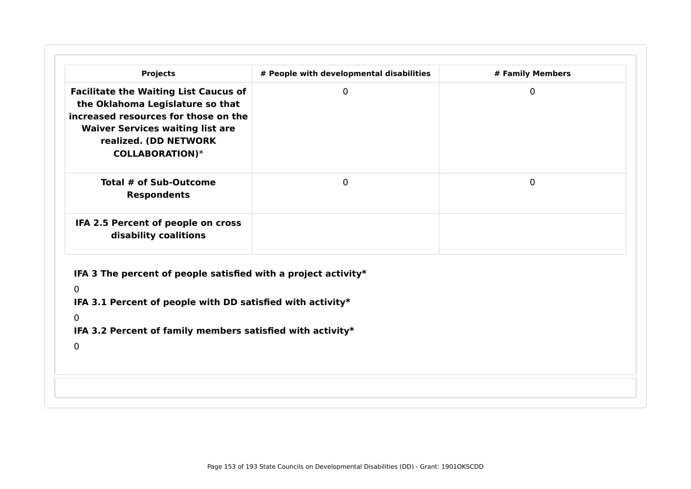| <b>Projects</b>                                                                                                                                                                                                        | # People with developmental disabilities | # Family Members |
|------------------------------------------------------------------------------------------------------------------------------------------------------------------------------------------------------------------------|------------------------------------------|------------------|
| <b>Facilitate the Waiting List Caucus of</b><br>the Oklahoma Legislature so that<br>increased resources for those on the<br><b>Waiver Services waiting list are</b><br>realized. (DD NETWORK<br><b>COLLABORATION)*</b> | 0                                        | $\Omega$         |
| Total # of Sub-Outcome<br><b>Respondents</b>                                                                                                                                                                           | $\mathbf 0$                              | 0                |
| IFA 2.5 Percent of people on cross<br>disability coalitions                                                                                                                                                            |                                          |                  |
| IFA 3 The percent of people satisfied with a project activity $*$                                                                                                                                                      |                                          |                  |
| $\overline{0}$                                                                                                                                                                                                         |                                          |                  |
| IFA 3.1 Percent of people with DD satisfied with activity*                                                                                                                                                             |                                          |                  |
| $\overline{0}$                                                                                                                                                                                                         |                                          |                  |
| IFA 3.2 Percent of family members satisfied with activity*                                                                                                                                                             |                                          |                  |
| $\mathbf{0}$                                                                                                                                                                                                           |                                          |                  |
|                                                                                                                                                                                                                        |                                          |                  |
|                                                                                                                                                                                                                        |                                          |                  |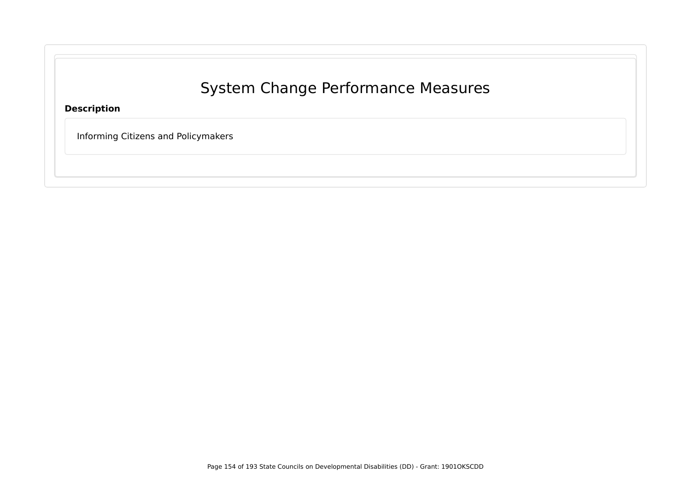# System Change Performance Measures

**Description**

Informing Citizens and Policymakers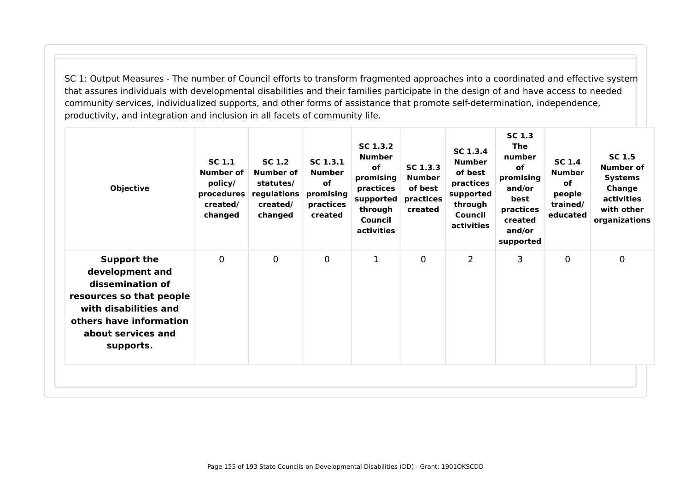SC 1: Output Measures - The number of Council efforts to transform fragmented approaches into a coordinated and effective system that assures individuals with developmental disabilities and their families participate in the design of and have access to needed community services, individualized supports, and other forms of assistance that promote self-determination, independence, productivity, and integration and inclusion in all facets of community life.

| <b>Objective</b>                                                                                                                                                             | <b>SC 1.1</b><br>Number of<br>policy/<br>procedures<br>created/<br>changed | SC 1.2<br><b>Number of</b><br>statutes/<br>regulations<br>created/<br>changed | SC 1.3.1<br><b>Number</b><br><b>of</b><br>promising<br>practices<br>created | SC 1.3.2<br><b>Number</b><br><b>of</b><br>promising<br>practices<br>supported<br>through<br>Council<br>activities | SC 1.3.3<br><b>Number</b><br>of best<br>practices<br>created | SC 1.3.4<br><b>Number</b><br>of best<br>practices<br>supported<br>through<br>Council<br>activities | <b>SC 1.3</b><br><b>The</b><br>number<br><b>of</b><br>promising<br>and/or<br>best<br>practices<br>created<br>and/or<br>supported | <b>SC 1.4</b><br><b>Number</b><br><b>of</b><br>people<br>trained/<br>educated | <b>SC 1.5</b><br>Number of<br><b>Systems</b><br><b>Change</b><br>activities<br>with other<br>organizations |
|------------------------------------------------------------------------------------------------------------------------------------------------------------------------------|----------------------------------------------------------------------------|-------------------------------------------------------------------------------|-----------------------------------------------------------------------------|-------------------------------------------------------------------------------------------------------------------|--------------------------------------------------------------|----------------------------------------------------------------------------------------------------|----------------------------------------------------------------------------------------------------------------------------------|-------------------------------------------------------------------------------|------------------------------------------------------------------------------------------------------------|
| <b>Support the</b><br>development and<br>dissemination of<br>resources so that people<br>with disabilities and<br>others have information<br>about services and<br>supports. | $\mathbf 0$                                                                | $\mathbf 0$                                                                   | $\mathbf 0$                                                                 | 1                                                                                                                 | $\mathbf 0$                                                  | $\overline{2}$                                                                                     | 3                                                                                                                                | 0                                                                             | $\overline{0}$                                                                                             |
|                                                                                                                                                                              |                                                                            |                                                                               |                                                                             |                                                                                                                   |                                                              |                                                                                                    |                                                                                                                                  |                                                                               |                                                                                                            |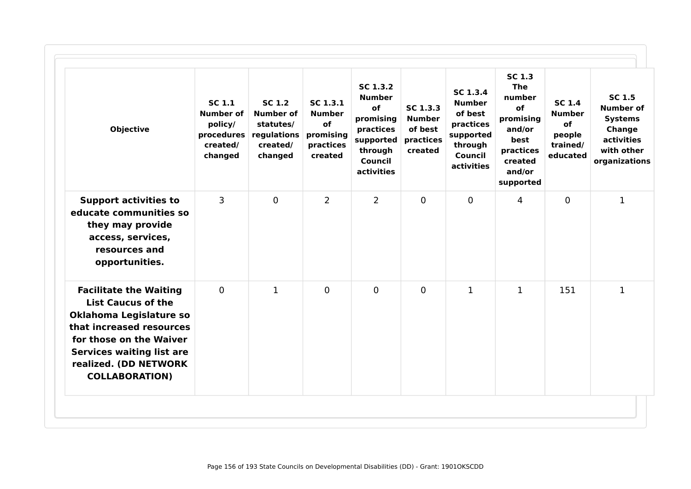| <b>Objective</b>                                                                                                                                                                                                                   | SC 1.1<br><b>Number of</b><br>policy/<br>procedures<br>created/<br>changed | <b>SC 1.2</b><br><b>Number of</b><br>statutes/<br>regulations<br>created/<br>changed | SC 1.3.1<br><b>Number</b><br>of<br>promising<br>practices<br>created | SC 1.3.2<br><b>Number</b><br>of<br>promising<br>practices<br>supported<br>through<br>Council<br>activities | SC 1.3.3<br><b>Number</b><br>of best<br>practices<br>created | SC 1.3.4<br><b>Number</b><br>of best<br>practices<br>supported<br>through<br>Council<br>activities | <b>SC 1.3</b><br><b>The</b><br>number<br>of<br>promising<br>and/or<br>best<br>practices<br>created<br>and/or<br>supported | <b>SC 1.4</b><br><b>Number</b><br>of<br>people<br>trained/<br>educated | <b>SC 1.5</b><br><b>Number of</b><br><b>Systems</b><br>Change<br>activities<br>with other<br>organizations |
|------------------------------------------------------------------------------------------------------------------------------------------------------------------------------------------------------------------------------------|----------------------------------------------------------------------------|--------------------------------------------------------------------------------------|----------------------------------------------------------------------|------------------------------------------------------------------------------------------------------------|--------------------------------------------------------------|----------------------------------------------------------------------------------------------------|---------------------------------------------------------------------------------------------------------------------------|------------------------------------------------------------------------|------------------------------------------------------------------------------------------------------------|
| <b>Support activities to</b><br>educate communities so<br>they may provide<br>access, services,<br>resources and<br>opportunities.                                                                                                 | 3                                                                          | $\overline{0}$                                                                       | $\overline{2}$                                                       | $\overline{2}$                                                                                             | $\mathbf 0$                                                  | $\mathbf 0$                                                                                        | 4                                                                                                                         | $\mathbf{0}$                                                           | $\mathbf{1}$                                                                                               |
| <b>Facilitate the Waiting</b><br><b>List Caucus of the</b><br>Oklahoma Legislature so<br>that increased resources<br>for those on the Waiver<br><b>Services waiting list are</b><br>realized. (DD NETWORK<br><b>COLLABORATION)</b> | $\mathbf 0$                                                                | $\mathbf{1}$                                                                         | $\mathbf 0$                                                          | $\overline{0}$                                                                                             | $\mathbf 0$                                                  | $\mathbf{1}$                                                                                       | $\mathbf{1}$                                                                                                              | 151                                                                    | $\mathbf{1}$                                                                                               |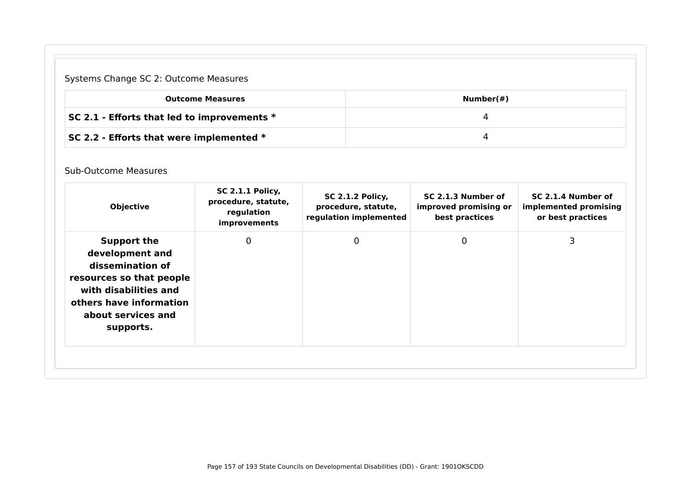# Systems Change SC 2: Outcome Measures

| <b>Outcome Measures</b>                       | Number(#) |
|-----------------------------------------------|-----------|
| SC 2.1 - Efforts that led to improvements $*$ |           |
| SC 2.2 - Efforts that were implemented $*$    |           |

#### Sub-Outcome Measures

| <b>Objective</b>                                                                                                                                                             | <b>SC 2.1.1 Policy,</b><br>procedure, statute,<br>regulation<br>improvements | <b>SC 2.1.2 Policy,</b><br>procedure, statute,<br>regulation implemented | SC 2.1.3 Number of<br>improved promising or<br>best practices | SC 2.1.4 Number of<br>implemented promising<br>or best practices |
|------------------------------------------------------------------------------------------------------------------------------------------------------------------------------|------------------------------------------------------------------------------|--------------------------------------------------------------------------|---------------------------------------------------------------|------------------------------------------------------------------|
| <b>Support the</b><br>development and<br>dissemination of<br>resources so that people<br>with disabilities and<br>others have information<br>about services and<br>supports. | 0                                                                            | $\mathbf 0$                                                              | 0                                                             | 3                                                                |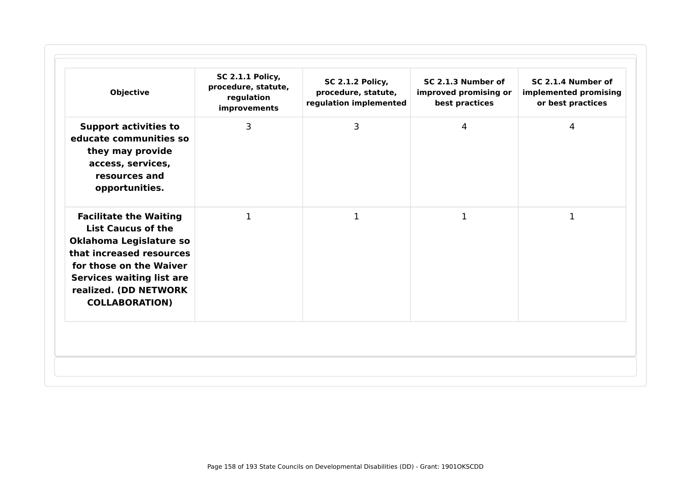| <b>Objective</b>                                                                                                                                                                                                                   | <b>SC 2.1.1 Policy,</b><br>procedure, statute,<br>regulation<br>improvements | <b>SC 2.1.2 Policy,</b><br>procedure, statute,<br>regulation implemented | SC 2.1.3 Number of<br>improved promising or<br>best practices | SC 2.1.4 Number of<br>implemented promising<br>or best practices |
|------------------------------------------------------------------------------------------------------------------------------------------------------------------------------------------------------------------------------------|------------------------------------------------------------------------------|--------------------------------------------------------------------------|---------------------------------------------------------------|------------------------------------------------------------------|
| <b>Support activities to</b><br>educate communities so<br>they may provide<br>access, services,<br>resources and<br>opportunities.                                                                                                 | 3                                                                            | 3                                                                        | $\overline{4}$                                                | 4                                                                |
| <b>Facilitate the Waiting</b><br><b>List Caucus of the</b><br>Oklahoma Legislature so<br>that increased resources<br>for those on the Waiver<br><b>Services waiting list are</b><br>realized. (DD NETWORK<br><b>COLLABORATION)</b> | $\mathbf{1}$                                                                 | 1                                                                        | 1                                                             | 1                                                                |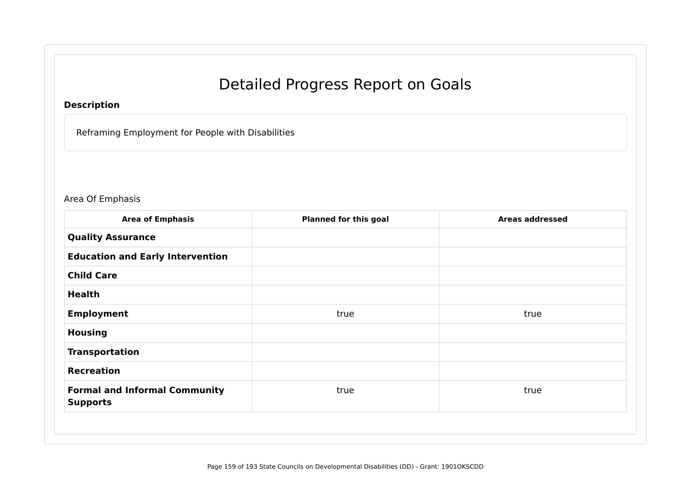# Detailed Progress Report on Goals

# **Description**

Reframing Employment for People with Disabilities

# Area Of Emphasis

| <b>Area of Emphasis</b>                                 | <b>Planned for this goal</b> | <b>Areas addressed</b> |
|---------------------------------------------------------|------------------------------|------------------------|
| <b>Quality Assurance</b>                                |                              |                        |
| <b>Education and Early Intervention</b>                 |                              |                        |
| <b>Child Care</b>                                       |                              |                        |
| <b>Health</b>                                           |                              |                        |
| <b>Employment</b>                                       | true                         | true                   |
| <b>Housing</b>                                          |                              |                        |
| <b>Transportation</b>                                   |                              |                        |
| <b>Recreation</b>                                       |                              |                        |
| <b>Formal and Informal Community</b><br><b>Supports</b> | true                         | true                   |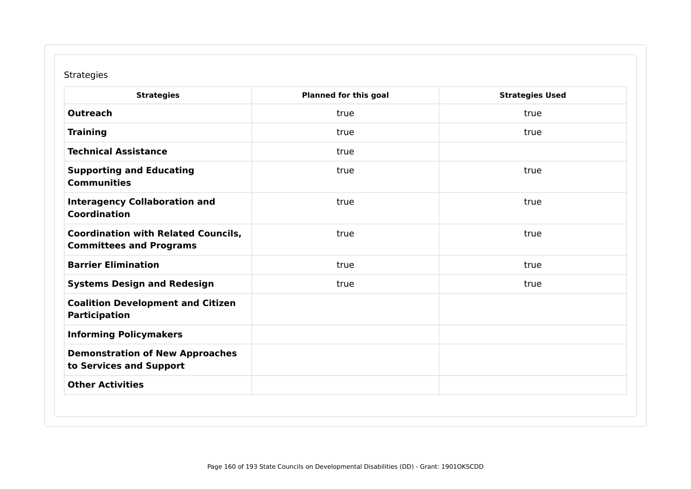## Strategies

| <b>Strategies</b>                                                            | <b>Planned for this goal</b> | <b>Strategies Used</b> |
|------------------------------------------------------------------------------|------------------------------|------------------------|
| <b>Outreach</b>                                                              | true                         | true                   |
| <b>Training</b>                                                              | true                         | true                   |
| <b>Technical Assistance</b>                                                  | true                         |                        |
| <b>Supporting and Educating</b><br><b>Communities</b>                        | true                         | true                   |
| <b>Interagency Collaboration and</b><br><b>Coordination</b>                  | true                         | true                   |
| <b>Coordination with Related Councils,</b><br><b>Committees and Programs</b> | true                         | true                   |
| <b>Barrier Elimination</b>                                                   | true                         | true                   |
| <b>Systems Design and Redesign</b>                                           | true                         | true                   |
| <b>Coalition Development and Citizen</b><br><b>Participation</b>             |                              |                        |
| <b>Informing Policymakers</b>                                                |                              |                        |
| <b>Demonstration of New Approaches</b><br>to Services and Support            |                              |                        |
| <b>Other Activities</b>                                                      |                              |                        |
|                                                                              |                              |                        |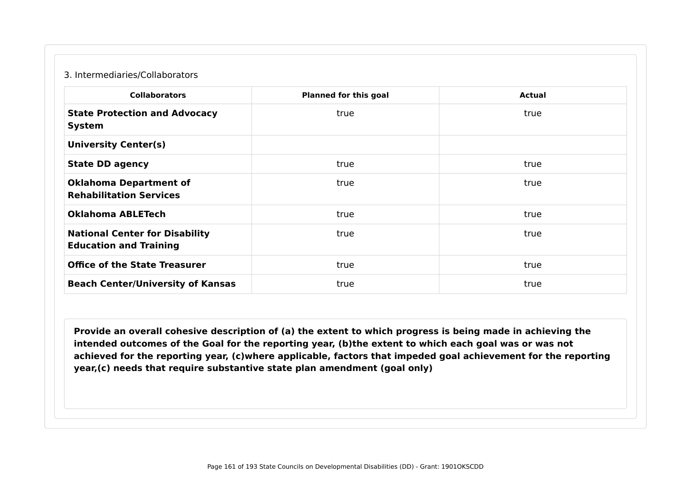#### 3. Intermediaries/Collaborators

| <b>Collaborators</b>                                                   | <b>Planned for this goal</b> | <b>Actual</b> |
|------------------------------------------------------------------------|------------------------------|---------------|
| <b>State Protection and Advocacy</b><br><b>System</b>                  | true                         | true          |
| <b>University Center(s)</b>                                            |                              |               |
| <b>State DD agency</b>                                                 | true                         | true          |
| <b>Oklahoma Department of</b><br><b>Rehabilitation Services</b>        | true                         | true          |
| <b>Oklahoma ABLETech</b>                                               | true                         | true          |
| <b>National Center for Disability</b><br><b>Education and Training</b> | true                         | true          |
| <b>Office of the State Treasurer</b>                                   | true                         | true          |
| <b>Beach Center/University of Kansas</b>                               | true                         | true          |

**Provide an overall cohesive description of (a) the extent to which progress is being made in achieving the intended outcomes of the Goal for the reporting year, (b)the extent to which each goal was or was not achieved for the reporting year, (c)where applicable, factors that impeded goal achievement for the reporting year,(c) needs that require substantive state plan amendment (goal only)**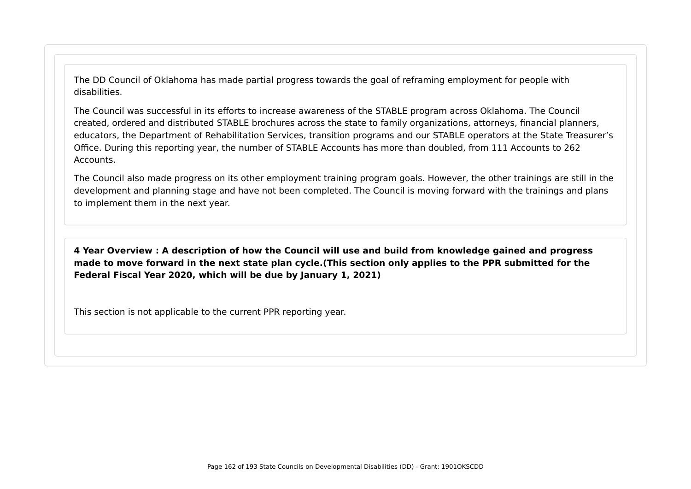The DD Council of Oklahoma has made partial progress towards the goal of reframing employment for people with disabilities.

The Council was successful in its efforts to increase awareness of the STABLE program across Oklahoma. The Council created, ordered and distributed STABLE brochures across the state to family organizations, attorneys, financial planners, educators, the Department of Rehabilitation Services, transition programs and our STABLE operators at the State Treasurer's Office. During this reporting year, the number of STABLE Accounts has more than doubled, from 111 Accounts to 262 Accounts.

The Council also made progress on its other employment training program goals. However, the other trainings are still in the development and planning stage and have not been completed. The Council is moving forward with the trainings and plans to implement them in the next year.

**4 Year Overview : A description of how the Council will use and build from knowledge gained and progress made to move forward in the next state plan cycle.(This section only applies to the PPR submitted for the Federal Fiscal Year 2020, which will be due by January 1, 2021)**

This section is not applicable to the current PPR reporting year.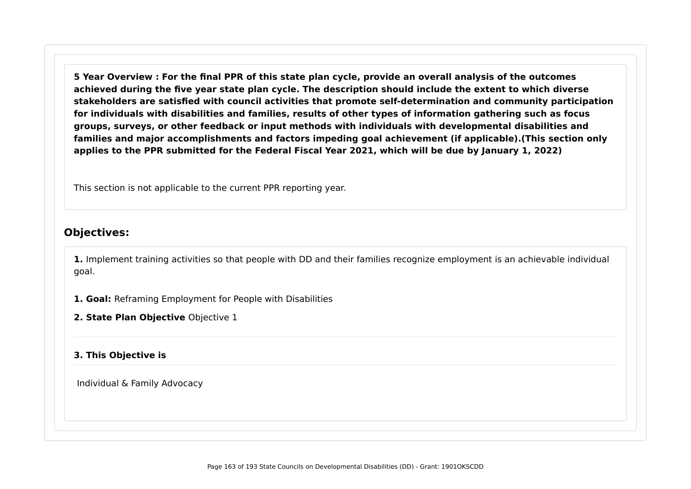**5 Year Overview : For the final PPR of this state plan cycle, provide an overall analysis of the outcomes achieved during the five year state plan cycle. The description should include the extent to which diverse stakeholders are satisfied with council activities that promote self-determination and community participation for individuals with disabilities and families, results of other types of information gathering such as focus groups, surveys, or other feedback or input methods with individuals with developmental disabilities and families and major accomplishments and factors impeding goal achievement (if applicable).(This section only applies to the PPR submitted for the Federal Fiscal Year 2021, which will be due by January 1, 2022)**

This section is not applicable to the current PPR reporting year.

# **Objectives:**

**1.** Implement training activities so that people with DD and their families recognize employment is an achievable individual goal.

**1. Goal:** Reframing Employment for People with Disabilities

**2. State Plan Objective** Objective 1

#### **3. This Objective is**

Individual & Family Advocacy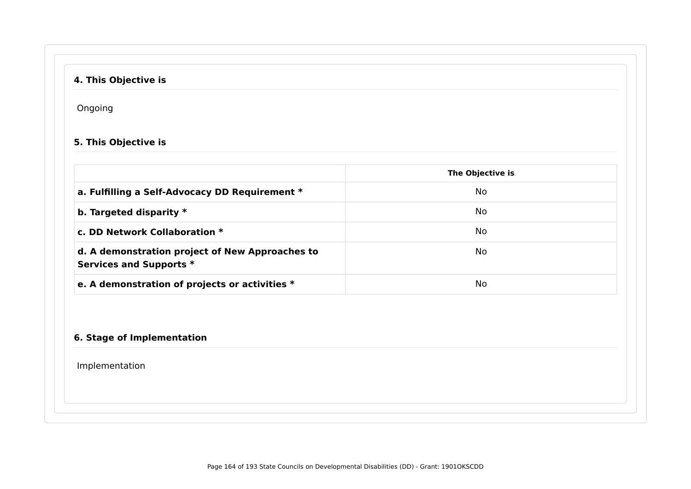# **4. This Objective is**

Ongoing

## **5. This Objective is**

|                                                                            | The Objective is |
|----------------------------------------------------------------------------|------------------|
| a. Fulfilling a Self-Advocacy DD Requirement *                             | No.              |
| b. Targeted disparity $*$                                                  | No               |
| c. DD Network Collaboration $*$                                            | No.              |
| d. A demonstration project of New Approaches to<br>Services and Supports * | No               |
| e. A demonstration of projects or activities *                             | No               |

## **6. Stage of Implementation**

Implementation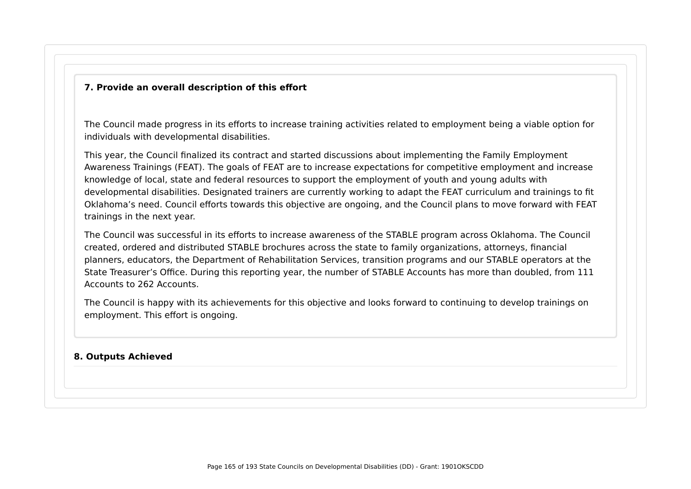#### **7. Provide an overall description of this effort**

The Council made progress in its efforts to increase training activities related to employment being a viable option for individuals with developmental disabilities.

This year, the Council finalized its contract and started discussions about implementing the Family Employment Awareness Trainings (FEAT). The goals of FEAT are to increase expectations for competitive employment and increase knowledge of local, state and federal resources to support the employment of youth and young adults with developmental disabilities. Designated trainers are currently working to adapt the FEAT curriculum and trainings to fit Oklahoma's need. Council efforts towards this objective are ongoing, and the Council plans to move forward with FEAT trainings in the next year.

The Council was successful in its efforts to increase awareness of the STABLE program across Oklahoma. The Council created, ordered and distributed STABLE brochures across the state to family organizations, attorneys, financial planners, educators, the Department of Rehabilitation Services, transition programs and our STABLE operators at the State Treasurer's Office. During this reporting year, the number of STABLE Accounts has more than doubled, from 111 Accounts to 262 Accounts.

The Council is happy with its achievements for this objective and looks forward to continuing to develop trainings on employment. This effort is ongoing.

#### **8. Outputs Achieved**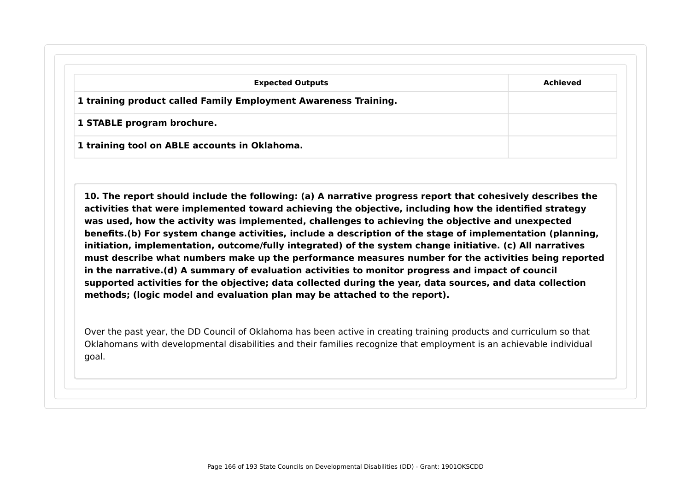| <b>Expected Outputs</b>                                         | Achieved |
|-----------------------------------------------------------------|----------|
| 1 training product called Family Employment Awareness Training. |          |
| 1 STABLE program brochure.                                      |          |

**10. The report should include the following: (a) A narrative progress report that cohesively describes the activities that were implemented toward achieving the objective, including how the identified strategy was used, how the activity was implemented, challenges to achieving the objective and unexpected benefits.(b) For system change activities, include a description of the stage of implementation (planning, initiation, implementation, outcome/fully integrated) of the system change initiative. (c) All narratives must describe what numbers make up the performance measures number for the activities being reported in the narrative.(d) A summary of evaluation activities to monitor progress and impact of council supported activities for the objective; data collected during the year, data sources, and data collection methods; (logic model and evaluation plan may be attached to the report).**

Over the past year, the DD Council of Oklahoma has been active in creating training products and curriculum so that Oklahomans with developmental disabilities and their families recognize that employment is an achievable individual goal.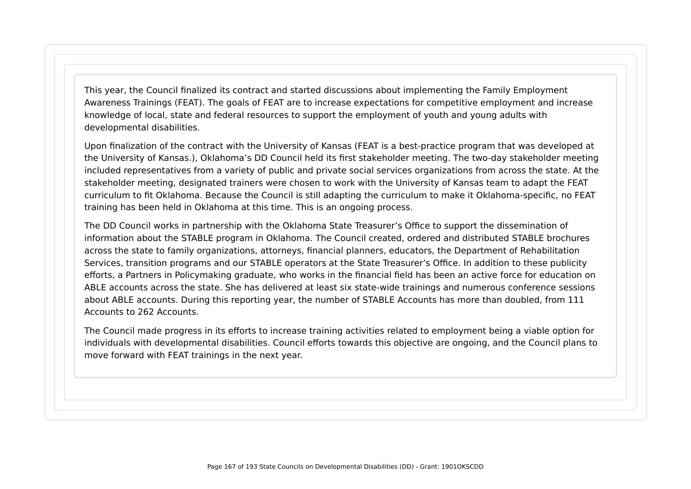This year, the Council finalized its contract and started discussions about implementing the Family Employment Awareness Trainings (FEAT). The goals of FEAT are to increase expectations for competitive employment and increase knowledge of local, state and federal resources to support the employment of youth and young adults with developmental disabilities.

Upon finalization of the contract with the University of Kansas (FEAT is a best-practice program that was developed at the University of Kansas.), Oklahoma's DD Council held its first stakeholder meeting. The two-day stakeholder meeting included representatives from a variety of public and private social services organizations from across the state. At the stakeholder meeting, designated trainers were chosen to work with the University of Kansas team to adapt the FEAT curriculum to fit Oklahoma. Because the Council is still adapting the curriculum to make it Oklahoma-specific, no FEAT training has been held in Oklahoma at this time. This is an ongoing process.

The DD Council works in partnership with the Oklahoma State Treasurer's Office to support the dissemination of information about the STABLE program in Oklahoma. The Council created, ordered and distributed STABLE brochures across the state to family organizations, attorneys, financial planners, educators, the Department of Rehabilitation Services, transition programs and our STABLE operators at the State Treasurer's Office. In addition to these publicity efforts, a Partners in Policymaking graduate, who works in the financial field has been an active force for education on ABLE accounts across the state. She has delivered at least six state-wide trainings and numerous conference sessions about ABLE accounts. During this reporting year, the number of STABLE Accounts has more than doubled, from 111 Accounts to 262 Accounts.

The Council made progress in its efforts to increase training activities related to employment being a viable option for individuals with developmental disabilities. Council efforts towards this objective are ongoing, and the Council plans to move forward with FEAT trainings in the next year.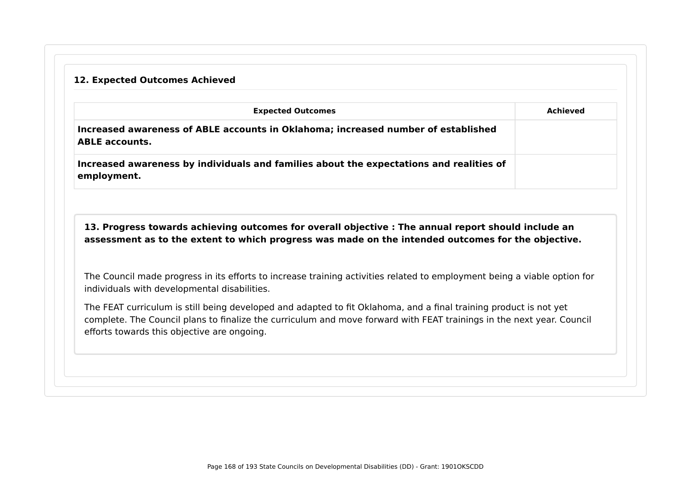# **12. Expected Outcomes Achieved**

|                                              | <b>Expected Outcomes</b>                                                                                                                                                                                  | <b>Achieved</b> |
|----------------------------------------------|-----------------------------------------------------------------------------------------------------------------------------------------------------------------------------------------------------------|-----------------|
| <b>ABLE accounts.</b>                        | Increased awareness of ABLE accounts in Oklahoma; increased number of established                                                                                                                         |                 |
| employment.                                  | Increased awareness by individuals and families about the expectations and realities of                                                                                                                   |                 |
|                                              |                                                                                                                                                                                                           |                 |
|                                              | 13. Progress towards achieving outcomes for overall objective : The annual report should include an<br>assessment as to the extent to which progress was made on the intended outcomes for the objective. |                 |
| individuals with developmental disabilities. | The Council made progress in its efforts to increase training activities related to employment being a viable option for                                                                                  |                 |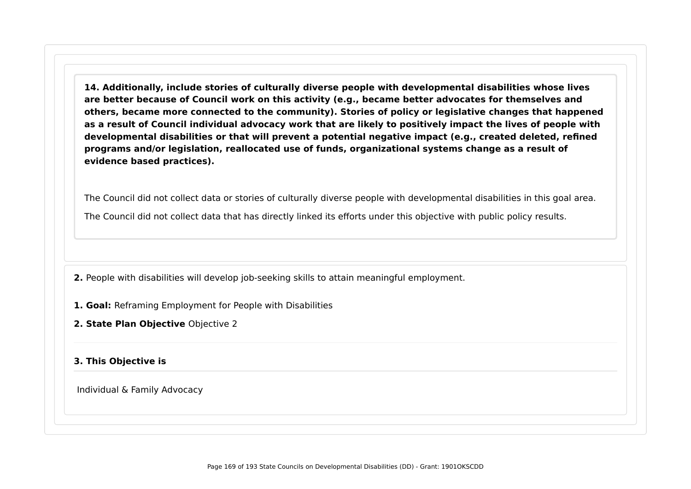**14. Additionally, include stories of culturally diverse people with developmental disabilities whose lives are better because of Council work on this activity (e.g., became better advocates for themselves and others, became more connected to the community). Stories of policy or legislative changes that happened as a result of Council individual advocacy work that are likely to positively impact the lives of people with developmental disabilities or that will prevent a potential negative impact (e.g., created deleted, refined programs and/or legislation, reallocated use of funds, organizational systems change as a result of evidence based practices).**

The Council did not collect data or stories of culturally diverse people with developmental disabilities in this goal area. The Council did not collect data that has directly linked its efforts under this objective with public policy results.

**2.** People with disabilities will develop job-seeking skills to attain meaningful employment.

- **1. Goal:** Reframing Employment for People with Disabilities
- **2. State Plan Objective** Objective 2

### **3. This Objective is**

Individual & Family Advocacy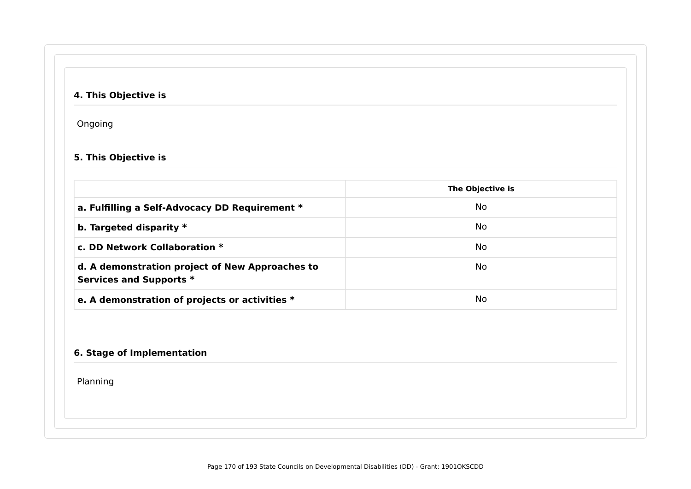# **4. This Objective is**

Ongoing

## **5. This Objective is**

|                                                                            | The Objective is |
|----------------------------------------------------------------------------|------------------|
| a. Fulfilling a Self-Advocacy DD Requirement *                             | No.              |
| b. Targeted disparity $*$                                                  | No.              |
| c. DD Network Collaboration $*$                                            | No.              |
| d. A demonstration project of New Approaches to<br>Services and Supports * | No.              |
| e. A demonstration of projects or activities *                             | No.              |

### **6. Stage of Implementation**

Planning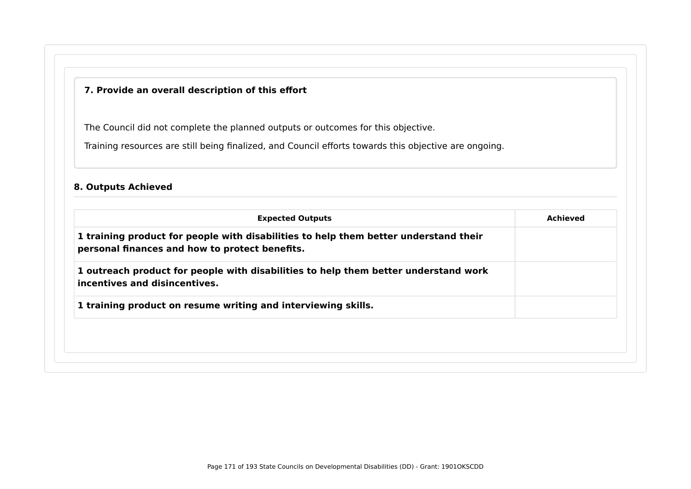### **7. Provide an overall description of this effort**

The Council did not complete the planned outputs or outcomes for this objective.

Training resources are still being finalized, and Council efforts towards this objective are ongoing.

### **8. Outputs Achieved**

| <b>Expected Outputs</b>                                                                                                                | Achieved |
|----------------------------------------------------------------------------------------------------------------------------------------|----------|
| 1 training product for people with disabilities to help them better understand their<br>personal finances and how to protect benefits. |          |
| 1 outreach product for people with disabilities to help them better understand work<br>incentives and disincentives.                   |          |
| 1 training product on resume writing and interviewing skills.                                                                          |          |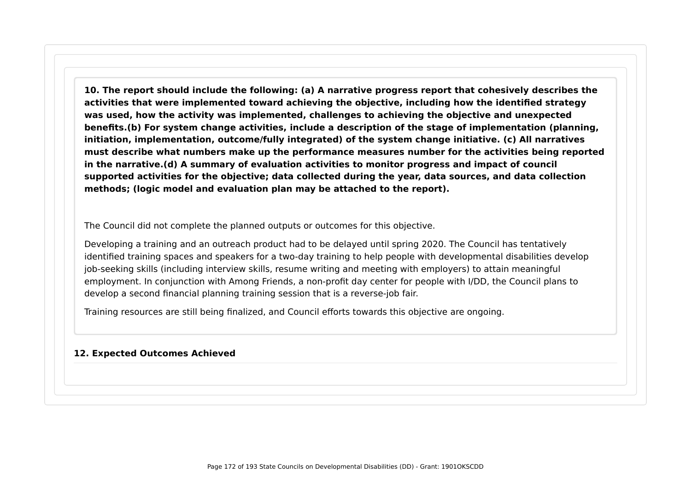**10. The report should include the following: (a) A narrative progress report that cohesively describes the activities that were implemented toward achieving the objective, including how the identified strategy was used, how the activity was implemented, challenges to achieving the objective and unexpected benefits.(b) For system change activities, include a description of the stage of implementation (planning, initiation, implementation, outcome/fully integrated) of the system change initiative. (c) All narratives must describe what numbers make up the performance measures number for the activities being reported in the narrative.(d) A summary of evaluation activities to monitor progress and impact of council supported activities for the objective; data collected during the year, data sources, and data collection methods; (logic model and evaluation plan may be attached to the report).**

The Council did not complete the planned outputs or outcomes for this objective.

Developing a training and an outreach product had to be delayed until spring 2020. The Council has tentatively identified training spaces and speakers for a two-day training to help people with developmental disabilities develop job-seeking skills (including interview skills, resume writing and meeting with employers) to attain meaningful employment. In conjunction with Among Friends, a non-profit day center for people with I/DD, the Council plans to develop a second financial planning training session that is a reverse-job fair.

Training resources are still being finalized, and Council efforts towards this objective are ongoing.

#### **12. Expected Outcomes Achieved**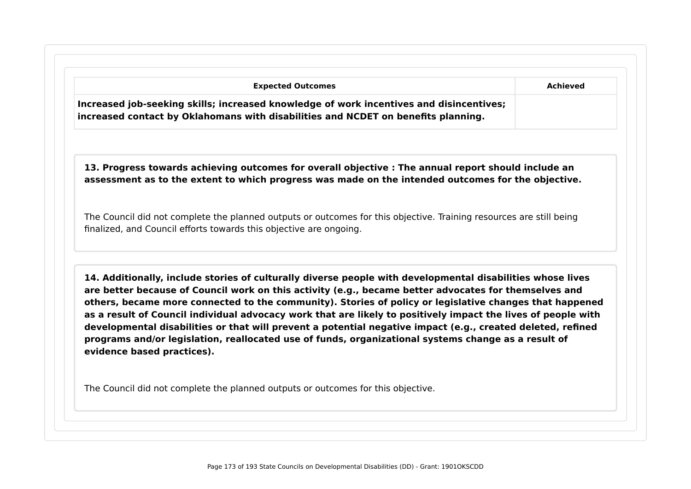|                                                                                                                                                                                                                                                                                                                                                                                                                                                                                                                                                                                                                                                                       | <b>Achieved</b> |
|-----------------------------------------------------------------------------------------------------------------------------------------------------------------------------------------------------------------------------------------------------------------------------------------------------------------------------------------------------------------------------------------------------------------------------------------------------------------------------------------------------------------------------------------------------------------------------------------------------------------------------------------------------------------------|-----------------|
| Increased job-seeking skills; increased knowledge of work incentives and disincentives;<br>increased contact by Oklahomans with disabilities and NCDET on benefits planning.                                                                                                                                                                                                                                                                                                                                                                                                                                                                                          |                 |
| 13. Progress towards achieving outcomes for overall objective : The annual report should include an<br>assessment as to the extent to which progress was made on the intended outcomes for the objective.                                                                                                                                                                                                                                                                                                                                                                                                                                                             |                 |
| The Council did not complete the planned outputs or outcomes for this objective. Training resources are still being<br>finalized, and Council efforts towards this objective are ongoing.                                                                                                                                                                                                                                                                                                                                                                                                                                                                             |                 |
| 14. Additionally, include stories of culturally diverse people with developmental disabilities whose lives<br>are better because of Council work on this activity (e.g., became better advocates for themselves and<br>others, became more connected to the community). Stories of policy or legislative changes that happened<br>as a result of Council individual advocacy work that are likely to positively impact the lives of people with<br>developmental disabilities or that will prevent a potential negative impact (e.g., created deleted, refined<br>programs and/or legislation, reallocated use of funds, organizational systems change as a result of |                 |
| evidence based practices).                                                                                                                                                                                                                                                                                                                                                                                                                                                                                                                                                                                                                                            |                 |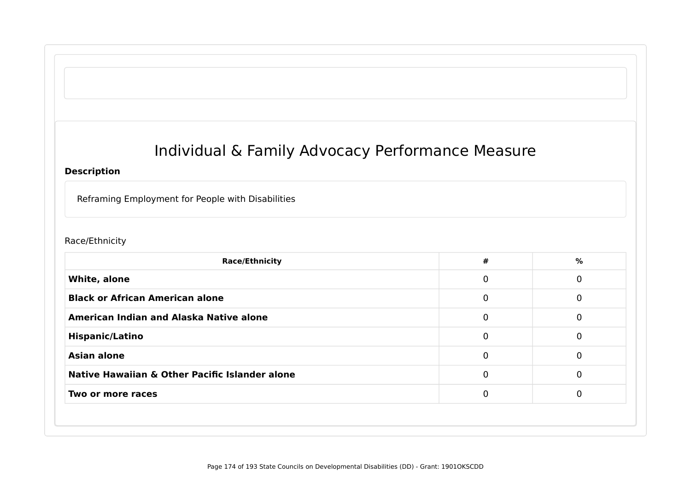# Individual & Family Advocacy Performance Measure

### **Description**

Reframing Employment for People with Disabilities

### Race/Ethnicity

| <b>Race/Ethnicity</b>                          | #           | %        |
|------------------------------------------------|-------------|----------|
| White, alone                                   | $\mathbf 0$ | 0        |
| <b>Black or African American alone</b>         | 0           | 0        |
| <b>American Indian and Alaska Native alone</b> | 0           | 0        |
| <b>Hispanic/Latino</b>                         | $\mathbf 0$ | 0        |
| <b>Asian alone</b>                             | $\mathbf 0$ | $\Omega$ |
| Native Hawaiian & Other Pacific Islander alone | $\Omega$    | 0        |
| Two or more races                              | $\Omega$    | $\Omega$ |
|                                                |             |          |
|                                                |             |          |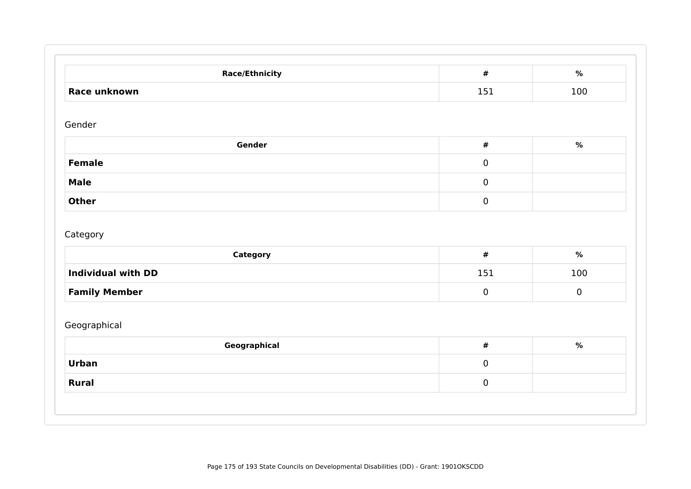| <b>Race/Ethnicity</b>                 | $\pmb{\#}$        | $\%$        |
|---------------------------------------|-------------------|-------------|
| Race unknown                          | 151               | 100         |
| Gender                                |                   |             |
| Gender                                | $\pmb{\#}$        | $\%$        |
| <b>Female</b>                         | $\mathbf 0$       |             |
| <b>Male</b>                           | $\mathbf 0$       |             |
| <b>Other</b>                          | $\mathbf 0$       |             |
| Category<br><b>Individual with DD</b> | $\pmb{\#}$<br>151 | $\%$<br>100 |
|                                       |                   |             |
| <b>Family Member</b>                  | $\mathbf 0$       | $\bf{0}$    |
| Geographical                          |                   |             |
|                                       |                   | $\%$        |
| Geographical                          | $\pmb{\#}$        |             |
| <b>Urban</b>                          | $\overline{0}$    |             |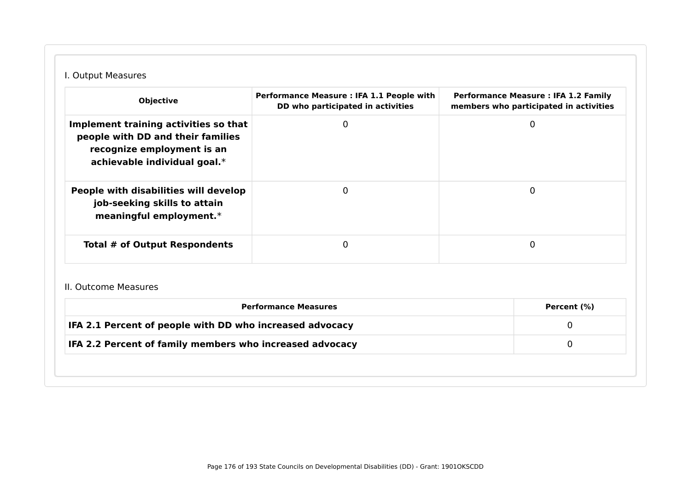# I. Output Measures

| <b>Objective</b>                                                                                                                         | Performance Measure : IFA 1.1 People with<br>DD who participated in activities | <b>Performance Measure: IFA 1.2 Family</b><br>members who participated in activities |
|------------------------------------------------------------------------------------------------------------------------------------------|--------------------------------------------------------------------------------|--------------------------------------------------------------------------------------|
| Implement training activities so that<br>people with DD and their families<br>recognize employment is an<br>achievable individual goal.* |                                                                                | 0                                                                                    |
| People with disabilities will develop<br>job-seeking skills to attain<br>meaningful employment.*                                         |                                                                                | 0                                                                                    |
| <b>Total # of Output Respondents</b>                                                                                                     |                                                                                | $\Omega$                                                                             |

#### II. Outcome Measures

| IFA 2.1 Percent of people with DD who increased advocacy |  |
|----------------------------------------------------------|--|
| IFA 2.2 Percent of family members who increased advocacy |  |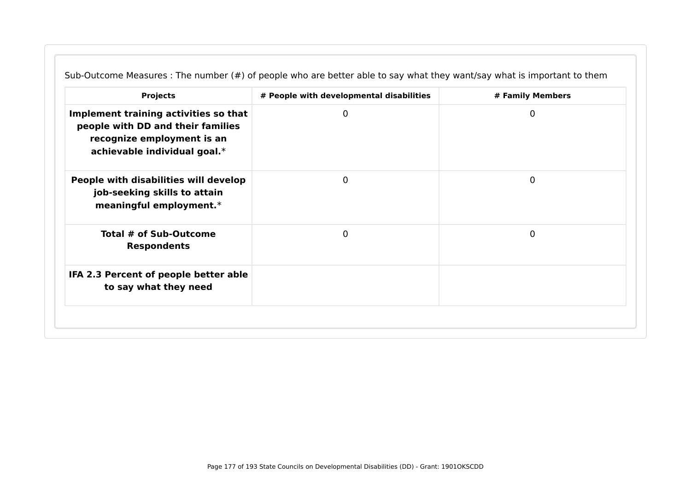| <b>Projects</b>                                                                                                                          | # People with developmental disabilities | # Family Members |
|------------------------------------------------------------------------------------------------------------------------------------------|------------------------------------------|------------------|
| Implement training activities so that<br>people with DD and their families<br>recognize employment is an<br>achievable individual goal.* | 0                                        | 0                |
| People with disabilities will develop<br>job-seeking skills to attain<br>meaningful employment.*                                         | $\Omega$                                 | 0                |
| Total # of Sub-Outcome<br><b>Respondents</b>                                                                                             | $\mathbf 0$                              | $\mathbf 0$      |
| IFA 2.3 Percent of people better able<br>to say what they need                                                                           |                                          |                  |

Sub-Outcome Measures : The number (#) of people who are better able to say what they want/say what is important to them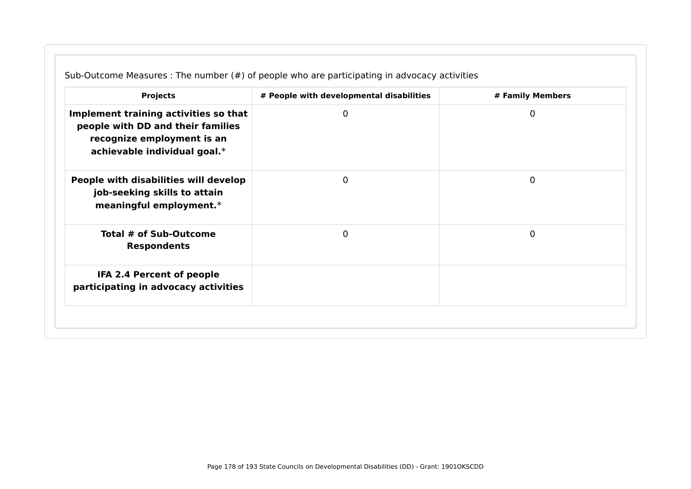| <b>Projects</b>                                                                                                                          | # People with developmental disabilities | # Family Members |
|------------------------------------------------------------------------------------------------------------------------------------------|------------------------------------------|------------------|
| Implement training activities so that<br>people with DD and their families<br>recognize employment is an<br>achievable individual goal.* | 0                                        | 0                |
| People with disabilities will develop<br>job-seeking skills to attain<br>meaningful employment.*                                         | 0                                        | 0                |
| Total # of Sub-Outcome<br><b>Respondents</b>                                                                                             | 0                                        | 0                |
| IFA 2.4 Percent of people<br>participating in advocacy activities                                                                        |                                          |                  |

Sub-Outcome Measures : The number (#) of people who are participating in advocacy activities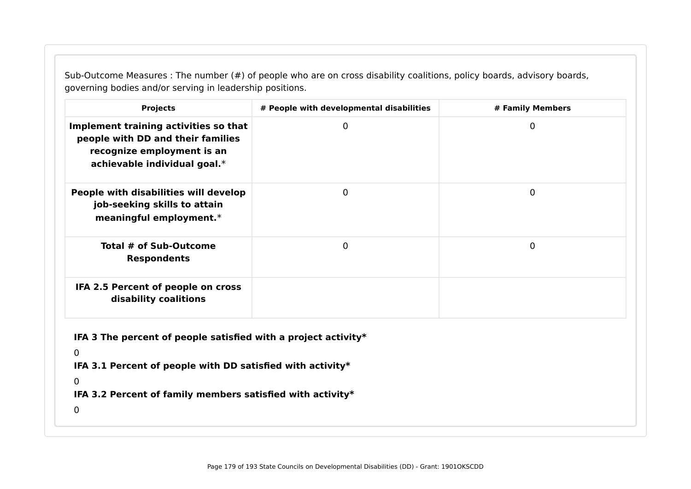Sub-Outcome Measures : The number (#) of people who are on cross disability coalitions, policy boards, advisory boards, governing bodies and/or serving in leadership positions.

| <b>Projects</b>                                                                                                                          | # People with developmental disabilities | # Family Members |  |  |
|------------------------------------------------------------------------------------------------------------------------------------------|------------------------------------------|------------------|--|--|
| Implement training activities so that<br>people with DD and their families<br>recognize employment is an<br>achievable individual goal.* | 0                                        | 0                |  |  |
| People with disabilities will develop<br>job-seeking skills to attain<br>meaningful employment.*                                         | $\Omega$                                 | $\mathbf 0$      |  |  |
| Total # of Sub-Outcome<br><b>Respondents</b>                                                                                             | $\mathbf{0}$                             | $\mathbf 0$      |  |  |
| IFA 2.5 Percent of people on cross<br>disability coalitions                                                                              |                                          |                  |  |  |
| IFA 3 The percent of people satisfied with a project activity $*$                                                                        |                                          |                  |  |  |
| $\overline{0}$                                                                                                                           |                                          |                  |  |  |
| IFA 3.1 Percent of people with DD satisfied with activity*                                                                               |                                          |                  |  |  |
| $\mathbf 0$                                                                                                                              |                                          |                  |  |  |
| IFA 3.2 Percent of family members satisfied with activity*                                                                               |                                          |                  |  |  |
|                                                                                                                                          |                                          |                  |  |  |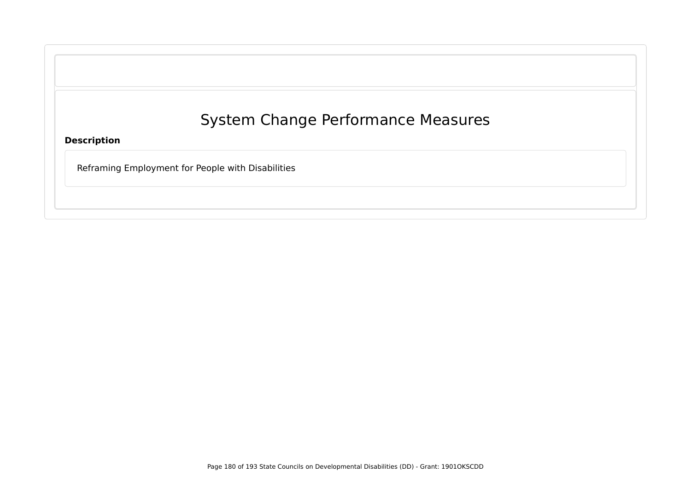**Description**

Reframing Employment for People with Disabilities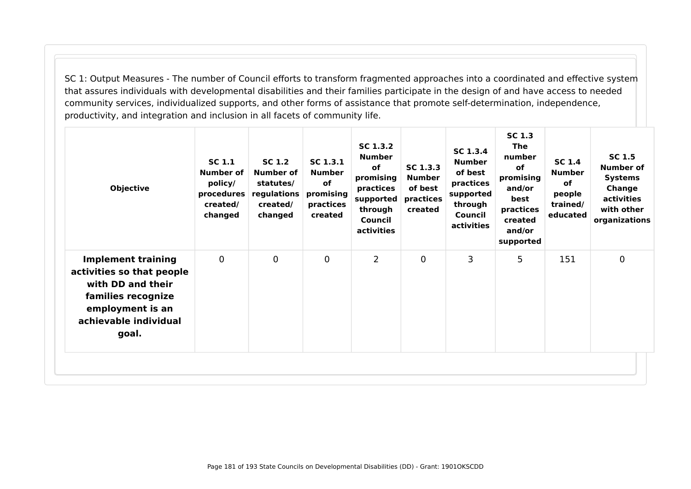SC 1: Output Measures - The number of Council efforts to transform fragmented approaches into a coordinated and effective system that assures individuals with developmental disabilities and their families participate in the design of and have access to needed community services, individualized supports, and other forms of assistance that promote self-determination, independence, productivity, and integration and inclusion in all facets of community life.

| <b>Objective</b>                                                                                                                                        | <b>SC 1.1</b><br><b>Number of</b><br>policy/<br>procedures<br>created/<br>changed | <b>SC 1.2</b><br>Number of<br>statutes/<br>regulations<br>created/<br>changed | SC 1.3.1<br><b>Number</b><br><b>of</b><br>promising<br>practices<br>created | SC 1.3.2<br><b>Number</b><br><b>of</b><br>promising<br>practices<br>supported<br>through<br>Council<br>activities | SC 1.3.3<br><b>Number</b><br>of best<br>practices<br>created | SC 1.3.4<br><b>Number</b><br>of best<br>practices<br>supported<br>through<br>Council<br>activities | <b>SC 1.3</b><br><b>The</b><br>number<br>of<br>promising<br>and/or<br>best<br>practices<br>created<br>and/or<br>supported | <b>SC 1.4</b><br><b>Number</b><br><b>of</b><br>people<br>trained/<br>educated | <b>SC 1.5</b><br><b>Number of</b><br><b>Systems</b><br>Change<br>activities<br>with other<br>organizations |
|---------------------------------------------------------------------------------------------------------------------------------------------------------|-----------------------------------------------------------------------------------|-------------------------------------------------------------------------------|-----------------------------------------------------------------------------|-------------------------------------------------------------------------------------------------------------------|--------------------------------------------------------------|----------------------------------------------------------------------------------------------------|---------------------------------------------------------------------------------------------------------------------------|-------------------------------------------------------------------------------|------------------------------------------------------------------------------------------------------------|
| <b>Implement training</b><br>activities so that people<br>with DD and their<br>families recognize<br>employment is an<br>achievable individual<br>goal. | $\mathbf 0$                                                                       | $\mathbf 0$                                                                   | $\overline{0}$                                                              | $\overline{2}$                                                                                                    | $\mathbf 0$                                                  | 3                                                                                                  | 5                                                                                                                         | 151                                                                           | $\overline{0}$                                                                                             |
|                                                                                                                                                         |                                                                                   |                                                                               |                                                                             |                                                                                                                   |                                                              |                                                                                                    |                                                                                                                           |                                                                               |                                                                                                            |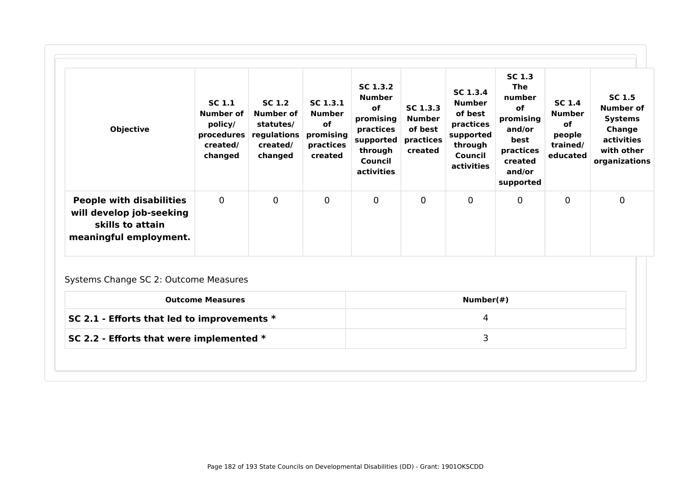| <b>Objective</b>                                                                                          | SC <sub>1.1</sub><br>Number of<br>policy/<br>procedures<br>created/<br>changed | SC 1.2<br>Number of<br>statutes/<br>regulations<br>created/<br>changed | SC <sub>1.3.1</sub><br>Number<br><b>of</b><br>promising<br>practices<br>created | SC 1.3.2<br><b>Number</b><br>of<br>promising<br>practices<br>supported<br>through<br>Council<br>activities | SC 1.3.3<br><b>Number</b><br>of best<br>practices<br>created | SC 1.3.4<br><b>Number</b><br>of best<br>practices<br>supported<br>through<br>Council<br>activities | <b>SC 1.3</b><br><b>The</b><br>number<br>οf<br>promising<br>and/or<br>best<br>practices<br>created<br>and/or<br>supported | <b>SC 1.4</b><br><b>Number</b><br>of<br>people<br>trained/<br>educated | SC 1.5<br>Number of<br><b>Systems</b><br>Change<br>activities<br>with other<br>organizations |
|-----------------------------------------------------------------------------------------------------------|--------------------------------------------------------------------------------|------------------------------------------------------------------------|---------------------------------------------------------------------------------|------------------------------------------------------------------------------------------------------------|--------------------------------------------------------------|----------------------------------------------------------------------------------------------------|---------------------------------------------------------------------------------------------------------------------------|------------------------------------------------------------------------|----------------------------------------------------------------------------------------------|
| <b>People with disabilities</b><br>will develop job-seeking<br>skills to attain<br>meaningful employment. | $\mathbf 0$                                                                    | $\mathbf 0$                                                            | $\mathbf 0$                                                                     | 0                                                                                                          | 0                                                            | $\mathbf 0$                                                                                        | 0                                                                                                                         | 0                                                                      | $\mathbf 0$                                                                                  |

# Systems Change SC 2: Outcome Measures

| SC 2.1 - Efforts that led to improvements $*$ |  |
|-----------------------------------------------|--|
| SC 2.2 - Efforts that were implemented *      |  |
|                                               |  |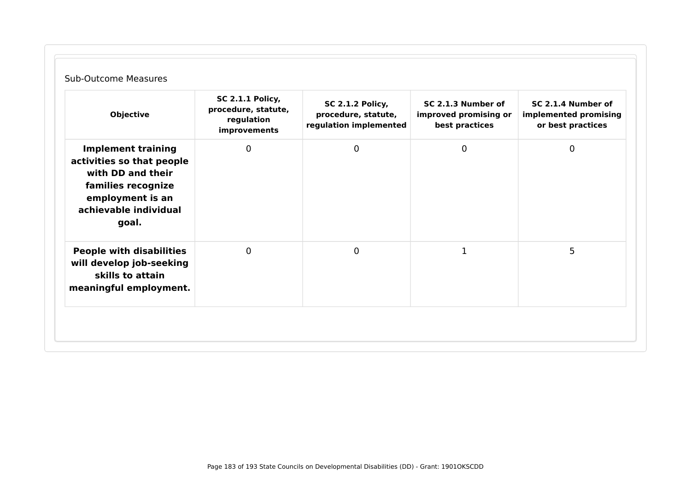| <b>Objective</b>                                                                                                                                        | <b>SC 2.1.1 Policy,</b><br>procedure, statute,<br>regulation<br>improvements | <b>SC 2.1.2 Policy,</b><br>procedure, statute,<br>regulation implemented | SC 2.1.3 Number of<br>improved promising or<br>best practices | SC 2.1.4 Number of<br>implemented promising<br>or best practices |
|---------------------------------------------------------------------------------------------------------------------------------------------------------|------------------------------------------------------------------------------|--------------------------------------------------------------------------|---------------------------------------------------------------|------------------------------------------------------------------|
| <b>Implement training</b><br>activities so that people<br>with DD and their<br>families recognize<br>employment is an<br>achievable individual<br>goal. | $\overline{0}$                                                               | $\mathbf 0$                                                              | $\mathbf 0$                                                   | 0                                                                |
| <b>People with disabilities</b><br>will develop job-seeking<br>skills to attain<br>meaningful employment.                                               | $\mathbf{0}$                                                                 | $\overline{0}$                                                           | $\mathbf 1$                                                   | 5                                                                |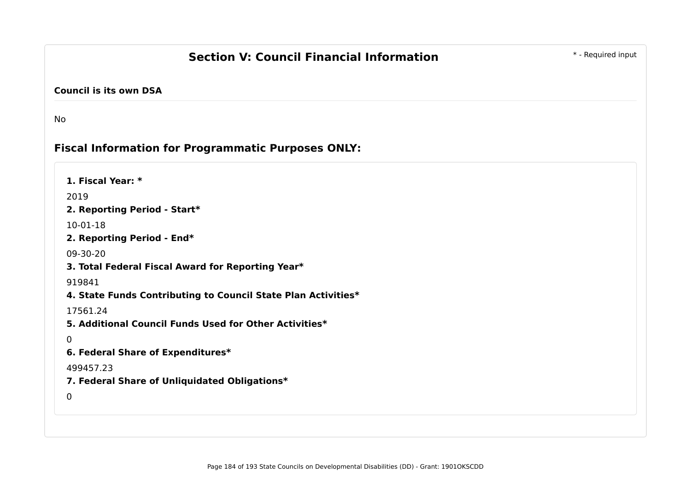## **Section V: Council Financial Information 1988 1988 1989 1989 1999 1999 1999 1999 1999 1999 1999 1999 1999 1999 1999 1999 1999 1999 1999 1999 1999 1999 1999 1999 1999 199**

#### **Council is its own DSA**

No

 $\Omega$ 

0

### **Fiscal Information for Programmatic Purposes ONLY:**

**1. Fiscal Year: \*** 2019 **2. Reporting Period - Start\*** 10-01-18 **2. Reporting Period - End\*** 09-30-20 **3. Total Federal Fiscal Award for Reporting Year\*** 919841 **4. State Funds Contributing to Council State Plan Activities\*** 17561.24 **5. Additional Council Funds Used for Other Activities\* 6. Federal Share of Expenditures\*** 499457.23 **7. Federal Share of Unliquidated Obligations\***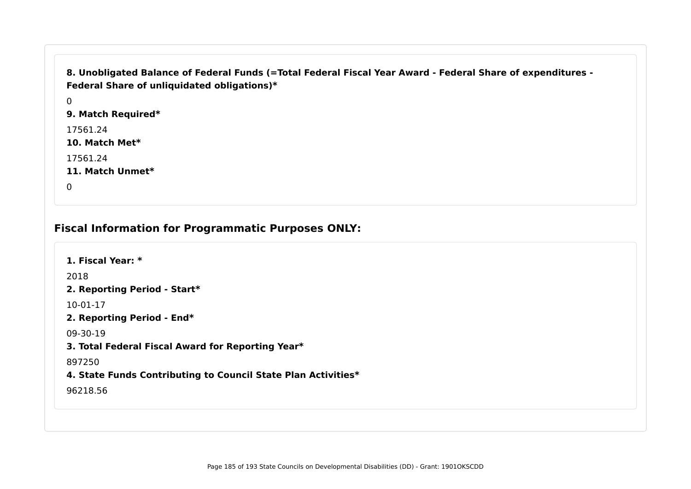```
8. Unobligated Balance of Federal Funds (=Total Federal Fiscal Year Award - Federal Share of expenditures -
Federal Share of unliquidated obligations)*
```
 $\Omega$ **9. Match Required\*** 17561.24 **10. Match Met\*** 17561.24 **11. Match Unmet\***  $\Omega$ 

**Fiscal Information for Programmatic Purposes ONLY:**

**1. Fiscal Year: \*** 2018 **2. Reporting Period - Start\*** 10-01-17 **2. Reporting Period - End\*** 09-30-19 **3. Total Federal Fiscal Award for Reporting Year\*** 897250 **4. State Funds Contributing to Council State Plan Activities\*** 96218.56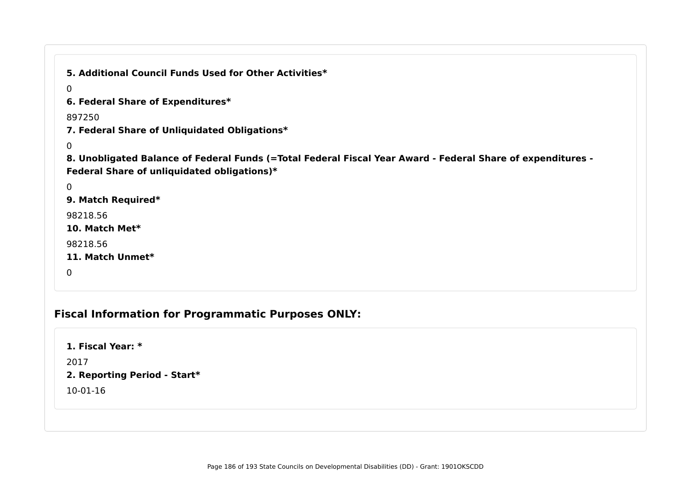```
Fiscal Information for Programmatic Purposes ONLY:
  5. Additional Council Funds Used for Other Activities*
  \Omega6. Federal Share of Expenditures*
  897250
  7. Federal Share of Unliquidated Obligations*
  \Omega8. Unobligated Balance of Federal Funds (=Total Federal Fiscal Year Award - Federal Share of expenditures -
  Federal Share of unliquidated obligations)*
  \Omega9. Match Required*
  98218.56
  10. Match Met*
  98218.56
  11. Match Unmet*
  0
```
**1. Fiscal Year: \***

2017

#### **2. Reporting Period - Start\***

10-01-16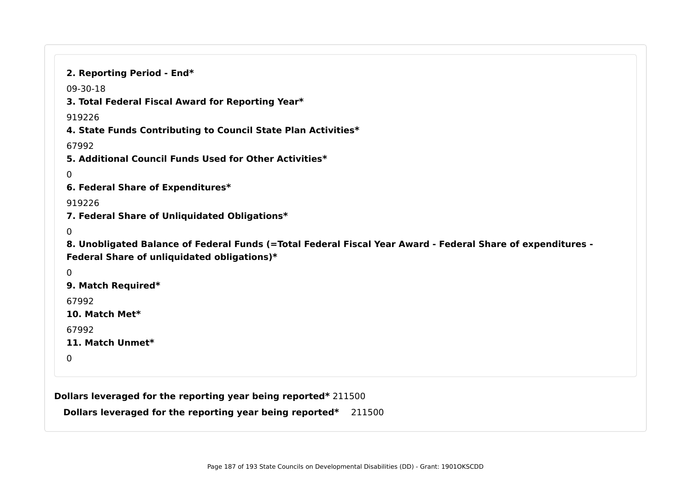**Dollars leveraged for the reporting year being reported\*** 211500 **Dollars leveraged for the reporting year being reported\*** 211500 **2. Reporting Period - End\*** 09-30-18 **3. Total Federal Fiscal Award for Reporting Year\*** 919226 **4. State Funds Contributing to Council State Plan Activities\*** 67992 **5. Additional Council Funds Used for Other Activities\*** 0 **6. Federal Share of Expenditures\*** 919226 **7. Federal Share of Unliquidated Obligations\*** 0 **8. Unobligated Balance of Federal Funds (=Total Federal Fiscal Year Award - Federal Share of expenditures - Federal Share of unliquidated obligations)\***  $\Omega$ **9. Match Required\*** 67992 **10. Match Met\*** 67992 **11. Match Unmet\***  $\Omega$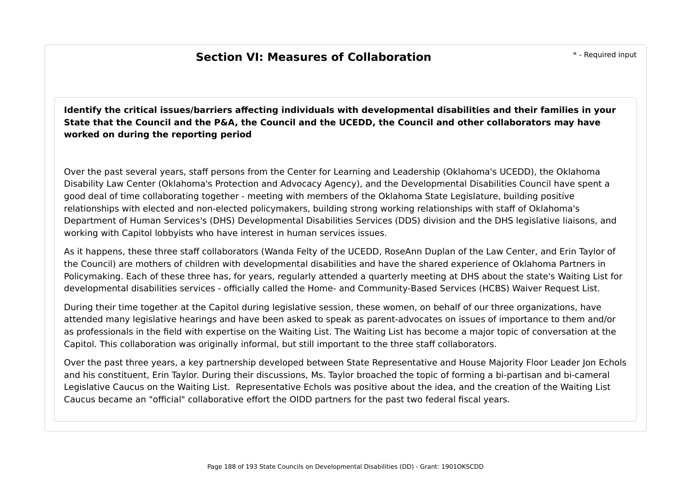## **Section VI: Measures of Collaboration Example 20**  $*$ - Required input

**Identify the critical issues/barriers affecting individuals with developmental disabilities and their families in your State that the Council and the P&A, the Council and the UCEDD, the Council and other collaborators may have worked on during the reporting period**

Over the past several years, staff persons from the Center for Learning and Leadership (Oklahoma's UCEDD), the Oklahoma Disability Law Center (Oklahoma's Protection and Advocacy Agency), and the Developmental Disabilities Council have spent a good deal of time collaborating together - meeting with members of the Oklahoma State Legislature, building positive relationships with elected and non-elected policymakers, building strong working relationships with staff of Oklahoma's Department of Human Services's (DHS) Developmental Disabilities Services (DDS) division and the DHS legislative liaisons, and working with Capitol lobbyists who have interest in human services issues.

As it happens, these three staff collaborators (Wanda Felty of the UCEDD, RoseAnn Duplan of the Law Center, and Erin Taylor of the Council) are mothers of children with developmental disabilities and have the shared experience of Oklahoma Partners in Policymaking. Each of these three has, for years, regularly attended a quarterly meeting at DHS about the state's Waiting List for developmental disabilities services - officially called the Home- and Community-Based Services (HCBS) Waiver Request List.

During their time together at the Capitol during legislative session, these women, on behalf of our three organizations, have attended many legislative hearings and have been asked to speak as parent-advocates on issues of importance to them and/or as professionals in the field with expertise on the Waiting List. The Waiting List has become a major topic of conversation at the Capitol. This collaboration was originally informal, but still important to the three staff collaborators.

Over the past three years, a key partnership developed between State Representative and House Majority Floor Leader Jon Echols and his constituent, Erin Taylor. During their discussions, Ms. Taylor broached the topic of forming a bi-partisan and bi-cameral Legislative Caucus on the Waiting List. Representative Echols was positive about the idea, and the creation of the Waiting List Caucus became an "official" collaborative effort the OIDD partners for the past two federal fiscal years.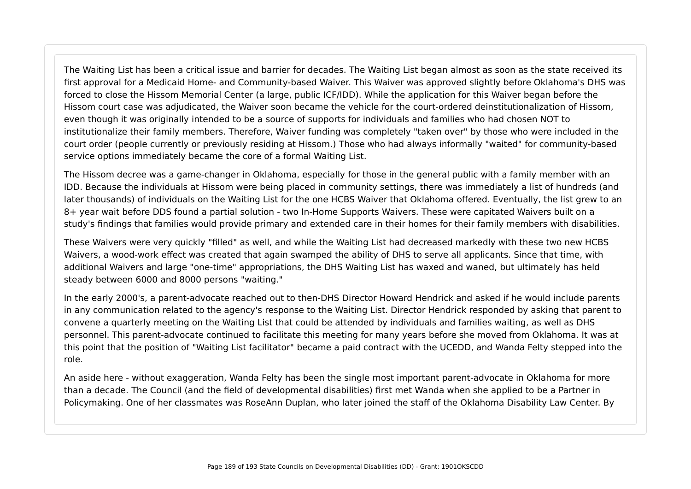The Waiting List has been a critical issue and barrier for decades. The Waiting List began almost as soon as the state received its first approval for a Medicaid Home- and Community-based Waiver. This Waiver was approved slightly before Oklahoma's DHS was forced to close the Hissom Memorial Center (a large, public ICF/IDD). While the application for this Waiver began before the Hissom court case was adjudicated, the Waiver soon became the vehicle for the court-ordered deinstitutionalization of Hissom, even though it was originally intended to be a source of supports for individuals and families who had chosen NOT to institutionalize their family members. Therefore, Waiver funding was completely "taken over" by those who were included in the court order (people currently or previously residing at Hissom.) Those who had always informally "waited" for community-based service options immediately became the core of a formal Waiting List.

The Hissom decree was a game-changer in Oklahoma, especially for those in the general public with a family member with an IDD. Because the individuals at Hissom were being placed in community settings, there was immediately a list of hundreds (and later thousands) of individuals on the Waiting List for the one HCBS Waiver that Oklahoma offered. Eventually, the list grew to an 8+ year wait before DDS found a partial solution - two In-Home Supports Waivers. These were capitated Waivers built on a study's findings that families would provide primary and extended care in their homes for their family members with disabilities.

These Waivers were very quickly "filled" as well, and while the Waiting List had decreased markedly with these two new HCBS Waivers, a wood-work effect was created that again swamped the ability of DHS to serve all applicants. Since that time, with additional Waivers and large "one-time" appropriations, the DHS Waiting List has waxed and waned, but ultimately has held steady between 6000 and 8000 persons "waiting."

In the early 2000's, a parent-advocate reached out to then-DHS Director Howard Hendrick and asked if he would include parents in any communication related to the agency's response to the Waiting List. Director Hendrick responded by asking that parent to convene a quarterly meeting on the Waiting List that could be attended by individuals and families waiting, as well as DHS personnel. This parent-advocate continued to facilitate this meeting for many years before she moved from Oklahoma. It was at this point that the position of "Waiting List facilitator" became a paid contract with the UCEDD, and Wanda Felty stepped into the role.

An aside here - without exaggeration, Wanda Felty has been the single most important parent-advocate in Oklahoma for more than a decade. The Council (and the field of developmental disabilities) first met Wanda when she applied to be a Partner in Policymaking. One of her classmates was RoseAnn Duplan, who later joined the staff of the Oklahoma Disability Law Center. By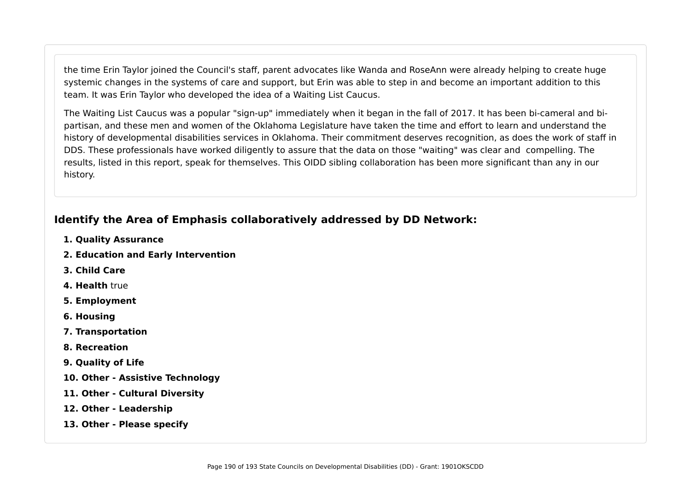the time Erin Taylor joined the Council's staff, parent advocates like Wanda and RoseAnn were already helping to create huge systemic changes in the systems of care and support, but Erin was able to step in and become an important addition to this team. It was Erin Taylor who developed the idea of a Waiting List Caucus.

The Waiting List Caucus was a popular "sign-up" immediately when it began in the fall of 2017. It has been bi-cameral and bipartisan, and these men and women of the Oklahoma Legislature have taken the time and effort to learn and understand the history of developmental disabilities services in Oklahoma. Their commitment deserves recognition, as does the work of staff in DDS. These professionals have worked diligently to assure that the data on those "waiting" was clear and compelling. The results, listed in this report, speak for themselves. This OIDD sibling collaboration has been more significant than any in our history.

## **Identify the Area of Emphasis collaboratively addressed by DD Network:**

- **1. Quality Assurance**
- **2. Education and Early Intervention**
- **3. Child Care**
- **4. Health** true
- **5. Employment**
- **6. Housing**
- **7. Transportation**
- **8. Recreation**
- **9. Quality of Life**
- **10. Other Assistive Technology**
- **11. Other Cultural Diversity**
- **12. Other Leadership**
- **13. Other Please specify**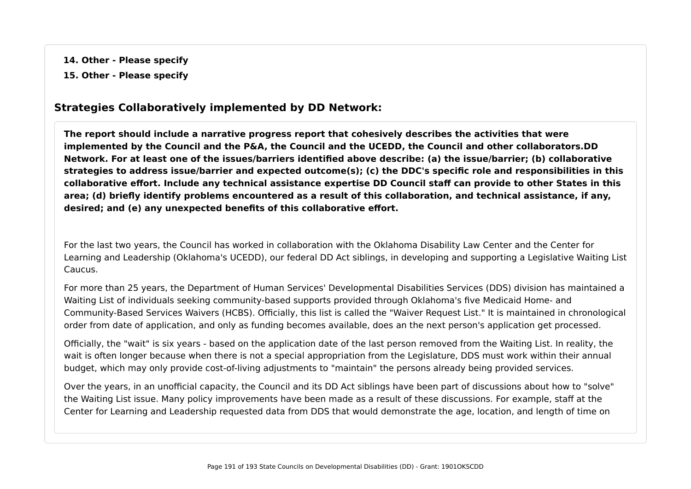**14. Other - Please specify**

**15. Other - Please specify**

### **Strategies Collaboratively implemented by DD Network:**

**The report should include a narrative progress report that cohesively describes the activities that were implemented by the Council and the P&A, the Council and the UCEDD, the Council and other collaborators.DD Network. For at least one of the issues/barriers identified above describe: (a) the issue/barrier; (b) collaborative strategies to address issue/barrier and expected outcome(s); (c) the DDC's specific role and responsibilities in this collaborative effort. Include any technical assistance expertise DD Council staff can provide to other States in this area; (d) briefly identify problems encountered as a result of this collaboration, and technical assistance, if any, desired; and (e) any unexpected benefits of this collaborative effort.**

For the last two years, the Council has worked in collaboration with the Oklahoma Disability Law Center and the Center for Learning and Leadership (Oklahoma's UCEDD), our federal DD Act siblings, in developing and supporting a Legislative Waiting List Caucus.

For more than 25 years, the Department of Human Services' Developmental Disabilities Services (DDS) division has maintained a Waiting List of individuals seeking community-based supports provided through Oklahoma's five Medicaid Home- and Community-Based Services Waivers (HCBS). Officially, this list is called the "Waiver Request List." It is maintained in chronological order from date of application, and only as funding becomes available, does an the next person's application get processed.

Officially, the "wait" is six years - based on the application date of the last person removed from the Waiting List. In reality, the wait is often longer because when there is not a special appropriation from the Legislature, DDS must work within their annual budget, which may only provide cost-of-living adjustments to "maintain" the persons already being provided services.

Over the years, in an unofficial capacity, the Council and its DD Act siblings have been part of discussions about how to "solve" the Waiting List issue. Many policy improvements have been made as a result of these discussions. For example, staff at the Center for Learning and Leadership requested data from DDS that would demonstrate the age, location, and length of time on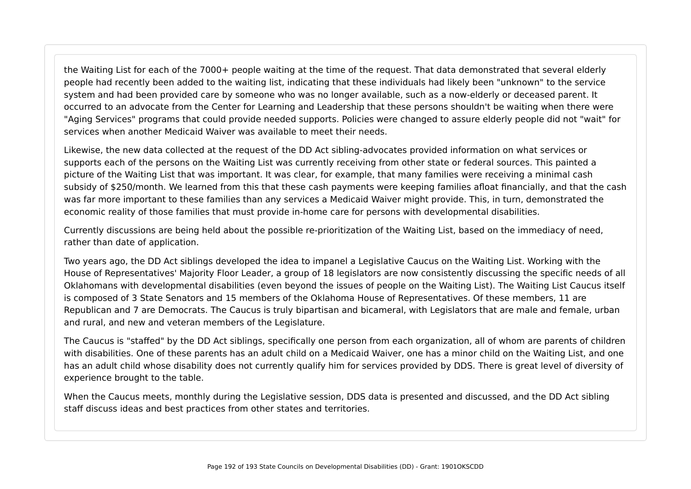the Waiting List for each of the 7000+ people waiting at the time of the request. That data demonstrated that several elderly people had recently been added to the waiting list, indicating that these individuals had likely been "unknown" to the service system and had been provided care by someone who was no longer available, such as a now-elderly or deceased parent. It occurred to an advocate from the Center for Learning and Leadership that these persons shouldn't be waiting when there were "Aging Services" programs that could provide needed supports. Policies were changed to assure elderly people did not "wait" for services when another Medicaid Waiver was available to meet their needs.

Likewise, the new data collected at the request of the DD Act sibling-advocates provided information on what services or supports each of the persons on the Waiting List was currently receiving from other state or federal sources. This painted a picture of the Waiting List that was important. It was clear, for example, that many families were receiving a minimal cash subsidy of \$250/month. We learned from this that these cash payments were keeping families afloat financially, and that the cash was far more important to these families than any services a Medicaid Waiver might provide. This, in turn, demonstrated the economic reality of those families that must provide in-home care for persons with developmental disabilities.

Currently discussions are being held about the possible re-prioritization of the Waiting List, based on the immediacy of need, rather than date of application.

Two years ago, the DD Act siblings developed the idea to impanel a Legislative Caucus on the Waiting List. Working with the House of Representatives' Majority Floor Leader, a group of 18 legislators are now consistently discussing the specific needs of all Oklahomans with developmental disabilities (even beyond the issues of people on the Waiting List). The Waiting List Caucus itself is composed of 3 State Senators and 15 members of the Oklahoma House of Representatives. Of these members, 11 are Republican and 7 are Democrats. The Caucus is truly bipartisan and bicameral, with Legislators that are male and female, urban and rural, and new and veteran members of the Legislature.

The Caucus is "staffed" by the DD Act siblings, specifically one person from each organization, all of whom are parents of children with disabilities. One of these parents has an adult child on a Medicaid Waiver, one has a minor child on the Waiting List, and one has an adult child whose disability does not currently qualify him for services provided by DDS. There is great level of diversity of experience brought to the table.

When the Caucus meets, monthly during the Legislative session, DDS data is presented and discussed, and the DD Act sibling staff discuss ideas and best practices from other states and territories.